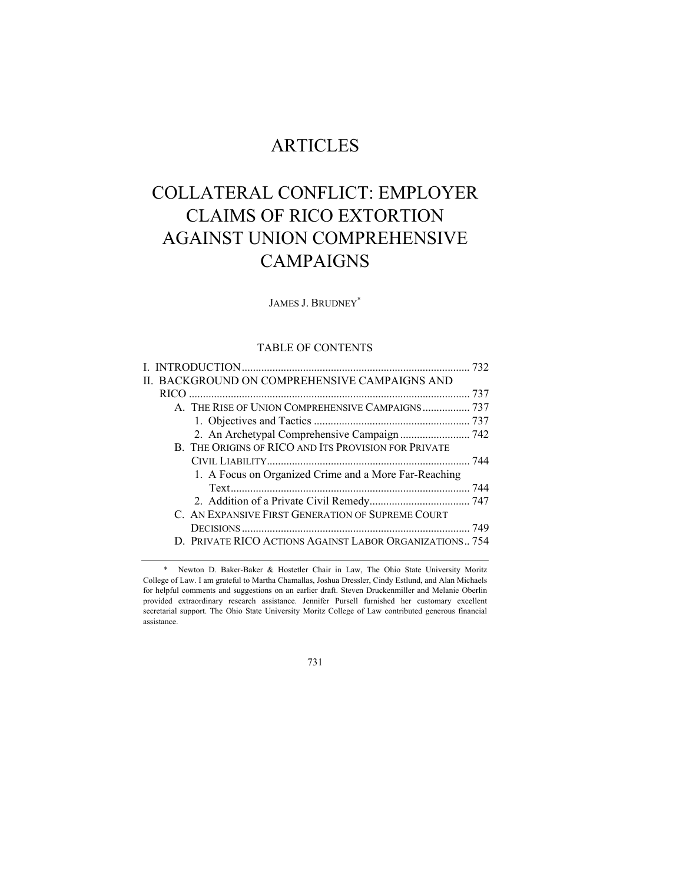# ARTICLES

# COLLATERAL CONFLICT: EMPLOYER CLAIMS OF RICO EXTORTION AGAINST UNION COMPREHENSIVE CAMPAIGNS

# JAMES J. BRUDNEY\*

# TABLE OF CONTENTS

| II. BACKGROUND ON COMPREHENSIVE CAMPAIGNS AND           |  |
|---------------------------------------------------------|--|
|                                                         |  |
| A. THE RISE OF UNION COMPREHENSIVE CAMPAIGNS 737        |  |
|                                                         |  |
|                                                         |  |
| B. THE ORIGINS OF RICO AND ITS PROVISION FOR PRIVATE    |  |
|                                                         |  |
| 1. A Focus on Organized Crime and a More Far-Reaching   |  |
|                                                         |  |
|                                                         |  |
| C. AN EXPANSIVE FIRST GENERATION OF SUPREME COURT       |  |
|                                                         |  |
| D. PRIVATE RICO ACTIONS AGAINST LABOR ORGANIZATIONS 754 |  |

731

 <sup>\*</sup> Newton D. Baker-Baker & Hostetler Chair in Law, The Ohio State University Moritz College of Law. I am grateful to Martha Chamallas, Joshua Dressler, Cindy Estlund, and Alan Michaels for helpful comments and suggestions on an earlier draft. Steven Druckenmiller and Melanie Oberlin provided extraordinary research assistance. Jennifer Pursell furnished her customary excellent secretarial support. The Ohio State University Moritz College of Law contributed generous financial assistance.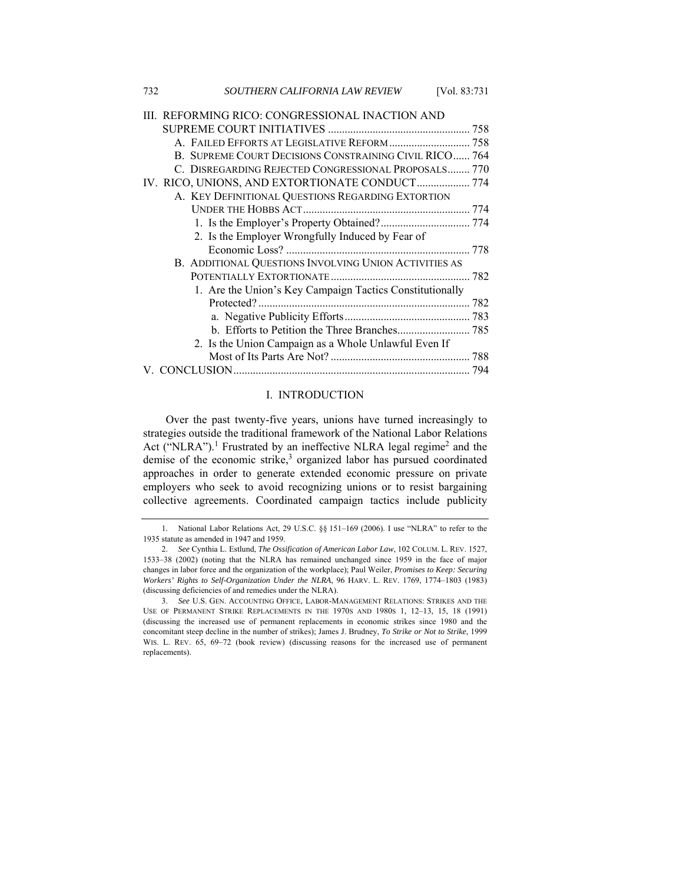| 732 | SOUTHERN CALIFORNIA LAW REVIEW<br>[Vol. 83:731]          |  |
|-----|----------------------------------------------------------|--|
|     | III. REFORMING RICO: CONGRESSIONAL INACTION AND          |  |
|     |                                                          |  |
|     | A. FAILED EFFORTS AT LEGISLATIVE REFORM  758             |  |
|     | B. SUPREME COURT DECISIONS CONSTRAINING CIVIL RICO 764   |  |
|     | C. DISREGARDING REJECTED CONGRESSIONAL PROPOSALS 770     |  |
|     | IV. RICO, UNIONS, AND EXTORTIONATE CONDUCT 774           |  |
|     | A. KEY DEFINITIONAL QUESTIONS REGARDING EXTORTION        |  |
|     |                                                          |  |
|     |                                                          |  |
|     | 2. Is the Employer Wrongfully Induced by Fear of         |  |
|     |                                                          |  |
|     | B. ADDITIONAL QUESTIONS INVOLVING UNION ACTIVITIES AS    |  |
|     |                                                          |  |
|     | 1. Are the Union's Key Campaign Tactics Constitutionally |  |
|     |                                                          |  |
|     |                                                          |  |
|     |                                                          |  |
|     | 2. Is the Union Campaign as a Whole Unlawful Even If     |  |
|     |                                                          |  |
|     |                                                          |  |

## I. INTRODUCTION

Over the past twenty-five years, unions have turned increasingly to strategies outside the traditional framework of the National Labor Relations Act ("NLRA").<sup>1</sup> Frustrated by an ineffective NLRA legal regime<sup>2</sup> and the demise of the economic strike,<sup>3</sup> organized labor has pursued coordinated approaches in order to generate extended economic pressure on private employers who seek to avoid recognizing unions or to resist bargaining collective agreements. Coordinated campaign tactics include publicity

<sup>1.</sup> National Labor Relations Act, 29 U.S.C. §§ 151–169 (2006). I use "NLRA" to refer to the 1935 statute as amended in 1947 and 1959.

<sup>2.</sup> *See* Cynthia L. Estlund, *The Ossification of American Labor Law*, 102 COLUM. L. REV. 1527, 1533–38 (2002) (noting that the NLRA has remained unchanged since 1959 in the face of major changes in labor force and the organization of the workplace); Paul Weiler, *Promises to Keep: Securing Workers' Rights to Self-Organization Under the NLRA*, 96 HARV. L. REV. 1769, 1774–1803 (1983) (discussing deficiencies of and remedies under the NLRA).

<sup>3.</sup> *See* U.S. GEN. ACCOUNTING OFFICE, LABOR-MANAGEMENT RELATIONS: STRIKES AND THE USE OF PERMANENT STRIKE REPLACEMENTS IN THE 1970S AND 1980S 1, 12–13, 15, 18 (1991) (discussing the increased use of permanent replacements in economic strikes since 1980 and the concomitant steep decline in the number of strikes); James J. Brudney, *To Strike or Not to Strike*, 1999 WIS. L. REV. 65, 69-72 (book review) (discussing reasons for the increased use of permanent replacements).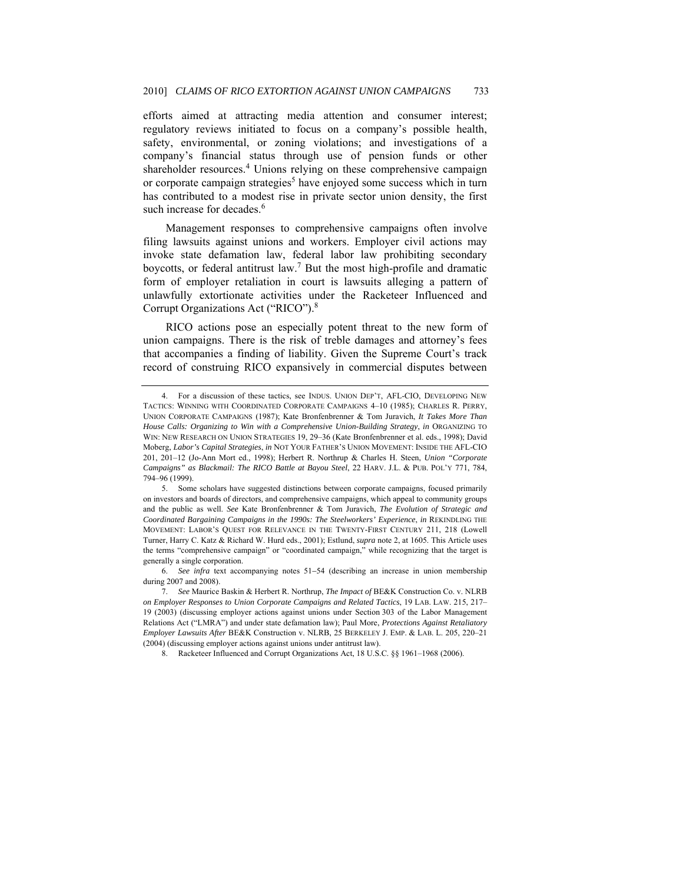efforts aimed at attracting media attention and consumer interest; regulatory reviews initiated to focus on a company's possible health, safety, environmental, or zoning violations; and investigations of a company's financial status through use of pension funds or other shareholder resources.<sup>4</sup> Unions relying on these comprehensive campaign or corporate campaign strategies<sup>5</sup> have enjoyed some success which in turn has contributed to a modest rise in private sector union density, the first such increase for decades.<sup>6</sup>

Management responses to comprehensive campaigns often involve filing lawsuits against unions and workers. Employer civil actions may invoke state defamation law, federal labor law prohibiting secondary boycotts, or federal antitrust law.<sup>7</sup> But the most high-profile and dramatic form of employer retaliation in court is lawsuits alleging a pattern of unlawfully extortionate activities under the Racketeer Influenced and Corrupt Organizations Act ("RICO").8

RICO actions pose an especially potent threat to the new form of union campaigns. There is the risk of treble damages and attorney's fees that accompanies a finding of liability. Given the Supreme Court's track record of construing RICO expansively in commercial disputes between

<sup>4.</sup> For a discussion of these tactics, see INDUS. UNION DEP'T, AFL-CIO, DEVELOPING NEW TACTICS: WINNING WITH COORDINATED CORPORATE CAMPAIGNS 4–10 (1985); CHARLES R. PERRY, UNION CORPORATE CAMPAIGNS (1987); Kate Bronfenbrenner & Tom Juravich, *It Takes More Than House Calls: Organizing to Win with a Comprehensive Union-Building Strategy*, *in* ORGANIZING TO WIN: NEW RESEARCH ON UNION STRATEGIES 19, 29–36 (Kate Bronfenbrenner et al. eds., 1998); David Moberg, *Labor's Capital Strategies*, *in* NOT YOUR FATHER'S UNION MOVEMENT: INSIDE THE AFL-CIO 201, 201–12 (Jo-Ann Mort ed., 1998); Herbert R. Northrup & Charles H. Steen, *Union "Corporate Campaigns" as Blackmail: The RICO Battle at Bayou Steel*, 22 HARV. J.L. & PUB. POL'Y 771, 784, 794–96 (1999).

 <sup>5.</sup> Some scholars have suggested distinctions between corporate campaigns, focused primarily on investors and boards of directors, and comprehensive campaigns, which appeal to community groups and the public as well. *See* Kate Bronfenbrenner & Tom Juravich, *The Evolution of Strategic and Coordinated Bargaining Campaigns in the 1990s: The Steelworkers' Experience*, *in* REKINDLING THE MOVEMENT: LABOR'S QUEST FOR RELEVANCE IN THE TWENTY-FIRST CENTURY 211, 218 (Lowell Turner, Harry C. Katz & Richard W. Hurd eds., 2001); Estlund, *supra* note 2, at 1605. This Article uses the terms "comprehensive campaign" or "coordinated campaign," while recognizing that the target is generally a single corporation.

<sup>6.</sup> *See infra* text accompanying notes 51−54 (describing an increase in union membership during 2007 and 2008).

<sup>7.</sup> *See* Maurice Baskin & Herbert R. Northrup, *The Impact of* BE&K Construction Co. v. NLRB *on Employer Responses to Union Corporate Campaigns and Related Tactics*, 19 LAB. LAW. 215, 217– 19 (2003) (discussing employer actions against unions under Section 303 of the Labor Management Relations Act ("LMRA") and under state defamation law); Paul More, *Protections Against Retaliatory Employer Lawsuits After* BE&K Construction v. NLRB, 25 BERKELEY J. EMP. & LAB. L. 205, 220–21 (2004) (discussing employer actions against unions under antitrust law).

 <sup>8.</sup> Racketeer Influenced and Corrupt Organizations Act, 18 U.S.C. §§ 1961–1968 (2006).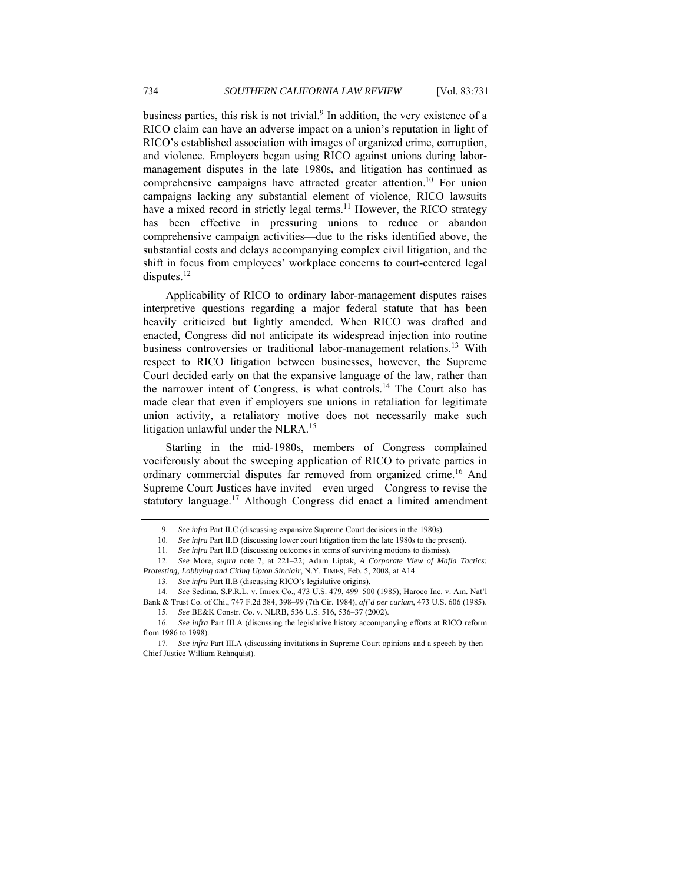business parties, this risk is not trivial.<sup>9</sup> In addition, the very existence of a RICO claim can have an adverse impact on a union's reputation in light of RICO's established association with images of organized crime, corruption, and violence. Employers began using RICO against unions during labormanagement disputes in the late 1980s, and litigation has continued as comprehensive campaigns have attracted greater attention.<sup>10</sup> For union campaigns lacking any substantial element of violence, RICO lawsuits have a mixed record in strictly legal terms.<sup>11</sup> However, the RICO strategy has been effective in pressuring unions to reduce or abandon comprehensive campaign activities—due to the risks identified above, the substantial costs and delays accompanying complex civil litigation, and the shift in focus from employees' workplace concerns to court-centered legal disputes.<sup>12</sup>

Applicability of RICO to ordinary labor-management disputes raises interpretive questions regarding a major federal statute that has been heavily criticized but lightly amended. When RICO was drafted and enacted, Congress did not anticipate its widespread injection into routine business controversies or traditional labor-management relations.<sup>13</sup> With respect to RICO litigation between businesses, however, the Supreme Court decided early on that the expansive language of the law, rather than the narrower intent of Congress, is what controls.14 The Court also has made clear that even if employers sue unions in retaliation for legitimate union activity, a retaliatory motive does not necessarily make such litigation unlawful under the NLRA.<sup>15</sup>

Starting in the mid-1980s, members of Congress complained vociferously about the sweeping application of RICO to private parties in ordinary commercial disputes far removed from organized crime.<sup>16</sup> And Supreme Court Justices have invited—even urged—Congress to revise the statutory language.<sup>17</sup> Although Congress did enact a limited amendment

<sup>9.</sup> *See infra* Part II.C (discussing expansive Supreme Court decisions in the 1980s).

<sup>10.</sup> *See infra* Part II.D (discussing lower court litigation from the late 1980s to the present).

<sup>11.</sup> *See infra* Part II.D (discussing outcomes in terms of surviving motions to dismiss).

<sup>12.</sup> *See* More, *supra* note 7, at 221–22; Adam Liptak, *A Corporate View of Mafia Tactics: Protesting, Lobbying and Citing Upton Sinclair*, N.Y. TIMES, Feb. 5, 2008, at A14.

<sup>13.</sup> *See infra* Part II.B (discussing RICO's legislative origins).

<sup>14.</sup> *See* Sedima, S.P.R.L. v. Imrex Co., 473 U.S. 479, 499–500 (1985); Haroco Inc. v. Am. Nat'l Bank & Trust Co. of Chi., 747 F.2d 384, 398–99 (7th Cir. 1984), *aff'd per curiam*, 473 U.S. 606 (1985).

<sup>15.</sup> *See* BE&K Constr. Co. v. NLRB, 536 U.S. 516, 536–37 (2002).

<sup>16.</sup> *See infra* Part III.A (discussing the legislative history accompanying efforts at RICO reform from 1986 to 1998).

<sup>17.</sup> *See infra* Part III.A (discussing invitations in Supreme Court opinions and a speech by then– Chief Justice William Rehnquist).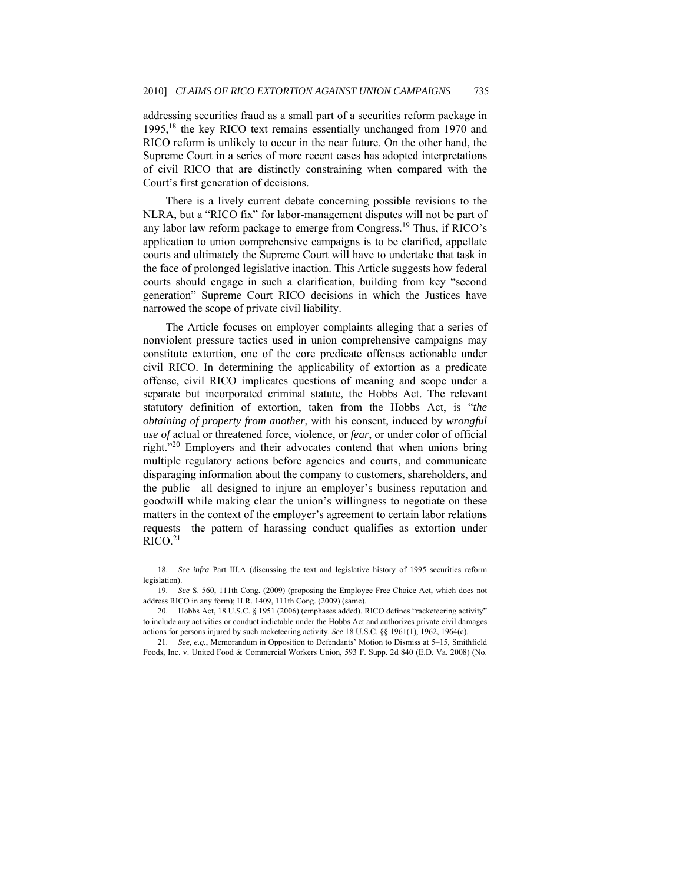addressing securities fraud as a small part of a securities reform package in 1995,18 the key RICO text remains essentially unchanged from 1970 and RICO reform is unlikely to occur in the near future. On the other hand, the Supreme Court in a series of more recent cases has adopted interpretations of civil RICO that are distinctly constraining when compared with the Court's first generation of decisions.

There is a lively current debate concerning possible revisions to the NLRA, but a "RICO fix" for labor-management disputes will not be part of any labor law reform package to emerge from Congress.19 Thus, if RICO's application to union comprehensive campaigns is to be clarified, appellate courts and ultimately the Supreme Court will have to undertake that task in the face of prolonged legislative inaction. This Article suggests how federal courts should engage in such a clarification, building from key "second generation" Supreme Court RICO decisions in which the Justices have narrowed the scope of private civil liability.

The Article focuses on employer complaints alleging that a series of nonviolent pressure tactics used in union comprehensive campaigns may constitute extortion, one of the core predicate offenses actionable under civil RICO. In determining the applicability of extortion as a predicate offense, civil RICO implicates questions of meaning and scope under a separate but incorporated criminal statute, the Hobbs Act. The relevant statutory definition of extortion, taken from the Hobbs Act, is "*the obtaining of property from another*, with his consent, induced by *wrongful use of* actual or threatened force, violence, or *fear*, or under color of official right."20 Employers and their advocates contend that when unions bring multiple regulatory actions before agencies and courts, and communicate disparaging information about the company to customers, shareholders, and the public—all designed to injure an employer's business reputation and goodwill while making clear the union's willingness to negotiate on these matters in the context of the employer's agreement to certain labor relations requests—the pattern of harassing conduct qualifies as extortion under  $RICO.<sup>21</sup>$ 

<sup>18.</sup> *See infra* Part III.A (discussing the text and legislative history of 1995 securities reform legislation).

<sup>19.</sup> *See* S. 560, 111th Cong. (2009) (proposing the Employee Free Choice Act, which does not address RICO in any form); H.R. 1409, 111th Cong. (2009) (same).

 <sup>20.</sup> Hobbs Act, 18 U.S.C. § 1951 (2006) (emphases added). RICO defines "racketeering activity" to include any activities or conduct indictable under the Hobbs Act and authorizes private civil damages actions for persons injured by such racketeering activity. *See* 18 U.S.C. §§ 1961(1), 1962, 1964(c).

<sup>21.</sup> *See, e.g.*, Memorandum in Opposition to Defendants' Motion to Dismiss at 5–15, Smithfield Foods, Inc. v. United Food & Commercial Workers Union, 593 F. Supp. 2d 840 (E.D. Va. 2008) (No.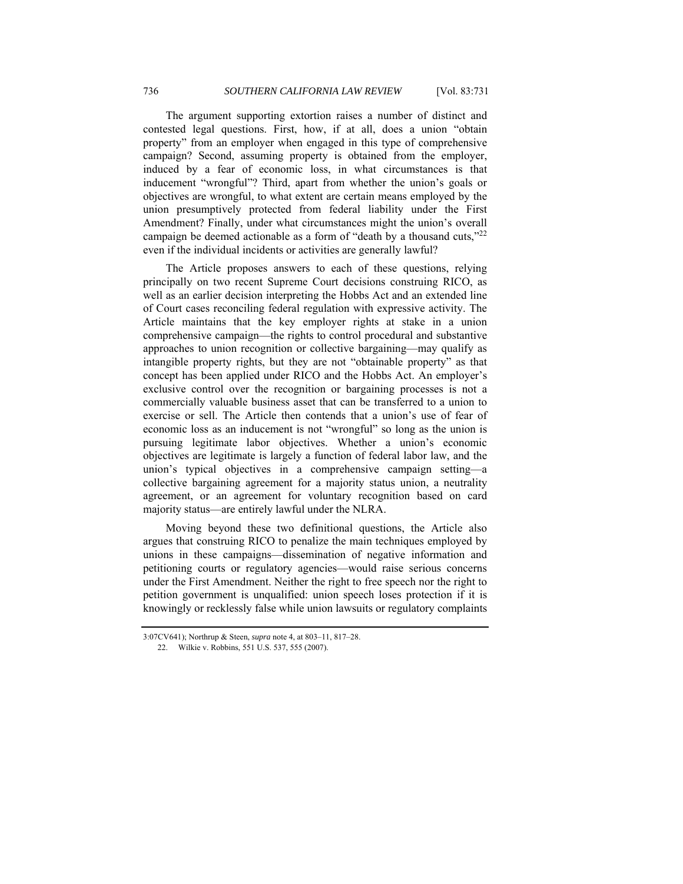The argument supporting extortion raises a number of distinct and contested legal questions. First, how, if at all, does a union "obtain property" from an employer when engaged in this type of comprehensive campaign? Second, assuming property is obtained from the employer, induced by a fear of economic loss, in what circumstances is that inducement "wrongful"? Third, apart from whether the union's goals or objectives are wrongful, to what extent are certain means employed by the union presumptively protected from federal liability under the First Amendment? Finally, under what circumstances might the union's overall campaign be deemed actionable as a form of "death by a thousand cuts,"<sup>22</sup> even if the individual incidents or activities are generally lawful?

The Article proposes answers to each of these questions, relying principally on two recent Supreme Court decisions construing RICO, as well as an earlier decision interpreting the Hobbs Act and an extended line of Court cases reconciling federal regulation with expressive activity. The Article maintains that the key employer rights at stake in a union comprehensive campaign—the rights to control procedural and substantive approaches to union recognition or collective bargaining—may qualify as intangible property rights, but they are not "obtainable property" as that concept has been applied under RICO and the Hobbs Act. An employer's exclusive control over the recognition or bargaining processes is not a commercially valuable business asset that can be transferred to a union to exercise or sell. The Article then contends that a union's use of fear of economic loss as an inducement is not "wrongful" so long as the union is pursuing legitimate labor objectives. Whether a union's economic objectives are legitimate is largely a function of federal labor law, and the union's typical objectives in a comprehensive campaign setting—a collective bargaining agreement for a majority status union, a neutrality agreement, or an agreement for voluntary recognition based on card majority status—are entirely lawful under the NLRA.

Moving beyond these two definitional questions, the Article also argues that construing RICO to penalize the main techniques employed by unions in these campaigns—dissemination of negative information and petitioning courts or regulatory agencies—would raise serious concerns under the First Amendment. Neither the right to free speech nor the right to petition government is unqualified: union speech loses protection if it is knowingly or recklessly false while union lawsuits or regulatory complaints

<sup>3:07</sup>CV641); Northrup & Steen, *supra* note 4, at 803–11, 817–28.

 <sup>22.</sup> Wilkie v. Robbins, 551 U.S. 537, 555 (2007).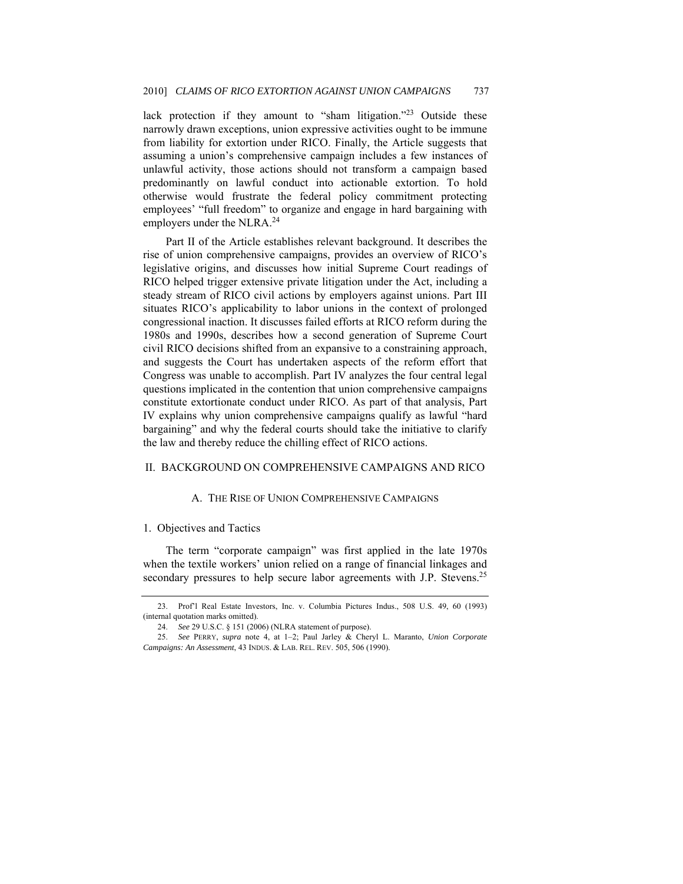lack protection if they amount to "sham litigation."<sup>23</sup> Outside these narrowly drawn exceptions, union expressive activities ought to be immune from liability for extortion under RICO. Finally, the Article suggests that assuming a union's comprehensive campaign includes a few instances of unlawful activity, those actions should not transform a campaign based predominantly on lawful conduct into actionable extortion. To hold otherwise would frustrate the federal policy commitment protecting employees' "full freedom" to organize and engage in hard bargaining with employers under the NLRA.<sup>24</sup>

Part II of the Article establishes relevant background. It describes the rise of union comprehensive campaigns, provides an overview of RICO's legislative origins, and discusses how initial Supreme Court readings of RICO helped trigger extensive private litigation under the Act, including a steady stream of RICO civil actions by employers against unions. Part III situates RICO's applicability to labor unions in the context of prolonged congressional inaction. It discusses failed efforts at RICO reform during the 1980s and 1990s, describes how a second generation of Supreme Court civil RICO decisions shifted from an expansive to a constraining approach, and suggests the Court has undertaken aspects of the reform effort that Congress was unable to accomplish. Part IV analyzes the four central legal questions implicated in the contention that union comprehensive campaigns constitute extortionate conduct under RICO. As part of that analysis, Part IV explains why union comprehensive campaigns qualify as lawful "hard bargaining" and why the federal courts should take the initiative to clarify the law and thereby reduce the chilling effect of RICO actions.

### II. BACKGROUND ON COMPREHENSIVE CAMPAIGNS AND RICO

### A. THE RISE OF UNION COMPREHENSIVE CAMPAIGNS

#### 1. Objectives and Tactics

The term "corporate campaign" was first applied in the late 1970s when the textile workers' union relied on a range of financial linkages and secondary pressures to help secure labor agreements with J.P. Stevens.<sup>25</sup>

 <sup>23.</sup> Prof'l Real Estate Investors, Inc. v. Columbia Pictures Indus., 508 U.S. 49, 60 (1993) (internal quotation marks omitted).

<sup>24.</sup> *See* 29 U.S.C. § 151 (2006) (NLRA statement of purpose).

<sup>25.</sup> *See* PERRY, *supra* note 4, at 1–2; Paul Jarley & Cheryl L. Maranto, *Union Corporate Campaigns: An Assessment*, 43 INDUS. & LAB. REL. REV. 505, 506 (1990).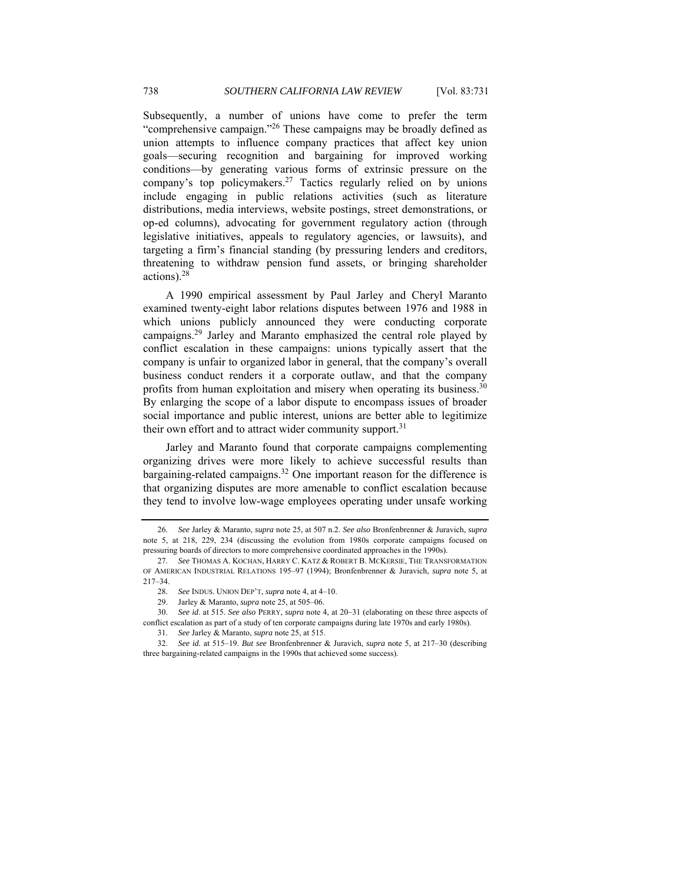Subsequently, a number of unions have come to prefer the term "comprehensive campaign."26 These campaigns may be broadly defined as union attempts to influence company practices that affect key union goals—securing recognition and bargaining for improved working conditions—by generating various forms of extrinsic pressure on the company's top policymakers.<sup>27</sup> Tactics regularly relied on by unions include engaging in public relations activities (such as literature distributions, media interviews, website postings, street demonstrations, or op-ed columns), advocating for government regulatory action (through legislative initiatives, appeals to regulatory agencies, or lawsuits), and targeting a firm's financial standing (by pressuring lenders and creditors, threatening to withdraw pension fund assets, or bringing shareholder actions).<sup>28</sup>

A 1990 empirical assessment by Paul Jarley and Cheryl Maranto examined twenty-eight labor relations disputes between 1976 and 1988 in which unions publicly announced they were conducting corporate campaigns.29 Jarley and Maranto emphasized the central role played by conflict escalation in these campaigns: unions typically assert that the company is unfair to organized labor in general, that the company's overall business conduct renders it a corporate outlaw, and that the company profits from human exploitation and misery when operating its business.<sup>30</sup> By enlarging the scope of a labor dispute to encompass issues of broader social importance and public interest, unions are better able to legitimize their own effort and to attract wider community support.<sup>31</sup>

Jarley and Maranto found that corporate campaigns complementing organizing drives were more likely to achieve successful results than bargaining-related campaigns.<sup>32</sup> One important reason for the difference is that organizing disputes are more amenable to conflict escalation because they tend to involve low-wage employees operating under unsafe working

<sup>26.</sup> *See* Jarley & Maranto, *supra* note 25, at 507 n.2. *See also* Bronfenbrenner & Juravich, *supra* note 5, at 218, 229, 234 (discussing the evolution from 1980s corporate campaigns focused on pressuring boards of directors to more comprehensive coordinated approaches in the 1990s).

<sup>27.</sup> *See* THOMAS A. KOCHAN, HARRY C. KATZ & ROBERT B. MCKERSIE, THE TRANSFORMATION OF AMERICAN INDUSTRIAL RELATIONS 195–97 (1994); Bronfenbrenner & Juravich, *supra* note 5, at 217–34.

<sup>28.</sup> *See* INDUS. UNION DEP'T, *supra* note 4, at 4–10.

<sup>29.</sup> Jarley & Maranto, *supra* note 25, at 505–06.

<sup>30.</sup> *See id*. at 515. *See also* PERRY, *supra* note 4, at 20–31 (elaborating on these three aspects of conflict escalation as part of a study of ten corporate campaigns during late 1970s and early 1980s).

<sup>31.</sup> *See* Jarley & Maranto, *supra* note 25, at 515.

<sup>32.</sup> *See id.* at 515–19. *But see* Bronfenbrenner & Juravich, *supra* note 5, at 217–30 (describing three bargaining-related campaigns in the 1990s that achieved some success).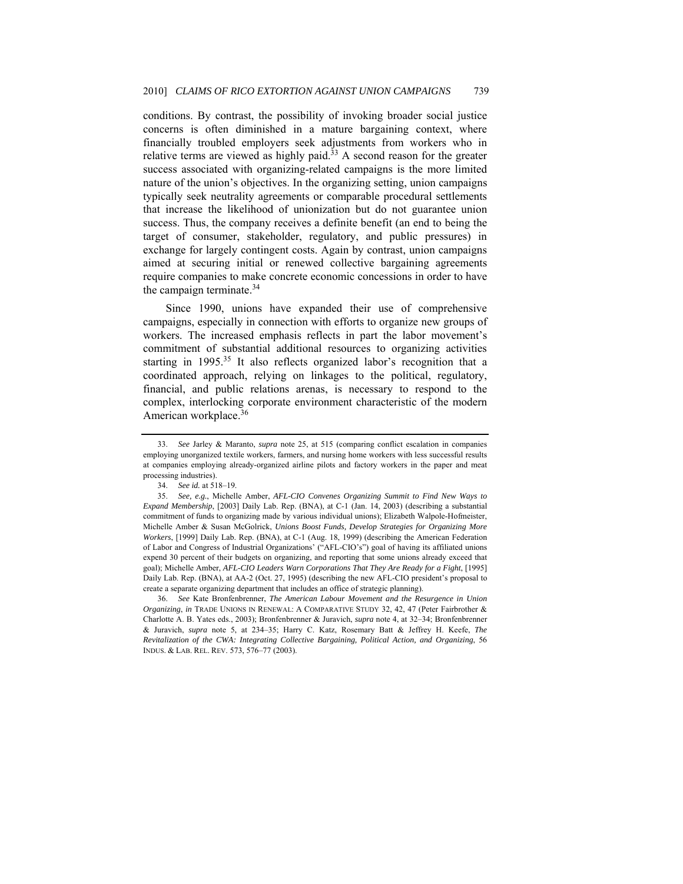conditions. By contrast, the possibility of invoking broader social justice concerns is often diminished in a mature bargaining context, where financially troubled employers seek adjustments from workers who in relative terms are viewed as highly paid. $33$  A second reason for the greater success associated with organizing-related campaigns is the more limited nature of the union's objectives. In the organizing setting, union campaigns typically seek neutrality agreements or comparable procedural settlements that increase the likelihood of unionization but do not guarantee union success. Thus, the company receives a definite benefit (an end to being the target of consumer, stakeholder, regulatory, and public pressures) in exchange for largely contingent costs. Again by contrast, union campaigns aimed at securing initial or renewed collective bargaining agreements require companies to make concrete economic concessions in order to have the campaign terminate. $34$ 

Since 1990, unions have expanded their use of comprehensive campaigns, especially in connection with efforts to organize new groups of workers. The increased emphasis reflects in part the labor movement's commitment of substantial additional resources to organizing activities starting in  $1995$ <sup>35</sup> It also reflects organized labor's recognition that a coordinated approach, relying on linkages to the political, regulatory, financial, and public relations arenas, is necessary to respond to the complex, interlocking corporate environment characteristic of the modern American workplace.<sup>36</sup>

<sup>33.</sup> *See* Jarley & Maranto, *supra* note 25, at 515 (comparing conflict escalation in companies employing unorganized textile workers, farmers, and nursing home workers with less successful results at companies employing already-organized airline pilots and factory workers in the paper and meat processing industries).

<sup>34.</sup> *See id.* at 518–19.

<sup>35.</sup> *See, e.g.*, Michelle Amber, *AFL-CIO Convenes Organizing Summit to Find New Ways to Expand Membership*, [2003] Daily Lab. Rep. (BNA), at C-1 (Jan. 14, 2003) (describing a substantial commitment of funds to organizing made by various individual unions); Elizabeth Walpole-Hofmeister, Michelle Amber & Susan McGolrick, *Unions Boost Funds, Develop Strategies for Organizing More Workers*, [1999] Daily Lab. Rep. (BNA), at C-1 (Aug. 18, 1999) (describing the American Federation of Labor and Congress of Industrial Organizations' ("AFL-CIO's") goal of having its affiliated unions expend 30 percent of their budgets on organizing, and reporting that some unions already exceed that goal); Michelle Amber, *AFL-CIO Leaders Warn Corporations That They Are Ready for a Fight*, [1995] Daily Lab. Rep. (BNA), at AA-2 (Oct. 27, 1995) (describing the new AFL-CIO president's proposal to create a separate organizing department that includes an office of strategic planning).

<sup>36.</sup> *See* Kate Bronfenbrenner, *The American Labour Movement and the Resurgence in Union Organizing*, *in* TRADE UNIONS IN RENEWAL: A COMPARATIVE STUDY 32, 42, 47 (Peter Fairbrother & Charlotte A. B. Yates eds., 2003); Bronfenbrenner & Juravich, *supra* note 4, at 32–34; Bronfenbrenner & Juravich, *supra* note 5, at 234–35; Harry C. Katz, Rosemary Batt & Jeffrey H. Keefe, *The Revitalization of the CWA: Integrating Collective Bargaining, Political Action, and Organizing*, 56 INDUS. & LAB. REL. REV. 573, 576–77 (2003).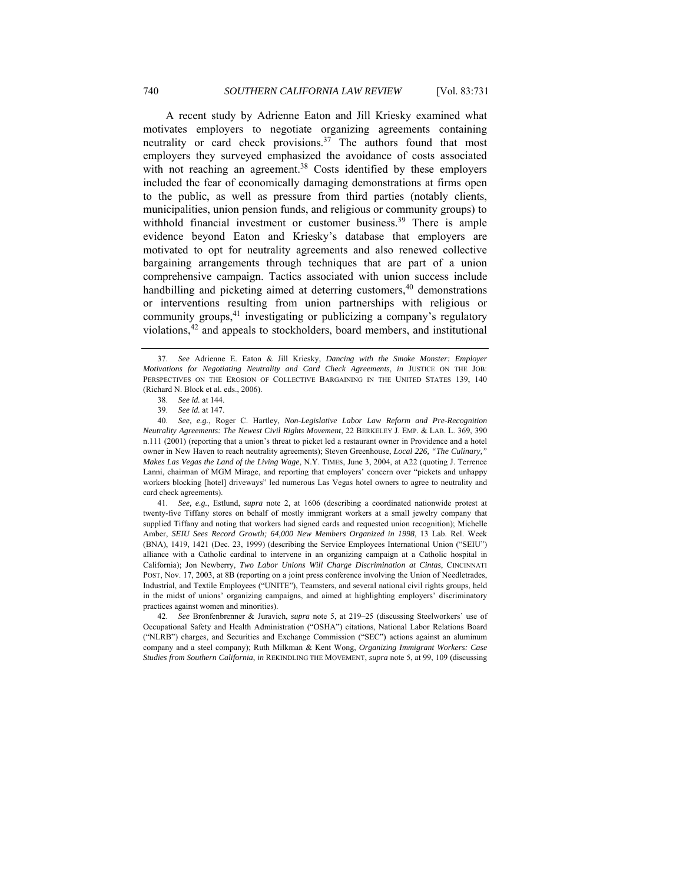A recent study by Adrienne Eaton and Jill Kriesky examined what motivates employers to negotiate organizing agreements containing neutrality or card check provisions.<sup>37</sup> The authors found that most employers they surveyed emphasized the avoidance of costs associated with not reaching an agreement.<sup>38</sup> Costs identified by these employers included the fear of economically damaging demonstrations at firms open to the public, as well as pressure from third parties (notably clients, municipalities, union pension funds, and religious or community groups) to withhold financial investment or customer business.<sup>39</sup> There is ample evidence beyond Eaton and Kriesky's database that employers are motivated to opt for neutrality agreements and also renewed collective bargaining arrangements through techniques that are part of a union comprehensive campaign. Tactics associated with union success include handbilling and picketing aimed at deterring customers, $40$  demonstrations or interventions resulting from union partnerships with religious or community groups,<sup>41</sup> investigating or publicizing a company's regulatory violations,42 and appeals to stockholders, board members, and institutional

41. *See, e.g.*, Estlund, *supra* note 2, at 1606 (describing a coordinated nationwide protest at twenty-five Tiffany stores on behalf of mostly immigrant workers at a small jewelry company that supplied Tiffany and noting that workers had signed cards and requested union recognition); Michelle Amber, *SEIU Sees Record Growth; 64,000 New Members Organized in 1998*, 13 Lab. Rel. Week (BNA), 1419, 1421 (Dec. 23, 1999) (describing the Service Employees International Union ("SEIU") alliance with a Catholic cardinal to intervene in an organizing campaign at a Catholic hospital in California); Jon Newberry, *Two Labor Unions Will Charge Discrimination at Cintas*, CINCINNATI POST, Nov. 17, 2003, at 8B (reporting on a joint press conference involving the Union of Needletrades, Industrial, and Textile Employees ("UNITE"), Teamsters, and several national civil rights groups, held in the midst of unions' organizing campaigns, and aimed at highlighting employers' discriminatory practices against women and minorities).

42. *See* Bronfenbrenner & Juravich, *supra* note 5, at 219–25 (discussing Steelworkers' use of Occupational Safety and Health Administration ("OSHA") citations, National Labor Relations Board ("NLRB") charges, and Securities and Exchange Commission ("SEC") actions against an aluminum company and a steel company); Ruth Milkman & Kent Wong, *Organizing Immigrant Workers: Case Studies from Southern California*, *in* REKINDLING THE MOVEMENT, *supra* note 5, at 99, 109 (discussing

<sup>37.</sup> *See* Adrienne E. Eaton & Jill Kriesky, *Dancing with the Smoke Monster: Employer Motivations for Negotiating Neutrality and Card Check Agreements*, *in* JUSTICE ON THE JOB: PERSPECTIVES ON THE EROSION OF COLLECTIVE BARGAINING IN THE UNITED STATES 139, 140 (Richard N. Block et al. eds., 2006).

<sup>38.</sup> *See id.* at 144.

<sup>39.</sup> *See id.* at 147.

<sup>40.</sup> *See, e.g.*, Roger C. Hartley, *Non-Legislative Labor Law Reform and Pre-Recognition Neutrality Agreements: The Newest Civil Rights Movement*, 22 BERKELEY J. EMP. & LAB. L. 369, 390 n.111 (2001) (reporting that a union's threat to picket led a restaurant owner in Providence and a hotel owner in New Haven to reach neutrality agreements); Steven Greenhouse, *Local 226, "The Culinary," Makes Las Vegas the Land of the Living Wage*, N.Y. TIMES, June 3, 2004, at A22 (quoting J. Terrence Lanni, chairman of MGM Mirage, and reporting that employers' concern over "pickets and unhappy workers blocking [hotel] driveways" led numerous Las Vegas hotel owners to agree to neutrality and card check agreements).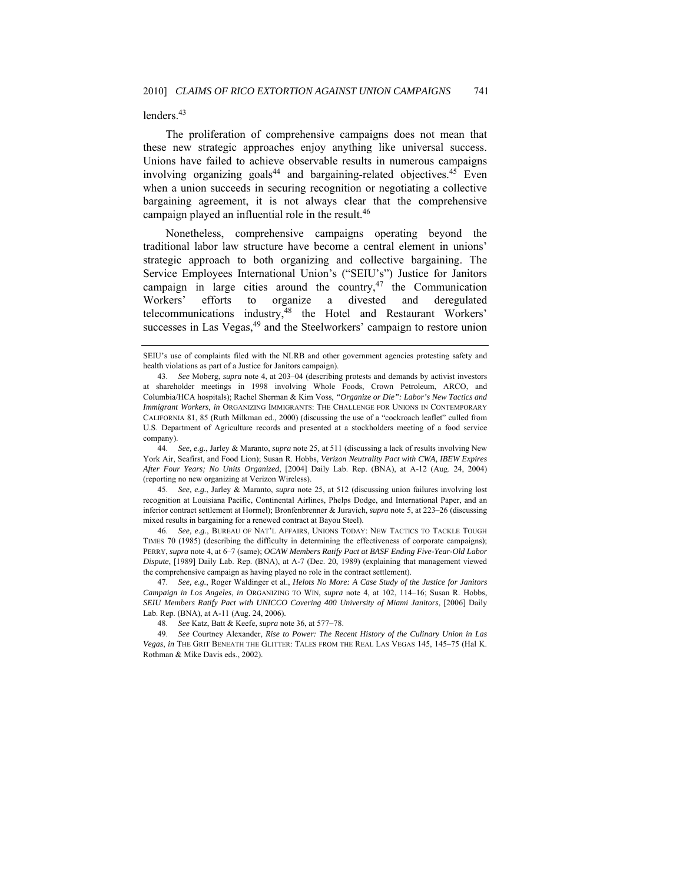#### lenders.<sup>43</sup>

The proliferation of comprehensive campaigns does not mean that these new strategic approaches enjoy anything like universal success. Unions have failed to achieve observable results in numerous campaigns involving organizing goals<sup>44</sup> and bargaining-related objectives.<sup>45</sup> Even when a union succeeds in securing recognition or negotiating a collective bargaining agreement, it is not always clear that the comprehensive campaign played an influential role in the result.<sup>46</sup>

Nonetheless, comprehensive campaigns operating beyond the traditional labor law structure have become a central element in unions' strategic approach to both organizing and collective bargaining. The Service Employees International Union's ("SEIU's") Justice for Janitors campaign in large cities around the country,<sup>47</sup> the Communication Workers' efforts to organize a divested and deregulated telecommunications industry,48 the Hotel and Restaurant Workers' successes in Las Vegas,<sup>49</sup> and the Steelworkers' campaign to restore union

SEIU's use of complaints filed with the NLRB and other government agencies protesting safety and health violations as part of a Justice for Janitors campaign).

<sup>43.</sup> *See* Moberg, *supra* note 4, at 203–04 (describing protests and demands by activist investors at shareholder meetings in 1998 involving Whole Foods, Crown Petroleum, ARCO, and Columbia/HCA hospitals); Rachel Sherman & Kim Voss, *"Organize or Die": Labor's New Tactics and Immigrant Workers*, *in* ORGANIZING IMMIGRANTS: THE CHALLENGE FOR UNIONS IN CONTEMPORARY CALIFORNIA 81, 85 (Ruth Milkman ed., 2000) (discussing the use of a "cockroach leaflet" culled from U.S. Department of Agriculture records and presented at a stockholders meeting of a food service company).

<sup>44.</sup> *See, e.g.*, Jarley & Maranto, *supra* note 25, at 511 (discussing a lack of results involving New York Air, Seafirst, and Food Lion); Susan R. Hobbs, *Verizon Neutrality Pact with CWA, IBEW Expires After Four Years; No Units Organized*, [2004] Daily Lab. Rep. (BNA), at A-12 (Aug. 24, 2004) (reporting no new organizing at Verizon Wireless).

<sup>45.</sup> *See, e.g.*, Jarley & Maranto, *supra* note 25, at 512 (discussing union failures involving lost recognition at Louisiana Pacific, Continental Airlines, Phelps Dodge, and International Paper, and an inferior contract settlement at Hormel); Bronfenbrenner & Juravich, *supra* note 5, at 223–26 (discussing mixed results in bargaining for a renewed contract at Bayou Steel).

<sup>46.</sup> *See, e.g.*, BUREAU OF NAT'L AFFAIRS, UNIONS TODAY: NEW TACTICS TO TACKLE TOUGH TIMES 70 (1985) (describing the difficulty in determining the effectiveness of corporate campaigns); PERRY, *supra* note 4, at 6–7 (same); *OCAW Members Ratify Pact at BASF Ending Five-Year-Old Labor Dispute*, [1989] Daily Lab. Rep. (BNA), at A-7 (Dec. 20, 1989) (explaining that management viewed the comprehensive campaign as having played no role in the contract settlement).

<sup>47.</sup> *See, e.g.*, Roger Waldinger et al., *Helots No More: A Case Study of the Justice for Janitors Campaign in Los Angeles*, *in* ORGANIZING TO WIN, *supra* note 4, at 102, 114–16; Susan R. Hobbs, *SEIU Members Ratify Pact with UNICCO Covering 400 University of Miami Janitors*, [2006] Daily Lab. Rep. (BNA), at A-11 (Aug. 24, 2006).

<sup>48.</sup> *See* Katz, Batt & Keefe, *supra* note 36, at 577−78.

<sup>49.</sup> *See* Courtney Alexander, *Rise to Power: The Recent History of the Culinary Union in Las Vegas*, *in* THE GRIT BENEATH THE GLITTER: TALES FROM THE REAL LAS VEGAS 145, 145–75 (Hal K. Rothman & Mike Davis eds., 2002).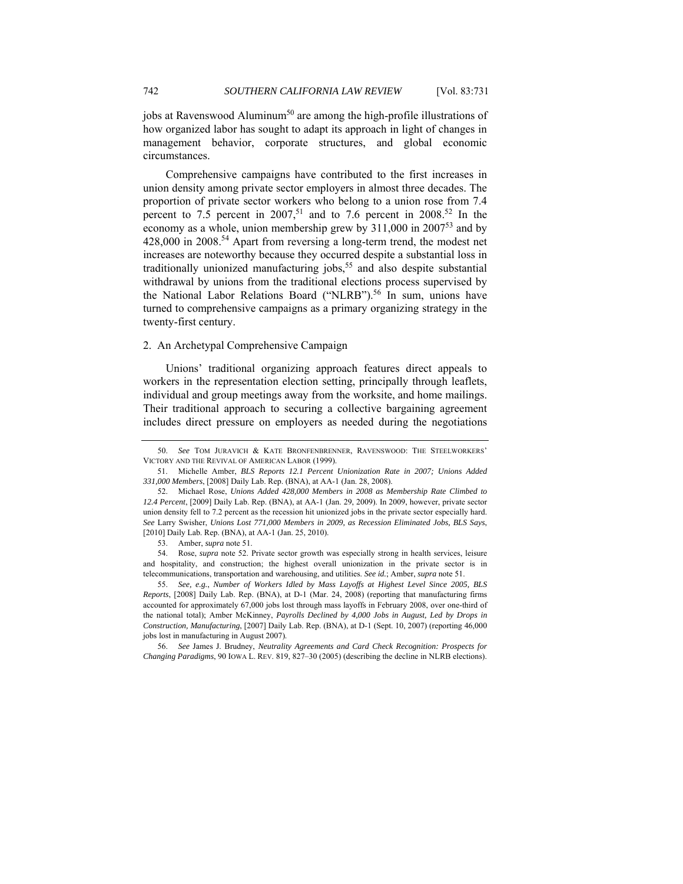jobs at Ravenswood Aluminum<sup>50</sup> are among the high-profile illustrations of how organized labor has sought to adapt its approach in light of changes in management behavior, corporate structures, and global economic circumstances.

Comprehensive campaigns have contributed to the first increases in union density among private sector employers in almost three decades. The proportion of private sector workers who belong to a union rose from 7.4 percent to 7.5 percent in 2007,<sup>51</sup> and to 7.6 percent in 2008.<sup>52</sup> In the economy as a whole, union membership grew by  $311,000$  in  $2007<sup>53</sup>$  and by 428,000 in 2008.54 Apart from reversing a long-term trend, the modest net increases are noteworthy because they occurred despite a substantial loss in traditionally unionized manufacturing jobs,<sup>55</sup> and also despite substantial withdrawal by unions from the traditional elections process supervised by the National Labor Relations Board ("NLRB").<sup>56</sup> In sum, unions have turned to comprehensive campaigns as a primary organizing strategy in the twenty-first century.

## 2. An Archetypal Comprehensive Campaign

Unions' traditional organizing approach features direct appeals to workers in the representation election setting, principally through leaflets, individual and group meetings away from the worksite, and home mailings. Their traditional approach to securing a collective bargaining agreement includes direct pressure on employers as needed during the negotiations

53. Amber, *supra* note 51.

 54. Rose, *supra* note 52. Private sector growth was especially strong in health services, leisure and hospitality, and construction; the highest overall unionization in the private sector is in telecommunications, transportation and warehousing, and utilities. *See id.*; Amber, *supra* note 51.

55. *See, e.g.*, *Number of Workers Idled by Mass Layoffs at Highest Level Since 2005, BLS Reports*, [2008] Daily Lab. Rep. (BNA), at D-1 (Mar. 24, 2008) (reporting that manufacturing firms accounted for approximately 67,000 jobs lost through mass layoffs in February 2008, over one-third of the national total); Amber McKinney, *Payrolls Declined by 4,000 Jobs in August, Led by Drops in Construction, Manufacturing*, [2007] Daily Lab. Rep. (BNA), at D-1 (Sept. 10, 2007) (reporting 46,000 jobs lost in manufacturing in August 2007).

56. *See* James J. Brudney, *Neutrality Agreements and Card Check Recognition: Prospects for Changing Paradigms*, 90 IOWA L. REV. 819, 827–30 (2005) (describing the decline in NLRB elections).

<sup>50.</sup> *See* TOM JURAVICH & KATE BRONFENBRENNER, RAVENSWOOD: THE STEELWORKERS' VICTORY AND THE REVIVAL OF AMERICAN LABOR (1999).

 <sup>51.</sup> Michelle Amber, *BLS Reports 12.1 Percent Unionization Rate in 2007; Unions Added 331,000 Members*, [2008] Daily Lab. Rep. (BNA), at AA-1 (Jan. 28, 2008).

<sup>52.</sup> Michael Rose, *Unions Added 428,000 Members in 2008 as Membership Rate Climbed to 12.4 Percent*, [2009] Daily Lab. Rep. (BNA), at AA-1 (Jan. 29, 2009). In 2009, however, private sector union density fell to 7.2 percent as the recession hit unionized jobs in the private sector especially hard. *See* Larry Swisher, *Unions Lost 771,000 Members in 2009, as Recession Eliminated Jobs, BLS Says*, [2010] Daily Lab. Rep. (BNA), at AA-1 (Jan. 25, 2010).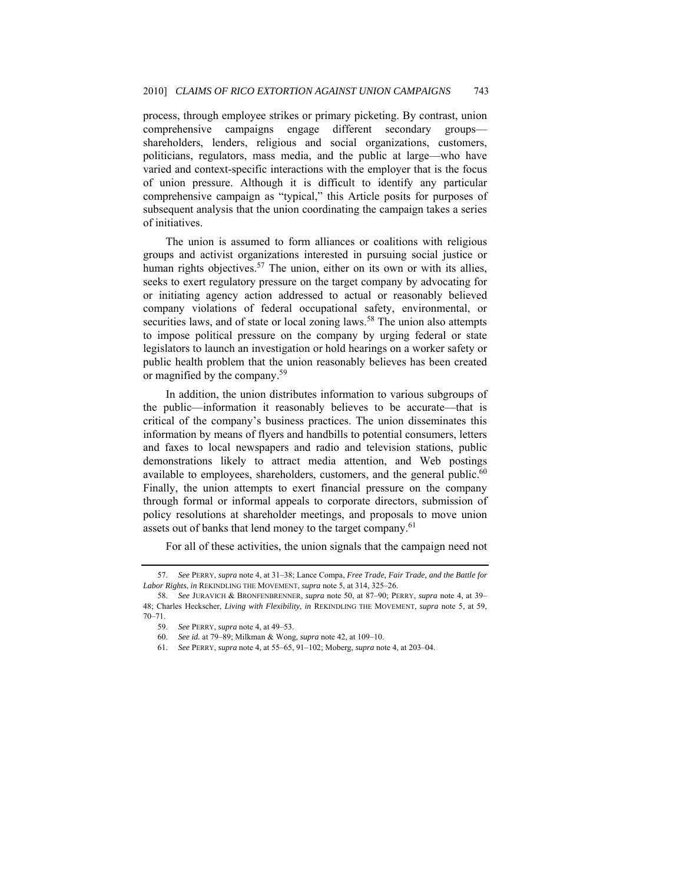process, through employee strikes or primary picketing. By contrast, union comprehensive campaigns engage different secondary groups shareholders, lenders, religious and social organizations, customers, politicians, regulators, mass media, and the public at large—who have varied and context-specific interactions with the employer that is the focus of union pressure. Although it is difficult to identify any particular comprehensive campaign as "typical," this Article posits for purposes of subsequent analysis that the union coordinating the campaign takes a series of initiatives.

The union is assumed to form alliances or coalitions with religious groups and activist organizations interested in pursuing social justice or human rights objectives.<sup>57</sup> The union, either on its own or with its allies, seeks to exert regulatory pressure on the target company by advocating for or initiating agency action addressed to actual or reasonably believed company violations of federal occupational safety, environmental, or securities laws, and of state or local zoning laws.<sup>58</sup> The union also attempts to impose political pressure on the company by urging federal or state legislators to launch an investigation or hold hearings on a worker safety or public health problem that the union reasonably believes has been created or magnified by the company.59

In addition, the union distributes information to various subgroups of the public—information it reasonably believes to be accurate—that is critical of the company's business practices. The union disseminates this information by means of flyers and handbills to potential consumers, letters and faxes to local newspapers and radio and television stations, public demonstrations likely to attract media attention, and Web postings available to employees, shareholders, customers, and the general public.<sup>60</sup> Finally, the union attempts to exert financial pressure on the company through formal or informal appeals to corporate directors, submission of policy resolutions at shareholder meetings, and proposals to move union assets out of banks that lend money to the target company.<sup>61</sup>

For all of these activities, the union signals that the campaign need not

<sup>57.</sup> *See* PERRY, *supra* note 4, at 31–38; Lance Compa, *Free Trade, Fair Trade, and the Battle for Labor Rights*, *in* REKINDLING THE MOVEMENT, *supra* note 5, at 314, 325–26.

<sup>58.</sup> *See* JURAVICH & BRONFENBRENNER, *supra* note 50, at 87–90; PERRY, *supra* note 4, at 39– 48; Charles Heckscher, *Living with Flexibility*, *in* REKINDLING THE MOVEMENT, *supra* note 5, at 59, 70–71.

<sup>59.</sup> *See* PERRY, *supra* note 4, at 49–53.

<sup>60.</sup> *See id.* at 79–89; Milkman & Wong, *supra* note 42, at 109–10.

<sup>61.</sup> *See* PERRY, *supra* note 4, at 55–65, 91–102; Moberg, *supra* note 4, at 203–04.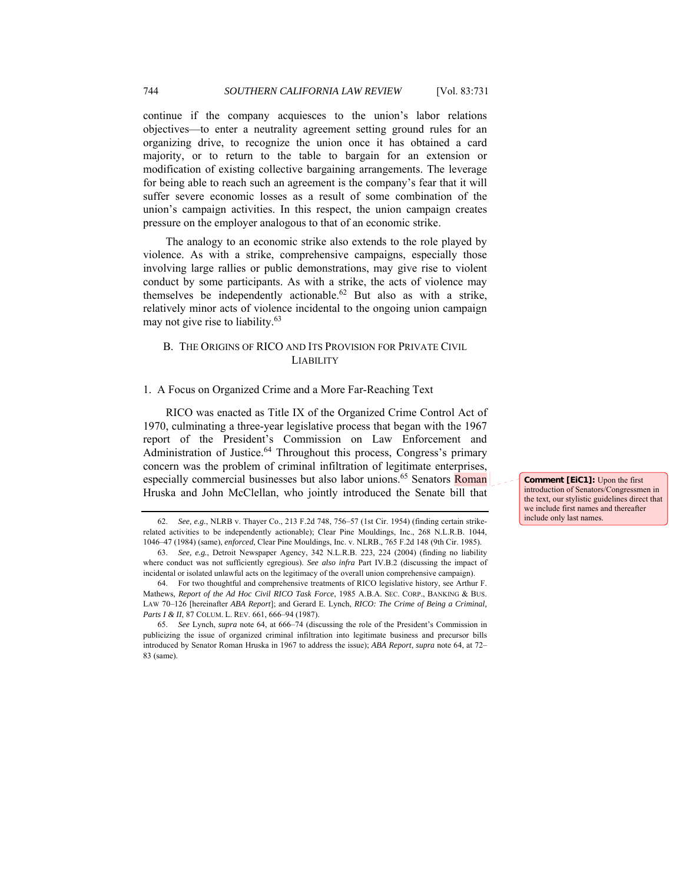continue if the company acquiesces to the union's labor relations objectives—to enter a neutrality agreement setting ground rules for an organizing drive, to recognize the union once it has obtained a card majority, or to return to the table to bargain for an extension or modification of existing collective bargaining arrangements. The leverage for being able to reach such an agreement is the company's fear that it will suffer severe economic losses as a result of some combination of the union's campaign activities. In this respect, the union campaign creates pressure on the employer analogous to that of an economic strike.

The analogy to an economic strike also extends to the role played by violence. As with a strike, comprehensive campaigns, especially those involving large rallies or public demonstrations, may give rise to violent conduct by some participants. As with a strike, the acts of violence may themselves be independently actionable.<sup>62</sup> But also as with a strike, relatively minor acts of violence incidental to the ongoing union campaign may not give rise to liability.<sup>63</sup>

## B. THE ORIGINS OF RICO AND ITS PROVISION FOR PRIVATE CIVIL LIABILITY

## 1. A Focus on Organized Crime and a More Far-Reaching Text

RICO was enacted as Title IX of the Organized Crime Control Act of 1970, culminating a three-year legislative process that began with the 1967 report of the President's Commission on Law Enforcement and Administration of Justice.<sup>64</sup> Throughout this process, Congress's primary concern was the problem of criminal infiltration of legitimate enterprises, especially commercial businesses but also labor unions.<sup>65</sup> Senators Roman Hruska and John McClellan, who jointly introduced the Senate bill that

**Comment [EiC1]:** Upon the first introduction of Senators/Congressmen in the text, our stylistic guidelines direct that we include first names and thereafter include only last names.

<sup>62.</sup> *See, e.g.*, NLRB v. Thayer Co., 213 F.2d 748, 756–57 (1st Cir. 1954) (finding certain strikerelated activities to be independently actionable); Clear Pine Mouldings, Inc., 268 N.L.R.B. 1044, 1046–47 (1984) (same), *enforced*, Clear Pine Mouldings, Inc. v. NLRB., 765 F.2d 148 (9th Cir. 1985).

<sup>63.</sup> *See, e.g.*, Detroit Newspaper Agency, 342 N.L.R.B. 223, 224 (2004) (finding no liability where conduct was not sufficiently egregious). *See also infra* Part IV.B.2 (discussing the impact of incidental or isolated unlawful acts on the legitimacy of the overall union comprehensive campaign).

 <sup>64.</sup> For two thoughtful and comprehensive treatments of RICO legislative history, see Arthur F. Mathews, *Report of the Ad Hoc Civil RICO Task Force*, 1985 A.B.A. SEC. CORP., BANKING & BUS. LAW 70–126 [hereinafter *ABA Report*]; and Gerard E. Lynch, *RICO: The Crime of Being a Criminal,*  Parts I & II, 87 COLUM. L. REV. 661, 666-94 (1987).

<sup>65.</sup> *See* Lynch, *supra* note 64, at 666–74 (discussing the role of the President's Commission in publicizing the issue of organized criminal infiltration into legitimate business and precursor bills introduced by Senator Roman Hruska in 1967 to address the issue); *ABA Report*, *supra* note 64, at 72– 83 (same).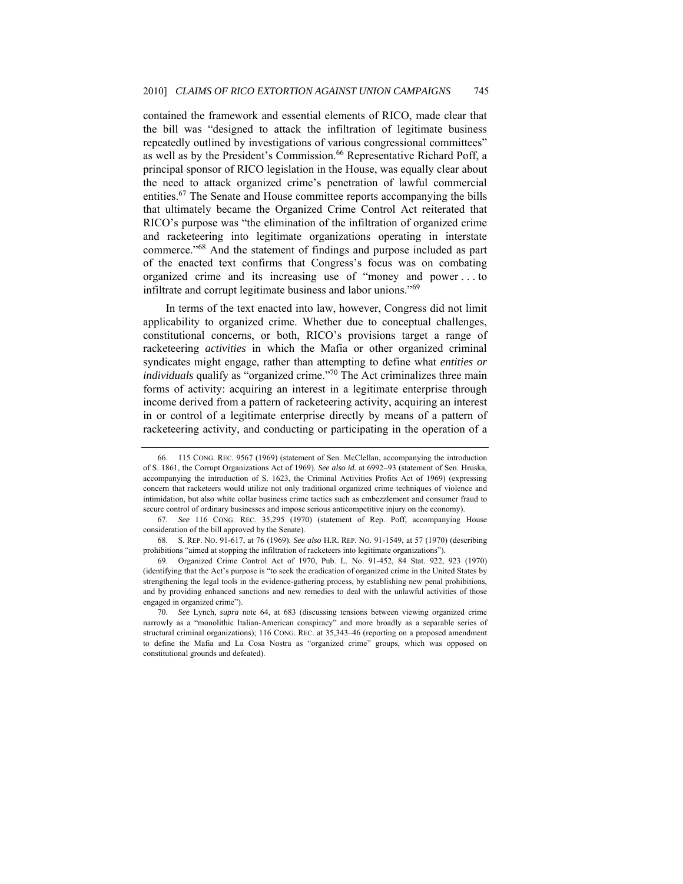contained the framework and essential elements of RICO, made clear that the bill was "designed to attack the infiltration of legitimate business repeatedly outlined by investigations of various congressional committees" as well as by the President's Commission.<sup>66</sup> Representative Richard Poff, a principal sponsor of RICO legislation in the House, was equally clear about the need to attack organized crime's penetration of lawful commercial entities.<sup>67</sup> The Senate and House committee reports accompanying the bills that ultimately became the Organized Crime Control Act reiterated that RICO's purpose was "the elimination of the infiltration of organized crime and racketeering into legitimate organizations operating in interstate commerce."68 And the statement of findings and purpose included as part of the enacted text confirms that Congress's focus was on combating organized crime and its increasing use of "money and power . . . to infiltrate and corrupt legitimate business and labor unions."<sup>69</sup>

In terms of the text enacted into law, however, Congress did not limit applicability to organized crime. Whether due to conceptual challenges, constitutional concerns, or both, RICO's provisions target a range of racketeering *activities* in which the Mafia or other organized criminal syndicates might engage, rather than attempting to define what *entities or individuals* qualify as "organized crime."<sup>70</sup> The Act criminalizes three main forms of activity: acquiring an interest in a legitimate enterprise through income derived from a pattern of racketeering activity, acquiring an interest in or control of a legitimate enterprise directly by means of a pattern of racketeering activity, and conducting or participating in the operation of a

 <sup>66. 115</sup> CONG. REC. 9567 (1969) (statement of Sen. McClellan, accompanying the introduction of S. 1861, the Corrupt Organizations Act of 1969). *See also id.* at 6992−93 (statement of Sen. Hruska, accompanying the introduction of S. 1623, the Criminal Activities Profits Act of 1969) (expressing concern that racketeers would utilize not only traditional organized crime techniques of violence and intimidation, but also white collar business crime tactics such as embezzlement and consumer fraud to secure control of ordinary businesses and impose serious anticompetitive injury on the economy).

<sup>67.</sup> *See* 116 CONG. REC. 35,295 (1970) (statement of Rep. Poff, accompanying House consideration of the bill approved by the Senate).

 <sup>68.</sup> S. REP. NO. 91-617, at 76 (1969). *See also* H.R. REP. NO. 91-1549, at 57 (1970) (describing prohibitions "aimed at stopping the infiltration of racketeers into legitimate organizations").

 <sup>69.</sup> Organized Crime Control Act of 1970, Pub. L. No. 91-452, 84 Stat. 922, 923 (1970) (identifying that the Act's purpose is "to seek the eradication of organized crime in the United States by strengthening the legal tools in the evidence-gathering process, by establishing new penal prohibitions, and by providing enhanced sanctions and new remedies to deal with the unlawful activities of those engaged in organized crime").

<sup>70.</sup> *See* Lynch, *supra* note 64, at 683 (discussing tensions between viewing organized crime narrowly as a "monolithic Italian-American conspiracy" and more broadly as a separable series of structural criminal organizations); 116 CONG. REC. at 35,343–46 (reporting on a proposed amendment to define the Mafia and La Cosa Nostra as "organized crime" groups, which was opposed on constitutional grounds and defeated).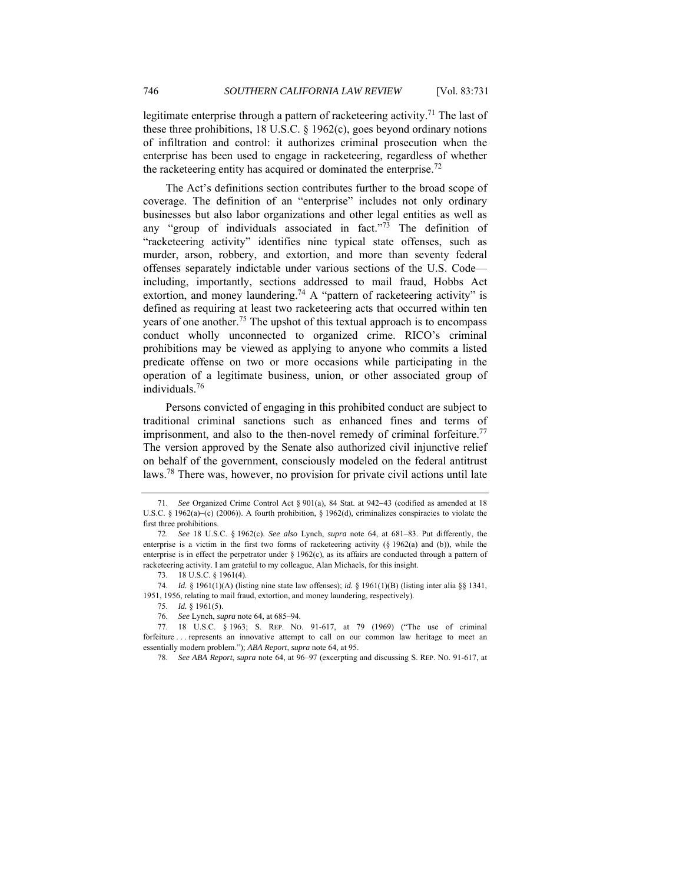legitimate enterprise through a pattern of racketeering activity.<sup>71</sup> The last of these three prohibitions, 18 U.S.C. § 1962(c), goes beyond ordinary notions of infiltration and control: it authorizes criminal prosecution when the enterprise has been used to engage in racketeering, regardless of whether the racketeering entity has acquired or dominated the enterprise.<sup>72</sup>

The Act's definitions section contributes further to the broad scope of coverage. The definition of an "enterprise" includes not only ordinary businesses but also labor organizations and other legal entities as well as any "group of individuals associated in fact." $\frac{73}{3}$  The definition of "racketeering activity" identifies nine typical state offenses, such as murder, arson, robbery, and extortion, and more than seventy federal offenses separately indictable under various sections of the U.S. Code including, importantly, sections addressed to mail fraud, Hobbs Act extortion, and money laundering.<sup>74</sup> A "pattern of racketeering activity" is defined as requiring at least two racketeering acts that occurred within ten years of one another.<sup>75</sup> The upshot of this textual approach is to encompass conduct wholly unconnected to organized crime. RICO's criminal prohibitions may be viewed as applying to anyone who commits a listed predicate offense on two or more occasions while participating in the operation of a legitimate business, union, or other associated group of individuals.76

Persons convicted of engaging in this prohibited conduct are subject to traditional criminal sanctions such as enhanced fines and terms of imprisonment, and also to the then-novel remedy of criminal forfeiture.<sup>77</sup> The version approved by the Senate also authorized civil injunctive relief on behalf of the government, consciously modeled on the federal antitrust laws.78 There was, however, no provision for private civil actions until late

<sup>71.</sup> *See* Organized Crime Control Act § 901(a), 84 Stat. at 942−43 (codified as amended at 18 U.S.C. § 1962(a)–(c) (2006)). A fourth prohibition, § 1962(d), criminalizes conspiracies to violate the first three prohibitions.

<sup>72.</sup> *See* 18 U.S.C. § 1962(c). *See also* Lynch, *supra* note 64, at 681–83. Put differently, the enterprise is a victim in the first two forms of racketeering activity (§ 1962(a) and (b)), while the enterprise is in effect the perpetrator under  $\S 1962(c)$ , as its affairs are conducted through a pattern of racketeering activity. I am grateful to my colleague, Alan Michaels, for this insight.

<sup>73.</sup> 18 U.S.C. § 1961(4).

<sup>74.</sup> *Id.* § 1961(1)(A) (listing nine state law offenses); *id.* § 1961(1)(B) (listing inter alia §§ 1341, 1951, 1956, relating to mail fraud, extortion, and money laundering, respectively).

<sup>75.</sup> *Id.* § 1961(5).

<sup>76.</sup> *See* Lynch, *supra* note 64, at 685–94.

<sup>77.</sup> 18 U.S.C. § 1963; S. REP. NO. 91-617, at 79 (1969) ("The use of criminal forfeiture . . . represents an innovative attempt to call on our common law heritage to meet an essentially modern problem."); *ABA Report*, *supra* note 64, at 95.

<sup>78.</sup> *See ABA Report*, *supra* note 64, at 96–97 (excerpting and discussing S. REP. NO. 91-617, at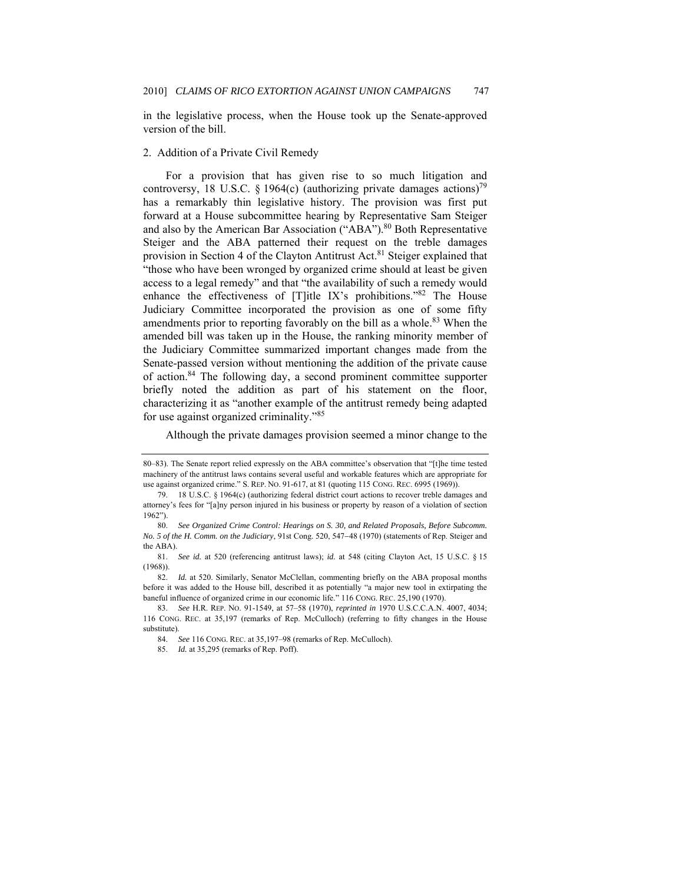in the legislative process, when the House took up the Senate-approved version of the bill.

## 2. Addition of a Private Civil Remedy

For a provision that has given rise to so much litigation and controversy, 18 U.S.C. § 1964(c) (authorizing private damages actions)<sup>79</sup> has a remarkably thin legislative history. The provision was first put forward at a House subcommittee hearing by Representative Sam Steiger and also by the American Bar Association ("ABA").<sup>80</sup> Both Representative Steiger and the ABA patterned their request on the treble damages provision in Section 4 of the Clayton Antitrust Act.<sup>81</sup> Steiger explained that "those who have been wronged by organized crime should at least be given access to a legal remedy" and that "the availability of such a remedy would enhance the effectiveness of  $[T]$ itle IX's prohibitions."<sup>82</sup> The House Judiciary Committee incorporated the provision as one of some fifty amendments prior to reporting favorably on the bill as a whole.<sup>83</sup> When the amended bill was taken up in the House, the ranking minority member of the Judiciary Committee summarized important changes made from the Senate-passed version without mentioning the addition of the private cause of action.84 The following day, a second prominent committee supporter briefly noted the addition as part of his statement on the floor, characterizing it as "another example of the antitrust remedy being adapted for use against organized criminality."<sup>85</sup>

Although the private damages provision seemed a minor change to the

82. *Id.* at 520. Similarly, Senator McClellan, commenting briefly on the ABA proposal months before it was added to the House bill, described it as potentially "a major new tool in extirpating the baneful influence of organized crime in our economic life." 116 CONG. REC. 25,190 (1970).

<sup>80–83).</sup> The Senate report relied expressly on the ABA committee's observation that "[t]he time tested machinery of the antitrust laws contains several useful and workable features which are appropriate for use against organized crime." S. REP. NO. 91-617, at 81 (quoting 115 CONG. REC. 6995 (1969)).

<sup>18</sup> U.S.C. § 1964(c) (authorizing federal district court actions to recover treble damages and attorney's fees for "[a]ny person injured in his business or property by reason of a violation of section 1962").

<sup>80.</sup> *See Organized Crime Control: Hearings on S. 30, and Related Proposals, Before Subcomm. No. 5 of the H. Comm. on the Judiciary*, 91st Cong. 520, 547−48 (1970) (statements of Rep. Steiger and the ABA).

 <sup>81.</sup> *See id.* at 520 (referencing antitrust laws); *id.* at 548 (citing Clayton Act, 15 U.S.C. § 15 (1968)).

<sup>83.</sup> *See* H.R. REP. NO. 91-1549, at 57–58 (1970), *reprinted in* 1970 U.S.C.C.A.N. 4007, 4034; 116 CONG. REC. at 35,197 (remarks of Rep. McCulloch) (referring to fifty changes in the House substitute).

<sup>84.</sup> *See* 116 CONG. REC. at 35,197–98 (remarks of Rep. McCulloch).

 <sup>85.</sup> *Id.* at 35,295 (remarks of Rep. Poff).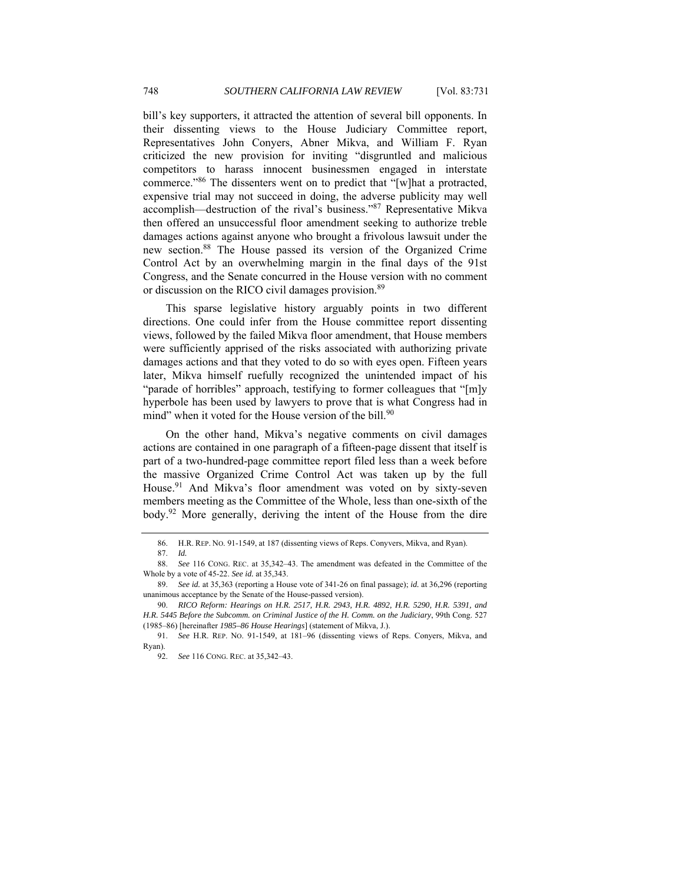bill's key supporters, it attracted the attention of several bill opponents. In their dissenting views to the House Judiciary Committee report, Representatives John Conyers, Abner Mikva, and William F. Ryan criticized the new provision for inviting "disgruntled and malicious competitors to harass innocent businessmen engaged in interstate commerce."86 The dissenters went on to predict that "[w]hat a protracted, expensive trial may not succeed in doing, the adverse publicity may well accomplish—destruction of the rival's business."87 Representative Mikva then offered an unsuccessful floor amendment seeking to authorize treble damages actions against anyone who brought a frivolous lawsuit under the new section.88 The House passed its version of the Organized Crime Control Act by an overwhelming margin in the final days of the 91st Congress, and the Senate concurred in the House version with no comment or discussion on the RICO civil damages provision.<sup>89</sup>

This sparse legislative history arguably points in two different directions. One could infer from the House committee report dissenting views, followed by the failed Mikva floor amendment, that House members were sufficiently apprised of the risks associated with authorizing private damages actions and that they voted to do so with eyes open. Fifteen years later, Mikva himself ruefully recognized the unintended impact of his "parade of horribles" approach, testifying to former colleagues that "[m]y hyperbole has been used by lawyers to prove that is what Congress had in mind" when it voted for the House version of the bill.<sup>90</sup>

On the other hand, Mikva's negative comments on civil damages actions are contained in one paragraph of a fifteen-page dissent that itself is part of a two-hundred-page committee report filed less than a week before the massive Organized Crime Control Act was taken up by the full House.<sup>91</sup> And Mikva's floor amendment was voted on by sixty-seven members meeting as the Committee of the Whole, less than one-sixth of the body.<sup>92</sup> More generally, deriving the intent of the House from the dire

 <sup>86.</sup> H.R. REP. NO. 91-1549, at 187 (dissenting views of Reps. Conyvers, Mikva, and Ryan).

<sup>87.</sup> *Id.*

<sup>88.</sup> *See* 116 CONG. REC. at 35,342–43. The amendment was defeated in the Committee of the Whole by a vote of 45-22. *See id.* at 35,343.

<sup>89.</sup> *See id.* at 35,363 (reporting a House vote of 341-26 on final passage); *id.* at 36,296 (reporting unanimous acceptance by the Senate of the House-passed version).

<sup>90.</sup> *RICO Reform: Hearings on H.R. 2517, H.R. 2943, H.R. 4892, H.R. 5290, H.R. 5391, and H.R. 5445 Before the Subcomm. on Criminal Justice of the H. Comm. on the Judiciary*, 99th Cong. 527 (1985–86) [hereinafter *1985–86 House Hearings*] (statement of Mikva, J.).

<sup>91.</sup> *See* H.R. REP. NO. 91-1549, at 181–96 (dissenting views of Reps. Conyers, Mikva, and Ryan).

<sup>92.</sup> *See* 116 CONG. REC. at 35,342–43.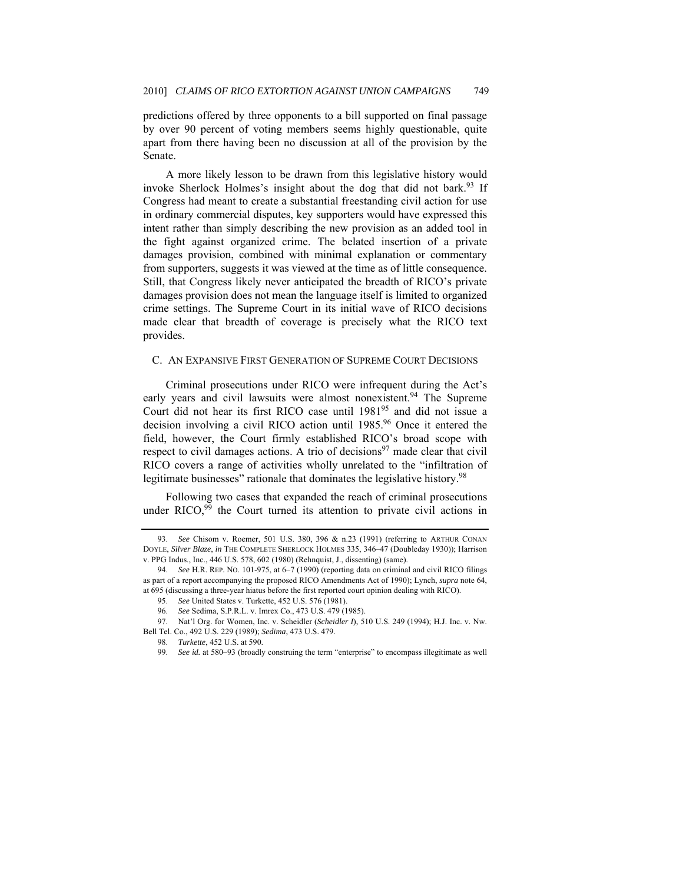predictions offered by three opponents to a bill supported on final passage by over 90 percent of voting members seems highly questionable, quite apart from there having been no discussion at all of the provision by the Senate.

A more likely lesson to be drawn from this legislative history would invoke Sherlock Holmes's insight about the dog that did not bark.<sup>93</sup> If Congress had meant to create a substantial freestanding civil action for use in ordinary commercial disputes, key supporters would have expressed this intent rather than simply describing the new provision as an added tool in the fight against organized crime. The belated insertion of a private damages provision, combined with minimal explanation or commentary from supporters, suggests it was viewed at the time as of little consequence. Still, that Congress likely never anticipated the breadth of RICO's private damages provision does not mean the language itself is limited to organized crime settings. The Supreme Court in its initial wave of RICO decisions made clear that breadth of coverage is precisely what the RICO text provides.

### C. AN EXPANSIVE FIRST GENERATION OF SUPREME COURT DECISIONS

Criminal prosecutions under RICO were infrequent during the Act's early years and civil lawsuits were almost nonexistent.<sup>94</sup> The Supreme Court did not hear its first RICO case until 198195 and did not issue a decision involving a civil RICO action until 1985.<sup>96</sup> Once it entered the field, however, the Court firmly established RICO's broad scope with respect to civil damages actions. A trio of decisions<sup>97</sup> made clear that civil RICO covers a range of activities wholly unrelated to the "infiltration of legitimate businesses" rationale that dominates the legislative history.<sup>98</sup>

Following two cases that expanded the reach of criminal prosecutions under RICO, $99$  the Court turned its attention to private civil actions in

<sup>93.</sup> *See* Chisom v. Roemer, 501 U.S. 380, 396 & n.23 (1991) (referring to ARTHUR CONAN DOYLE, *Silver Blaze*, *in* THE COMPLETE SHERLOCK HOLMES 335, 346–47 (Doubleday 1930)); Harrison v. PPG Indus., Inc., 446 U.S. 578, 602 (1980) (Rehnquist, J., dissenting) (same).

<sup>94.</sup> *See* H.R. REP. NO. 101-975, at 6–7 (1990) (reporting data on criminal and civil RICO filings as part of a report accompanying the proposed RICO Amendments Act of 1990); Lynch, *supra* note 64, at 695 (discussing a three-year hiatus before the first reported court opinion dealing with RICO).

 <sup>95.</sup> *See* United States v. Turkette, 452 U.S. 576 (1981).

 <sup>96.</sup> *See* Sedima, S.P.R.L. v. Imrex Co., 473 U.S. 479 (1985).

 <sup>97.</sup> Nat'l Org. for Women, Inc. v. Scheidler (*Scheidler I*), 510 U.S. 249 (1994); H.J. Inc. v. Nw. Bell Tel. Co., 492 U.S. 229 (1989); *Sedima*, 473 U.S. 479.

 <sup>98.</sup> *Turkette*, 452 U.S. at 590.

<sup>99.</sup> *See id.* at 580–93 (broadly construing the term "enterprise" to encompass illegitimate as well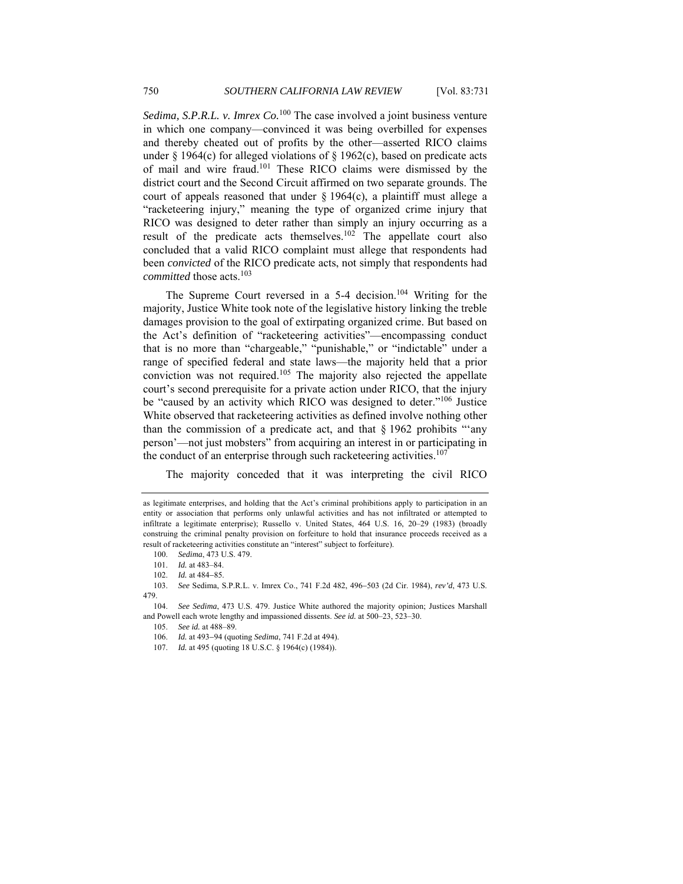*Sedima, S.P.R.L. v. Imrex Co.*100 The case involved a joint business venture in which one company—convinced it was being overbilled for expenses and thereby cheated out of profits by the other—asserted RICO claims under § 1964(c) for alleged violations of § 1962(c), based on predicate acts of mail and wire fraud.101 These RICO claims were dismissed by the district court and the Second Circuit affirmed on two separate grounds. The court of appeals reasoned that under § 1964(c), a plaintiff must allege a "racketeering injury," meaning the type of organized crime injury that RICO was designed to deter rather than simply an injury occurring as a result of the predicate acts themselves.102 The appellate court also concluded that a valid RICO complaint must allege that respondents had been *convicted* of the RICO predicate acts, not simply that respondents had *committed* those acts.<sup>103</sup>

The Supreme Court reversed in a 5-4 decision.<sup>104</sup> Writing for the majority, Justice White took note of the legislative history linking the treble damages provision to the goal of extirpating organized crime. But based on the Act's definition of "racketeering activities"—encompassing conduct that is no more than "chargeable," "punishable," or "indictable" under a range of specified federal and state laws—the majority held that a prior conviction was not required.<sup>105</sup> The majority also rejected the appellate court's second prerequisite for a private action under RICO, that the injury be "caused by an activity which RICO was designed to deter."106 Justice White observed that racketeering activities as defined involve nothing other than the commission of a predicate act, and that  $\S$  1962 prohibits "'any person'—not just mobsters" from acquiring an interest in or participating in the conduct of an enterprise through such racketeering activities.<sup>107</sup>

The majority conceded that it was interpreting the civil RICO

100. *Sedima*, 473 U.S. 479.

as legitimate enterprises, and holding that the Act's criminal prohibitions apply to participation in an entity or association that performs only unlawful activities and has not infiltrated or attempted to infiltrate a legitimate enterprise); Russello v. United States, 464 U.S. 16, 20–29 (1983) (broadly construing the criminal penalty provision on forfeiture to hold that insurance proceeds received as a result of racketeering activities constitute an "interest" subject to forfeiture).

<sup>101.</sup> *Id.* at 483–84.

 <sup>102.</sup> *Id.* at 484−85.

<sup>103.</sup> *See* Sedima, S.P.R.L. v. Imrex Co., 741 F.2d 482, 496−503 (2d Cir. 1984), *rev'd*, 473 U.S. 479.

 <sup>104.</sup> *See Sedima*, 473 U.S. 479. Justice White authored the majority opinion; Justices Marshall and Powell each wrote lengthy and impassioned dissents. *See id.* at 500–23, 523–30.

<sup>105.</sup> *See id.* at 488–89.

<sup>106.</sup> *Id.* at 493−94 (quoting *Sedima*, 741 F.2d at 494).

<sup>107.</sup> *Id.* at 495 (quoting 18 U.S.C. § 1964(c) (1984)).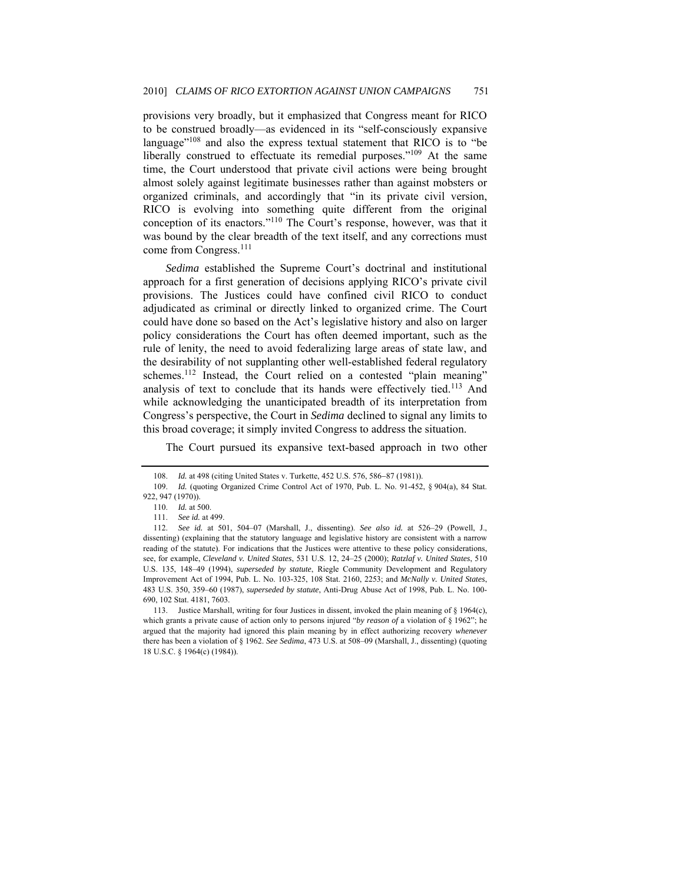provisions very broadly, but it emphasized that Congress meant for RICO to be construed broadly—as evidenced in its "self-consciously expansive language"<sup>108</sup> and also the express textual statement that RICO is to "be liberally construed to effectuate its remedial purposes."<sup>109</sup> At the same time, the Court understood that private civil actions were being brought almost solely against legitimate businesses rather than against mobsters or organized criminals, and accordingly that "in its private civil version, RICO is evolving into something quite different from the original conception of its enactors."110 The Court's response, however, was that it was bound by the clear breadth of the text itself, and any corrections must come from Congress.<sup>111</sup>

*Sedima* established the Supreme Court's doctrinal and institutional approach for a first generation of decisions applying RICO's private civil provisions. The Justices could have confined civil RICO to conduct adjudicated as criminal or directly linked to organized crime. The Court could have done so based on the Act's legislative history and also on larger policy considerations the Court has often deemed important, such as the rule of lenity, the need to avoid federalizing large areas of state law, and the desirability of not supplanting other well-established federal regulatory schemes.<sup>112</sup> Instead, the Court relied on a contested "plain meaning" analysis of text to conclude that its hands were effectively tied.113 And while acknowledging the unanticipated breadth of its interpretation from Congress's perspective, the Court in *Sedima* declined to signal any limits to this broad coverage; it simply invited Congress to address the situation.

The Court pursued its expansive text-based approach in two other

 <sup>108.</sup> *Id.* at 498 (citing United States v. Turkette, 452 U.S. 576, 586−87 (1981)).

<sup>109.</sup> *Id.* (quoting Organized Crime Control Act of 1970, Pub. L. No. 91-452, § 904(a), 84 Stat. 922, 947 (1970)).

<sup>110.</sup> *Id.* at 500.

<sup>111.</sup> *See id.* at 499.

<sup>112.</sup> *See id.* at 501, 504–07 (Marshall, J., dissenting). *See also id.* at 526–29 (Powell, J., dissenting) (explaining that the statutory language and legislative history are consistent with a narrow reading of the statute). For indications that the Justices were attentive to these policy considerations, see, for example, *Cleveland v. United States*, 531 U.S. 12, 24–25 (2000); *Ratzlaf v. United States*, 510 U.S. 135, 148–49 (1994), *superseded by statute*, Riegle Community Development and Regulatory Improvement Act of 1994, Pub. L. No. 103-325, 108 Stat. 2160, 2253; and *McNally v. United States*, 483 U.S. 350, 359–60 (1987), *superseded by statute*, Anti-Drug Abuse Act of 1998, Pub. L. No. 100- 690, 102 Stat. 4181, 7603.

 <sup>113.</sup> Justice Marshall, writing for four Justices in dissent, invoked the plain meaning of § 1964(c), which grants a private cause of action only to persons injured "*by reason of* a violation of § 1962"; he argued that the majority had ignored this plain meaning by in effect authorizing recovery *whenever* there has been a violation of § 1962. *See Sedima*, 473 U.S. at 508–09 (Marshall, J., dissenting) (quoting 18 U.S.C. § 1964(c) (1984)).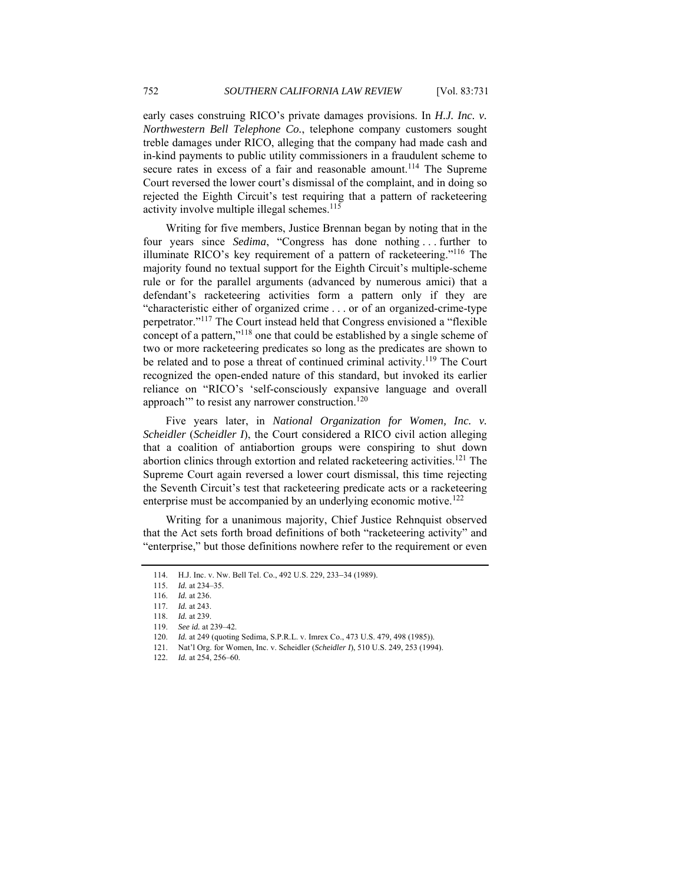early cases construing RICO's private damages provisions. In *H.J. Inc. v. Northwestern Bell Telephone Co.*, telephone company customers sought treble damages under RICO, alleging that the company had made cash and in-kind payments to public utility commissioners in a fraudulent scheme to secure rates in excess of a fair and reasonable amount.<sup>114</sup> The Supreme Court reversed the lower court's dismissal of the complaint, and in doing so rejected the Eighth Circuit's test requiring that a pattern of racketeering activity involve multiple illegal schemes.<sup>115</sup>

Writing for five members, Justice Brennan began by noting that in the four years since *Sedima*, "Congress has done nothing . . . further to illuminate RICO's key requirement of a pattern of racketeering."116 The majority found no textual support for the Eighth Circuit's multiple-scheme rule or for the parallel arguments (advanced by numerous amici) that a defendant's racketeering activities form a pattern only if they are "characteristic either of organized crime . . . or of an organized-crime-type perpetrator."117 The Court instead held that Congress envisioned a "flexible concept of a pattern,"<sup>118</sup> one that could be established by a single scheme of two or more racketeering predicates so long as the predicates are shown to be related and to pose a threat of continued criminal activity.<sup>119</sup> The Court recognized the open-ended nature of this standard, but invoked its earlier reliance on "RICO's 'self-consciously expansive language and overall approach<sup>"</sup> to resist any narrower construction.<sup>120</sup>

Five years later, in *National Organization for Women, Inc. v. Scheidler* (*Scheidler I*), the Court considered a RICO civil action alleging that a coalition of antiabortion groups were conspiring to shut down abortion clinics through extortion and related racketeering activities.<sup>121</sup> The Supreme Court again reversed a lower court dismissal, this time rejecting the Seventh Circuit's test that racketeering predicate acts or a racketeering enterprise must be accompanied by an underlying economic motive.<sup>122</sup>

Writing for a unanimous majority, Chief Justice Rehnquist observed that the Act sets forth broad definitions of both "racketeering activity" and "enterprise," but those definitions nowhere refer to the requirement or even

<sup>114.</sup> H.J. Inc. v. Nw. Bell Tel. Co., 492 U.S. 229, 233−34 (1989).

<sup>115.</sup> *Id.* at 234–35.

<sup>116.</sup> *Id.* at 236.

<sup>117.</sup> *Id.* at 243.

 <sup>118.</sup> *Id.* at 239.

<sup>119.</sup> *See id.* at 239–42.

<sup>120.</sup> *Id.* at 249 (quoting Sedima, S.P.R.L. v. Imrex Co., 473 U.S. 479, 498 (1985)).

<sup>121.</sup> Nat'l Org. for Women, Inc. v. Scheidler (*Scheidler I*), 510 U.S. 249, 253 (1994).

<sup>122.</sup> *Id.* at 254, 256–60.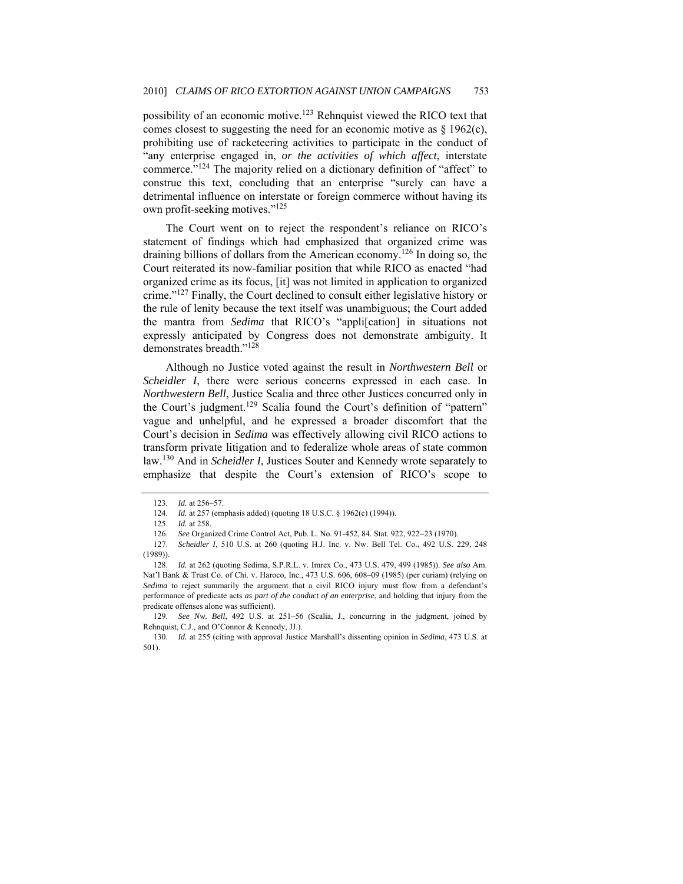possibility of an economic motive.<sup>123</sup> Rehnquist viewed the RICO text that comes closest to suggesting the need for an economic motive as  $\S$  1962(c), prohibiting use of racketeering activities to participate in the conduct of "any enterprise engaged in, *or the activities of which affect*, interstate commerce."124 The majority relied on a dictionary definition of "affect" to construe this text, concluding that an enterprise "surely can have a detrimental influence on interstate or foreign commerce without having its own profit-seeking motives."<sup>125</sup>

The Court went on to reject the respondent's reliance on RICO's statement of findings which had emphasized that organized crime was draining billions of dollars from the American economy.126 In doing so, the Court reiterated its now-familiar position that while RICO as enacted "had organized crime as its focus, [it] was not limited in application to organized crime."<sup>127</sup> Finally, the Court declined to consult either legislative history or the rule of lenity because the text itself was unambiguous; the Court added the mantra from *Sedima* that RICO's "appli[cation] in situations not expressly anticipated by Congress does not demonstrate ambiguity. It demonstrates breadth."<sup>128</sup>

Although no Justice voted against the result in *Northwestern Bell* or *Scheidler I*, there were serious concerns expressed in each case. In *Northwestern Bell*, Justice Scalia and three other Justices concurred only in the Court's judgment.<sup>129</sup> Scalia found the Court's definition of "pattern" vague and unhelpful, and he expressed a broader discomfort that the Court's decision in *Sedima* was effectively allowing civil RICO actions to transform private litigation and to federalize whole areas of state common law.130 And in *Scheidler I*, Justices Souter and Kennedy wrote separately to emphasize that despite the Court's extension of RICO's scope to

<sup>123.</sup> *Id.* at 256–57.

<sup>124.</sup> *Id.* at 257 (emphasis added) (quoting 18 U.S.C. § 1962(c) (1994)).

<sup>125.</sup> *Id.* at 258.

 <sup>126.</sup> *See* Organized Crime Control Act, Pub. L. No. 91-452, 84. Stat. 922, 922−23 (1970).

<sup>127.</sup> *Scheidler I*, 510 U.S. at 260 (quoting H.J. Inc. v. Nw. Bell Tel. Co., 492 U.S. 229, 248 (1989)).

<sup>128.</sup> *Id.* at 262 (quoting Sedima, S.P.R.L. v. Imrex Co., 473 U.S. 479, 499 (1985)). *See also* Am. Nat'l Bank & Trust Co. of Chi. v. Haroco, Inc., 473 U.S. 606, 608–09 (1985) (per curiam) (relying on *Sedima* to reject summarily the argument that a civil RICO injury must flow from a defendant's performance of predicate acts *as part of the conduct of an enterprise*, and holding that injury from the predicate offenses alone was sufficient).

<sup>129.</sup> *See Nw. Bell*, 492 U.S. at 251–56 (Scalia, J., concurring in the judgment, joined by Rehnquist, C.J., and O'Connor & Kennedy, JJ.).

<sup>130.</sup> *Id.* at 255 (citing with approval Justice Marshall's dissenting opinion in *Sedima*, 473 U.S. at 501).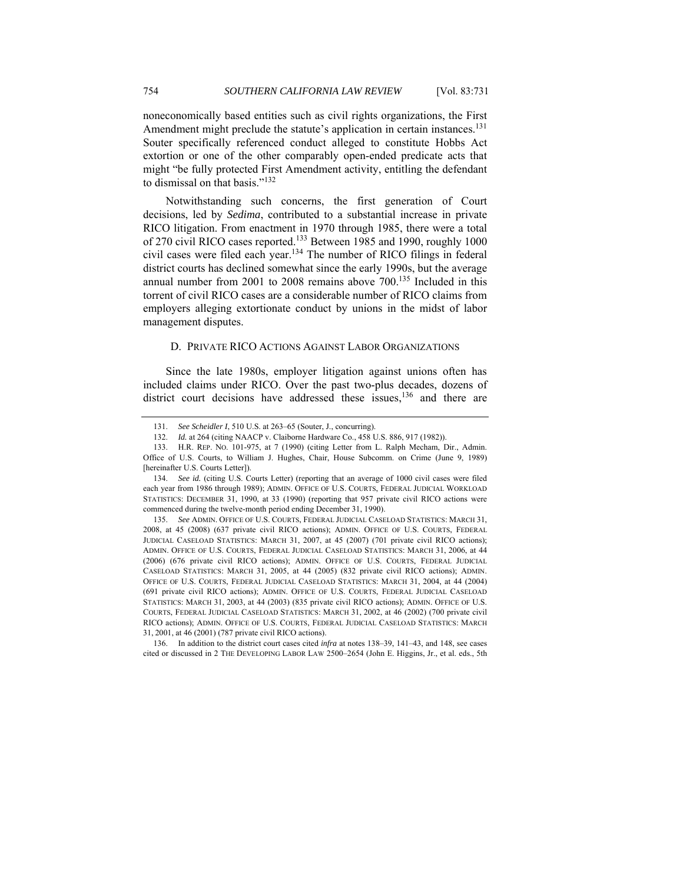noneconomically based entities such as civil rights organizations, the First Amendment might preclude the statute's application in certain instances.<sup>131</sup> Souter specifically referenced conduct alleged to constitute Hobbs Act extortion or one of the other comparably open-ended predicate acts that might "be fully protected First Amendment activity, entitling the defendant to dismissal on that basis."<sup>132</sup>

Notwithstanding such concerns, the first generation of Court decisions, led by *Sedima*, contributed to a substantial increase in private RICO litigation. From enactment in 1970 through 1985, there were a total of 270 civil RICO cases reported.133 Between 1985 and 1990, roughly 1000 civil cases were filed each year.134 The number of RICO filings in federal district courts has declined somewhat since the early 1990s, but the average annual number from 2001 to 2008 remains above 700.<sup>135</sup> Included in this torrent of civil RICO cases are a considerable number of RICO claims from employers alleging extortionate conduct by unions in the midst of labor management disputes.

# D. PRIVATE RICO ACTIONS AGAINST LABOR ORGANIZATIONS

Since the late 1980s, employer litigation against unions often has included claims under RICO. Over the past two-plus decades, dozens of district court decisions have addressed these issues,  $136$  and there are

135. *See* ADMIN. OFFICE OF U.S. COURTS, FEDERAL JUDICIAL CASELOAD STATISTICS: MARCH 31, 2008, at 45 (2008) (637 private civil RICO actions); ADMIN. OFFICE OF U.S. COURTS, FEDERAL JUDICIAL CASELOAD STATISTICS: MARCH 31, 2007, at 45 (2007) (701 private civil RICO actions); ADMIN. OFFICE OF U.S. COURTS, FEDERAL JUDICIAL CASELOAD STATISTICS: MARCH 31, 2006, at 44 (2006) (676 private civil RICO actions); ADMIN. OFFICE OF U.S. COURTS, FEDERAL JUDICIAL CASELOAD STATISTICS: MARCH 31, 2005, at 44 (2005) (832 private civil RICO actions); ADMIN. OFFICE OF U.S. COURTS, FEDERAL JUDICIAL CASELOAD STATISTICS: MARCH 31, 2004, at 44 (2004) (691 private civil RICO actions); ADMIN. OFFICE OF U.S. COURTS, FEDERAL JUDICIAL CASELOAD STATISTICS: MARCH 31, 2003, at 44 (2003) (835 private civil RICO actions); ADMIN. OFFICE OF U.S. COURTS, FEDERAL JUDICIAL CASELOAD STATISTICS: MARCH 31, 2002, at 46 (2002) (700 private civil RICO actions); ADMIN. OFFICE OF U.S. COURTS, FEDERAL JUDICIAL CASELOAD STATISTICS: MARCH 31, 2001, at 46 (2001) (787 private civil RICO actions).

<sup>131.</sup> *See Scheidler I*, 510 U.S. at 263–65 (Souter, J., concurring).

<sup>132.</sup> *Id.* at 264 (citing NAACP v. Claiborne Hardware Co., 458 U.S. 886, 917 (1982)).

<sup>133.</sup> H.R. REP. NO. 101-975, at 7 (1990) (citing Letter from L. Ralph Mecham, Dir., Admin. Office of U.S. Courts, to William J. Hughes, Chair, House Subcomm. on Crime (June 9, 1989) [hereinafter U.S. Courts Letter]).

<sup>134.</sup> *See id.* (citing U.S. Courts Letter) (reporting that an average of 1000 civil cases were filed each year from 1986 through 1989); ADMIN. OFFICE OF U.S. COURTS, FEDERAL JUDICIAL WORKLOAD STATISTICS: DECEMBER 31, 1990, at 33 (1990) (reporting that 957 private civil RICO actions were commenced during the twelve-month period ending December 31, 1990).

 <sup>136.</sup> In addition to the district court cases cited *infra* at notes 138–39, 141–43, and 148, see cases cited or discussed in 2 THE DEVELOPING LABOR LAW 2500–2654 (John E. Higgins, Jr., et al. eds., 5th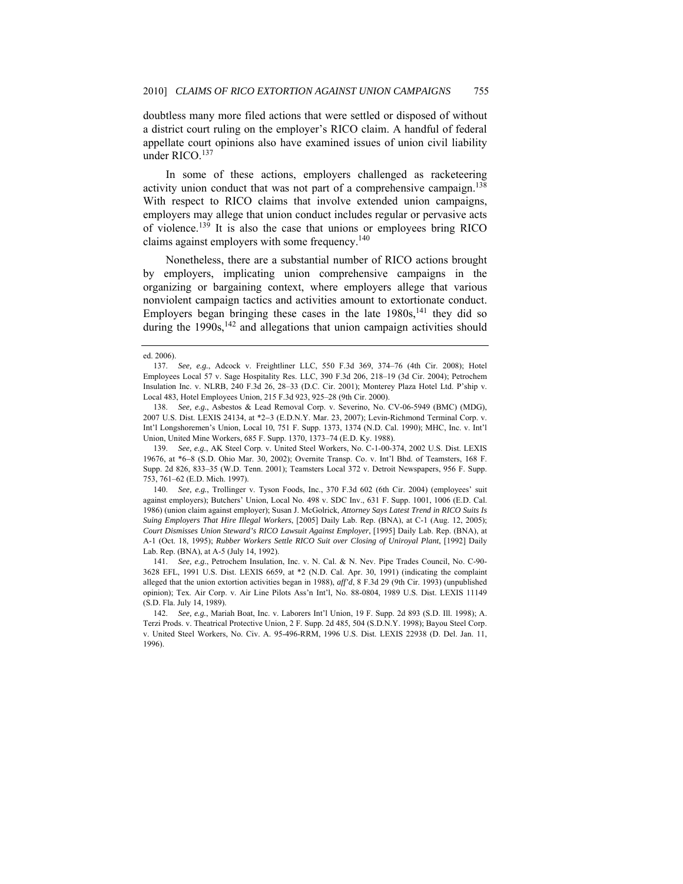doubtless many more filed actions that were settled or disposed of without a district court ruling on the employer's RICO claim. A handful of federal appellate court opinions also have examined issues of union civil liability under RICO.<sup>137</sup>

In some of these actions, employers challenged as racketeering activity union conduct that was not part of a comprehensive campaign.<sup>138</sup> With respect to RICO claims that involve extended union campaigns, employers may allege that union conduct includes regular or pervasive acts of violence.139 It is also the case that unions or employees bring RICO claims against employers with some frequency.<sup>140</sup>

Nonetheless, there are a substantial number of RICO actions brought by employers, implicating union comprehensive campaigns in the organizing or bargaining context, where employers allege that various nonviolent campaign tactics and activities amount to extortionate conduct. Employers began bringing these cases in the late  $1980s$ ,<sup>141</sup> they did so during the 1990s,<sup>142</sup> and allegations that union campaign activities should

139. *See, e.g.*, AK Steel Corp. v. United Steel Workers, No. C-1-00-374, 2002 U.S. Dist. LEXIS 19676, at \*6−8 (S.D. Ohio Mar. 30, 2002); Overnite Transp. Co. v. Int'l Bhd. of Teamsters, 168 F. Supp. 2d 826, 833–35 (W.D. Tenn. 2001); Teamsters Local 372 v. Detroit Newspapers, 956 F. Supp. 753, 761–62 (E.D. Mich. 1997).

140. *See, e.g.*, Trollinger v. Tyson Foods, Inc., 370 F.3d 602 (6th Cir. 2004) (employees' suit against employers); Butchers' Union, Local No. 498 v. SDC Inv., 631 F. Supp. 1001, 1006 (E.D. Cal. 1986) (union claim against employer); Susan J. McGolrick, *Attorney Says Latest Trend in RICO Suits Is Suing Employers That Hire Illegal Workers*, [2005] Daily Lab. Rep. (BNA), at C-1 (Aug. 12, 2005); *Court Dismisses Union Steward's RICO Lawsuit Against Employer*, [1995] Daily Lab. Rep. (BNA), at A-1 (Oct. 18, 1995); *Rubber Workers Settle RICO Suit over Closing of Uniroyal Plant*, [1992] Daily Lab. Rep. (BNA), at A-5 (July 14, 1992).

141. *See, e.g.*, Petrochem Insulation, Inc. v. N. Cal. & N. Nev. Pipe Trades Council, No. C-90- 3628 EFL, 1991 U.S. Dist. LEXIS 6659, at \*2 (N.D. Cal. Apr. 30, 1991) (indicating the complaint alleged that the union extortion activities began in 1988), *aff'd*, 8 F.3d 29 (9th Cir. 1993) (unpublished opinion); Tex. Air Corp. v. Air Line Pilots Ass'n Int'l, No. 88-0804, 1989 U.S. Dist. LEXIS 11149 (S.D. Fla. July 14, 1989).

ed. 2006).

<sup>137.</sup> *See, e.g.*, Adcock v. Freightliner LLC, 550 F.3d 369, 374–76 (4th Cir. 2008); Hotel Employees Local 57 v. Sage Hospitality Res. LLC, 390 F.3d 206, 218–19 (3d Cir. 2004); Petrochem Insulation Inc. v. NLRB, 240 F.3d 26, 28–33 (D.C. Cir. 2001); Monterey Plaza Hotel Ltd. P'ship v. Local 483, Hotel Employees Union, 215 F.3d 923, 925–28 (9th Cir. 2000).

<sup>138.</sup> *See, e.g.*, Asbestos & Lead Removal Corp. v. Severino, No. CV-06-5949 (BMC) (MDG), 2007 U.S. Dist. LEXIS 24134, at \*2−3 (E.D.N.Y. Mar. 23, 2007); Levin-Richmond Terminal Corp. v. Int'l Longshoremen's Union, Local 10, 751 F. Supp. 1373, 1374 (N.D. Cal. 1990); MHC, Inc. v. Int'l Union, United Mine Workers, 685 F. Supp. 1370, 1373–74 (E.D. Ky. 1988).

<sup>142.</sup> *See, e.g.*, Mariah Boat, Inc. v. Laborers Int'l Union, 19 F. Supp. 2d 893 (S.D. Ill. 1998); A. Terzi Prods. v. Theatrical Protective Union, 2 F. Supp. 2d 485, 504 (S.D.N.Y. 1998); Bayou Steel Corp. v. United Steel Workers, No. Civ. A. 95-496-RRM, 1996 U.S. Dist. LEXIS 22938 (D. Del. Jan. 11, 1996).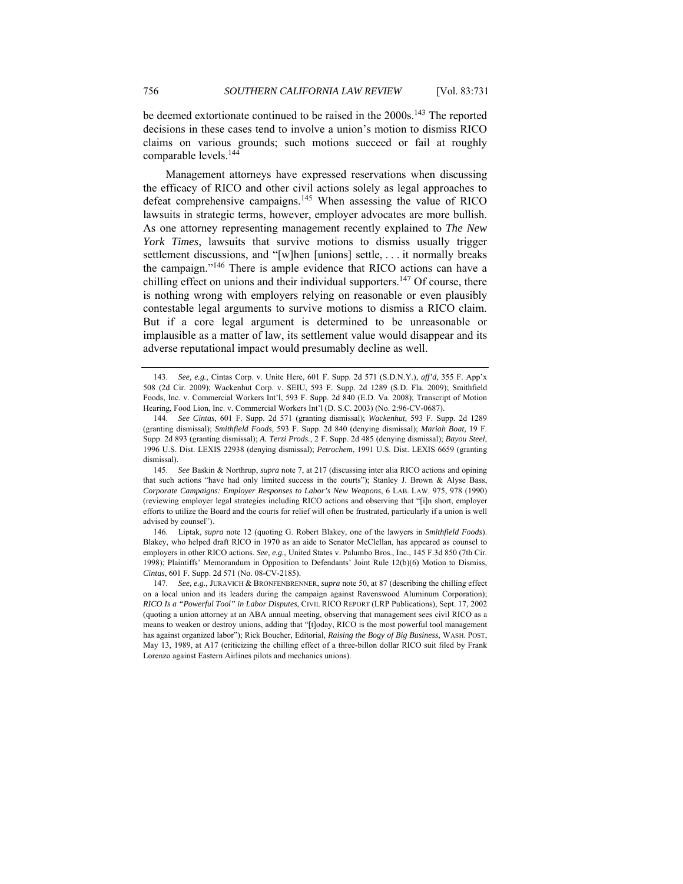be deemed extortionate continued to be raised in the 2000s.<sup>143</sup> The reported decisions in these cases tend to involve a union's motion to dismiss RICO claims on various grounds; such motions succeed or fail at roughly comparable levels.<sup>144</sup>

Management attorneys have expressed reservations when discussing the efficacy of RICO and other civil actions solely as legal approaches to defeat comprehensive campaigns.145 When assessing the value of RICO lawsuits in strategic terms, however, employer advocates are more bullish. As one attorney representing management recently explained to *The New York Times*, lawsuits that survive motions to dismiss usually trigger settlement discussions, and "[w]hen [unions] settle, . . . it normally breaks the campaign."146 There is ample evidence that RICO actions can have a chilling effect on unions and their individual supporters.<sup>147</sup> Of course, there is nothing wrong with employers relying on reasonable or even plausibly contestable legal arguments to survive motions to dismiss a RICO claim. But if a core legal argument is determined to be unreasonable or implausible as a matter of law, its settlement value would disappear and its adverse reputational impact would presumably decline as well.

 146. Liptak, *supra* note 12 (quoting G. Robert Blakey, one of the lawyers in *Smithfield Foods*). Blakey, who helped draft RICO in 1970 as an aide to Senator McClellan, has appeared as counsel to employers in other RICO actions. *See, e.g.*, United States v. Palumbo Bros., Inc., 145 F.3d 850 (7th Cir. 1998); Plaintiffs' Memorandum in Opposition to Defendants' Joint Rule 12(b)(6) Motion to Dismiss, *Cintas*, 601 F. Supp. 2d 571 (No. 08-CV-2185).

<sup>143.</sup> *See, e.g.*, Cintas Corp. v. Unite Here, 601 F. Supp. 2d 571 (S.D.N.Y.), *aff'd*, 355 F. App'x 508 (2d Cir. 2009); Wackenhut Corp. v. SEIU, 593 F. Supp. 2d 1289 (S.D. Fla. 2009); Smithfield Foods, Inc. v. Commercial Workers Int'l, 593 F. Supp. 2d 840 (E.D. Va. 2008); Transcript of Motion Hearing, Food Lion, Inc. v. Commercial Workers Int'l (D. S.C. 2003) (No. 2:96-CV-0687).

 <sup>144.</sup> *See Cintas,* 601 F. Supp. 2d 571 (granting dismissal); *Wackenhut,* 593 F. Supp. 2d 1289 (granting dismissal); *Smithfield Foods,* 593 F. Supp. 2d 840 (denying dismissal); *Mariah Boat,* 19 F. Supp. 2d 893 (granting dismissal); *A. Terzi Prods.*, 2 F. Supp. 2d 485 (denying dismissal); *Bayou Steel*, 1996 U.S. Dist. LEXIS 22938 (denying dismissal); *Petrochem*, 1991 U.S. Dist. LEXIS 6659 (granting dismissal).

<sup>145.</sup> *See* Baskin & Northrup, *supra* note 7, at 217 (discussing inter alia RICO actions and opining that such actions "have had only limited success in the courts"); Stanley J. Brown & Alyse Bass, *Corporate Campaigns: Employer Responses to Labor's New Weapons*, 6 LAB. LAW. 975, 978 (1990) (reviewing employer legal strategies including RICO actions and observing that "[i]n short, employer efforts to utilize the Board and the courts for relief will often be frustrated, particularly if a union is well advised by counsel").

<sup>147.</sup> *See, e.g.*, JURAVICH & BRONFENBRENNER, *supra* note 50, at 87 (describing the chilling effect on a local union and its leaders during the campaign against Ravenswood Aluminum Corporation); *RICO Is a "Powerful Tool" in Labor Disputes*, CIVIL RICO REPORT (LRP Publications), Sept. 17, 2002 (quoting a union attorney at an ABA annual meeting, observing that management sees civil RICO as a means to weaken or destroy unions, adding that "[t]oday, RICO is the most powerful tool management has against organized labor"); Rick Boucher, Editorial, *Raising the Bogy of Big Business*, WASH. POST, May 13, 1989, at A17 (criticizing the chilling effect of a three-billon dollar RICO suit filed by Frank Lorenzo against Eastern Airlines pilots and mechanics unions).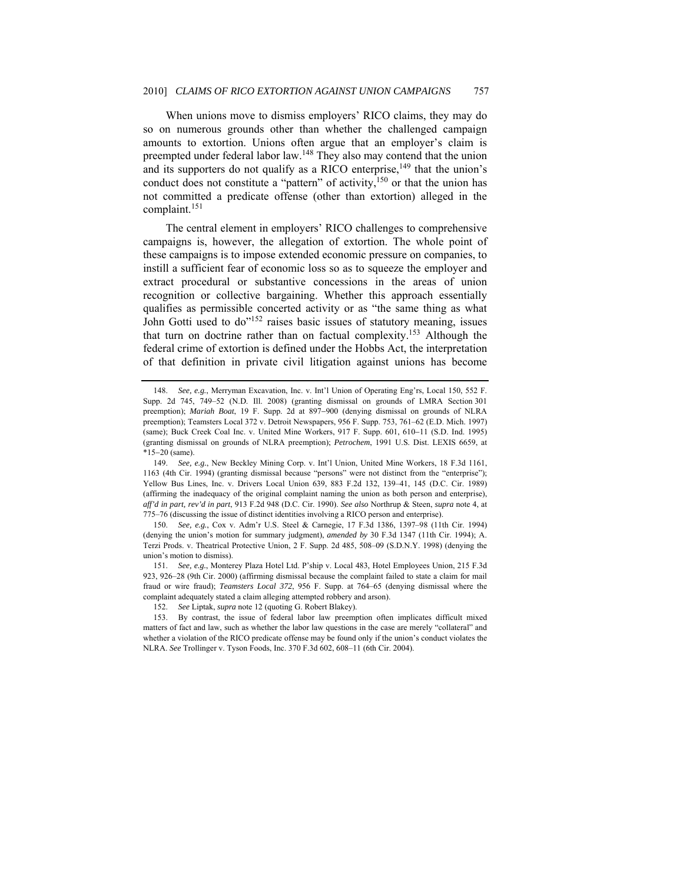When unions move to dismiss employers' RICO claims, they may do so on numerous grounds other than whether the challenged campaign amounts to extortion. Unions often argue that an employer's claim is preempted under federal labor law.<sup>148</sup> They also may contend that the union and its supporters do not qualify as a RICO enterprise,  $^{149}$  that the union's conduct does not constitute a "pattern" of activity,<sup>150</sup> or that the union has not committed a predicate offense (other than extortion) alleged in the complaint.<sup>151</sup>

The central element in employers' RICO challenges to comprehensive campaigns is, however, the allegation of extortion. The whole point of these campaigns is to impose extended economic pressure on companies, to instill a sufficient fear of economic loss so as to squeeze the employer and extract procedural or substantive concessions in the areas of union recognition or collective bargaining. Whether this approach essentially qualifies as permissible concerted activity or as "the same thing as what John Gotti used to do<sup>"152</sup> raises basic issues of statutory meaning, issues that turn on doctrine rather than on factual complexity.153 Although the federal crime of extortion is defined under the Hobbs Act, the interpretation of that definition in private civil litigation against unions has become

151. *See, e.g.*, Monterey Plaza Hotel Ltd. P'ship v. Local 483, Hotel Employees Union, 215 F.3d 923, 926–28 (9th Cir. 2000) (affirming dismissal because the complaint failed to state a claim for mail fraud or wire fraud); *Teamsters Local 372*, 956 F. Supp. at 764–65 (denying dismissal where the complaint adequately stated a claim alleging attempted robbery and arson).

<sup>148.</sup> *See, e.g.*, Merryman Excavation, Inc. v. Int'l Union of Operating Eng'rs, Local 150, 552 F. Supp. 2d 745, 749–52 (N.D. Ill. 2008) (granting dismissal on grounds of LMRA Section 301 preemption); *Mariah Boat*, 19 F. Supp. 2d at 897−900 (denying dismissal on grounds of NLRA preemption); Teamsters Local 372 v. Detroit Newspapers, 956 F. Supp. 753, 761–62 (E.D. Mich. 1997) (same); Buck Creek Coal Inc. v. United Mine Workers, 917 F. Supp. 601, 610−11 (S.D. Ind. 1995) (granting dismissal on grounds of NLRA preemption); *Petrochem*, 1991 U.S. Dist. LEXIS 6659, at \*15−20 (same).

<sup>149.</sup> *See, e.g.*, New Beckley Mining Corp. v. Int'l Union, United Mine Workers, 18 F.3d 1161, 1163 (4th Cir. 1994) (granting dismissal because "persons" were not distinct from the "enterprise"); Yellow Bus Lines, Inc. v. Drivers Local Union 639, 883 F.2d 132, 139–41, 145 (D.C. Cir. 1989) (affirming the inadequacy of the original complaint naming the union as both person and enterprise), *aff'd in part, rev'd in part*, 913 F.2d 948 (D.C. Cir. 1990). *See also* Northrup & Steen, *supra* note 4, at 775–76 (discussing the issue of distinct identities involving a RICO person and enterprise).

<sup>150.</sup> *See, e.g.*, Cox v. Adm'r U.S. Steel & Carnegie, 17 F.3d 1386, 1397–98 (11th Cir. 1994) (denying the union's motion for summary judgment), *amended by* 30 F.3d 1347 (11th Cir. 1994); A. Terzi Prods. v. Theatrical Protective Union, 2 F. Supp. 2d 485, 508–09 (S.D.N.Y. 1998) (denying the union's motion to dismiss).

<sup>152.</sup> *See* Liptak, *supra* note 12 (quoting G. Robert Blakey).

 <sup>153.</sup> By contrast, the issue of federal labor law preemption often implicates difficult mixed matters of fact and law, such as whether the labor law questions in the case are merely "collateral" and whether a violation of the RICO predicate offense may be found only if the union's conduct violates the NLRA. *See* Trollinger v. Tyson Foods, Inc. 370 F.3d 602, 608–11 (6th Cir. 2004).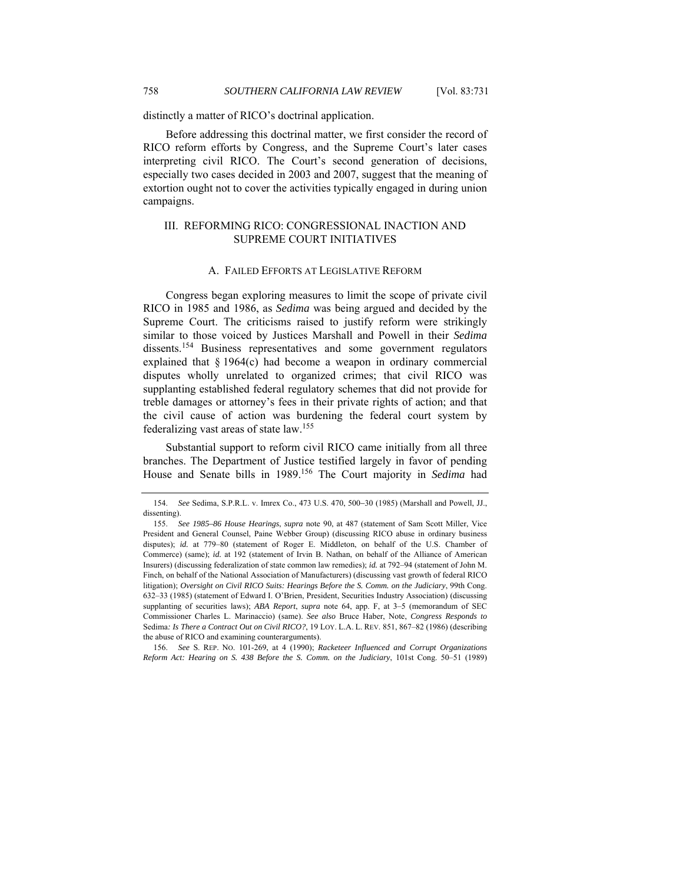distinctly a matter of RICO's doctrinal application.

Before addressing this doctrinal matter, we first consider the record of RICO reform efforts by Congress, and the Supreme Court's later cases interpreting civil RICO. The Court's second generation of decisions, especially two cases decided in 2003 and 2007, suggest that the meaning of extortion ought not to cover the activities typically engaged in during union campaigns.

# III. REFORMING RICO: CONGRESSIONAL INACTION AND SUPREME COURT INITIATIVES

## A. FAILED EFFORTS AT LEGISLATIVE REFORM

Congress began exploring measures to limit the scope of private civil RICO in 1985 and 1986, as *Sedima* was being argued and decided by the Supreme Court. The criticisms raised to justify reform were strikingly similar to those voiced by Justices Marshall and Powell in their *Sedima* dissents.<sup>154</sup> Business representatives and some government regulators explained that § 1964(c) had become a weapon in ordinary commercial disputes wholly unrelated to organized crimes; that civil RICO was supplanting established federal regulatory schemes that did not provide for treble damages or attorney's fees in their private rights of action; and that the civil cause of action was burdening the federal court system by federalizing vast areas of state law.<sup>155</sup>

Substantial support to reform civil RICO came initially from all three branches. The Department of Justice testified largely in favor of pending House and Senate bills in 1989.156 The Court majority in *Sedima* had

156. *See* S. REP. NO. 101-269, at 4 (1990); *Racketeer Influenced and Corrupt Organizations Reform Act: Hearing on S. 438 Before the S. Comm. on the Judiciary*, 101st Cong. 50–51 (1989)

 <sup>154.</sup> *See* Sedima, S.P.R.L. v. Imrex Co., 473 U.S. 470, 500−30 (1985) (Marshall and Powell, JJ., dissenting).

<sup>155.</sup> *See 1985–86 House Hearings*, *supra* note 90, at 487 (statement of Sam Scott Miller, Vice President and General Counsel, Paine Webber Group) (discussing RICO abuse in ordinary business disputes); *id.* at 779-80 (statement of Roger E. Middleton, on behalf of the U.S. Chamber of Commerce) (same); *id.* at 192 (statement of Irvin B. Nathan, on behalf of the Alliance of American Insurers) (discussing federalization of state common law remedies); *id.* at 792–94 (statement of John M. Finch, on behalf of the National Association of Manufacturers) (discussing vast growth of federal RICO litigation); *Oversight on Civil RICO Suits: Hearings Before the S. Comm. on the Judiciary*, 99th Cong. 632–33 (1985) (statement of Edward I. O'Brien, President, Securities Industry Association) (discussing supplanting of securities laws); *ABA Report*, *supra* note 64, app. F, at 3–5 (memorandum of SEC Commissioner Charles L. Marinaccio) (same). *See also* Bruce Haber, Note, *Congress Responds to* Sedima*: Is There a Contract Out on Civil RICO?*, 19 LOY. L.A. L. REV. 851, 867–82 (1986) (describing the abuse of RICO and examining counterarguments).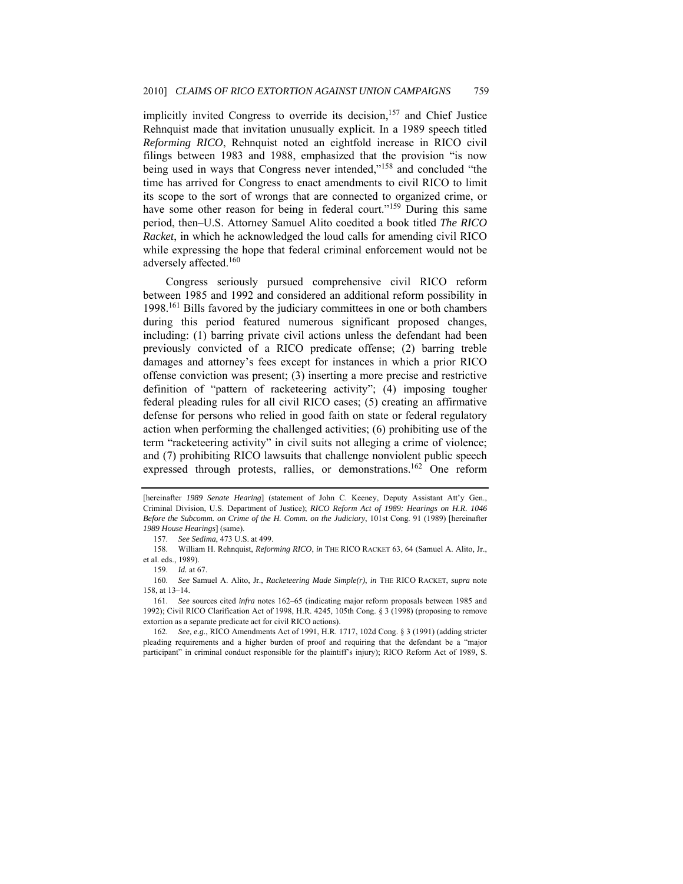implicitly invited Congress to override its decision,<sup>157</sup> and Chief Justice Rehnquist made that invitation unusually explicit. In a 1989 speech titled *Reforming RICO*, Rehnquist noted an eightfold increase in RICO civil filings between 1983 and 1988, emphasized that the provision "is now being used in ways that Congress never intended,"158 and concluded "the time has arrived for Congress to enact amendments to civil RICO to limit its scope to the sort of wrongs that are connected to organized crime, or have some other reason for being in federal court."<sup>159</sup> During this same period, then–U.S. Attorney Samuel Alito coedited a book titled *The RICO Racket*, in which he acknowledged the loud calls for amending civil RICO while expressing the hope that federal criminal enforcement would not be adversely affected.160

Congress seriously pursued comprehensive civil RICO reform between 1985 and 1992 and considered an additional reform possibility in 1998.161 Bills favored by the judiciary committees in one or both chambers during this period featured numerous significant proposed changes, including: (1) barring private civil actions unless the defendant had been previously convicted of a RICO predicate offense; (2) barring treble damages and attorney's fees except for instances in which a prior RICO offense conviction was present; (3) inserting a more precise and restrictive definition of "pattern of racketeering activity"; (4) imposing tougher federal pleading rules for all civil RICO cases; (5) creating an affirmative defense for persons who relied in good faith on state or federal regulatory action when performing the challenged activities; (6) prohibiting use of the term "racketeering activity" in civil suits not alleging a crime of violence; and (7) prohibiting RICO lawsuits that challenge nonviolent public speech expressed through protests, rallies, or demonstrations.<sup>162</sup> One reform

157. *See Sedima*, 473 U.S. at 499.

159. *Id.* at 67.

160. *See* Samuel A. Alito, Jr., *Racketeering Made Simple(r)*, *in* THE RICO RACKET, *supra* note 158, at 13–14.

162. *See, e.g.*, RICO Amendments Act of 1991, H.R. 1717, 102d Cong. § 3 (1991) (adding stricter pleading requirements and a higher burden of proof and requiring that the defendant be a "major participant" in criminal conduct responsible for the plaintiff's injury); RICO Reform Act of 1989, S.

<sup>[</sup>hereinafter 1989 Senate Hearing] (statement of John C. Keeney, Deputy Assistant Att'y Gen., Criminal Division, U.S. Department of Justice); *RICO Reform Act of 1989: Hearings on H.R. 1046 Before the Subcomm. on Crime of the H. Comm. on the Judiciary*, 101st Cong. 91 (1989) [hereinafter *1989 House Hearings*] (same).

 <sup>158.</sup> William H. Rehnquist, *Reforming RICO*, *in* THE RICO RACKET 63, 64 (Samuel A. Alito, Jr., et al. eds., 1989).

<sup>161.</sup> *See* sources cited *infra* notes 162–65 (indicating major reform proposals between 1985 and 1992); Civil RICO Clarification Act of 1998, H.R. 4245, 105th Cong. § 3 (1998) (proposing to remove extortion as a separate predicate act for civil RICO actions).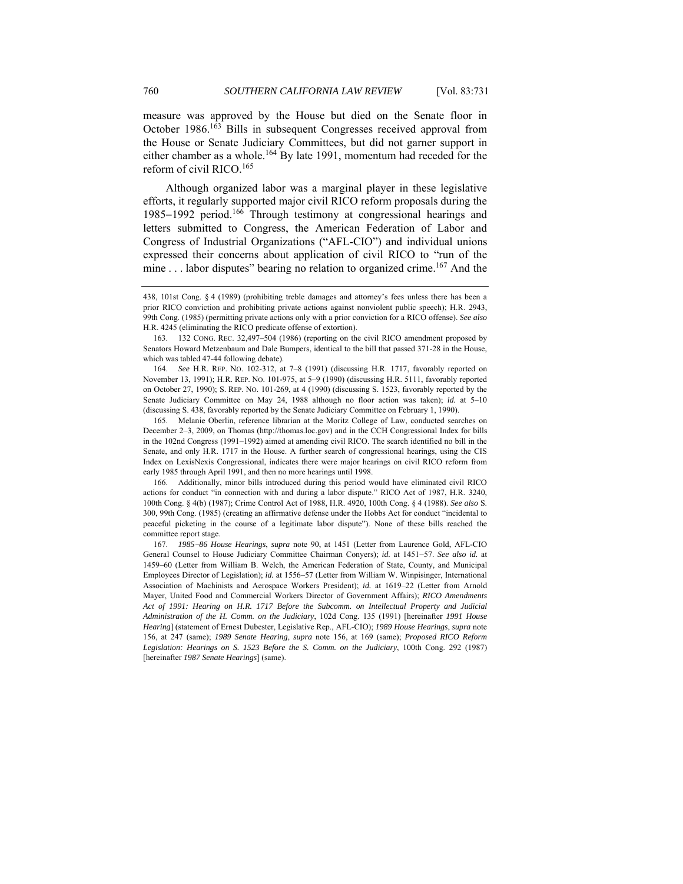measure was approved by the House but died on the Senate floor in October 1986.163 Bills in subsequent Congresses received approval from the House or Senate Judiciary Committees, but did not garner support in either chamber as a whole.<sup>164</sup> By late 1991, momentum had receded for the reform of civil RICO.<sup>165</sup>

Although organized labor was a marginal player in these legislative efforts, it regularly supported major civil RICO reform proposals during the 1985−1992 period.166 Through testimony at congressional hearings and letters submitted to Congress, the American Federation of Labor and Congress of Industrial Organizations ("AFL-CIO") and individual unions expressed their concerns about application of civil RICO to "run of the mine  $\ldots$  labor disputes" bearing no relation to organized crime.<sup>167</sup> And the

<sup>438, 101</sup>st Cong. § 4 (1989) (prohibiting treble damages and attorney's fees unless there has been a prior RICO conviction and prohibiting private actions against nonviolent public speech); H.R. 2943, 99th Cong. (1985) (permitting private actions only with a prior conviction for a RICO offense). *See also* H.R. 4245 (eliminating the RICO predicate offense of extortion).

<sup>163.</sup> 132 CONG. REC. 32,497–504 (1986) (reporting on the civil RICO amendment proposed by Senators Howard Metzenbaum and Dale Bumpers, identical to the bill that passed 371-28 in the House, which was tabled 47-44 following debate).

<sup>164.</sup> *See* H.R. REP. NO. 102-312, at 7–8 (1991) (discussing H.R. 1717, favorably reported on November 13, 1991); H.R. REP. NO. 101-975, at 5–9 (1990) (discussing H.R. 5111, favorably reported on October 27, 1990); S. REP. NO. 101-269, at 4 (1990) (discussing S. 1523, favorably reported by the Senate Judiciary Committee on May 24, 1988 although no floor action was taken); *id.* at 5–10 (discussing S. 438, favorably reported by the Senate Judiciary Committee on February 1, 1990).

 <sup>165.</sup> Melanie Oberlin, reference librarian at the Moritz College of Law, conducted searches on December 2–3, 2009, on Thomas (http://thomas.loc.gov) and in the CCH Congressional Index for bills in the 102nd Congress (1991–1992) aimed at amending civil RICO. The search identified no bill in the Senate, and only H.R. 1717 in the House. A further search of congressional hearings, using the CIS Index on LexisNexis Congressional, indicates there were major hearings on civil RICO reform from early 1985 through April 1991, and then no more hearings until 1998.

 <sup>166.</sup> Additionally, minor bills introduced during this period would have eliminated civil RICO actions for conduct "in connection with and during a labor dispute." RICO Act of 1987, H.R. 3240, 100th Cong. § 4(b) (1987); Crime Control Act of 1988, H.R. 4920, 100th Cong. § 4 (1988). *See also* S. 300, 99th Cong. (1985) (creating an affirmative defense under the Hobbs Act for conduct "incidental to peaceful picketing in the course of a legitimate labor dispute"). None of these bills reached the committee report stage.

<sup>167.</sup> *1985*−*86 House Hearings*, *supra* note 90, at 1451 (Letter from Laurence Gold, AFL-CIO General Counsel to House Judiciary Committee Chairman Conyers); *id.* at 1451−57. *See also id.* at 1459–60 (Letter from William B. Welch, the American Federation of State, County, and Municipal Employees Director of Legislation); *id.* at 1556–57 (Letter from William W. Winpisinger, International Association of Machinists and Aerospace Workers President); *id.* at 1619–22 (Letter from Arnold Mayer, United Food and Commercial Workers Director of Government Affairs); *RICO Amendments Act of 1991: Hearing on H.R. 1717 Before the Subcomm. on Intellectual Property and Judicial Administration of the H. Comm. on the Judiciary*, 102d Cong. 135 (1991) [hereinafter *1991 House Hearing*] (statement of Ernest Dubester, Legislative Rep., AFL-CIO); *1989 House Hearings*, *supra* note 156, at 247 (same); *1989 Senate Hearing*, *supra* note 156, at 169 (same); *Proposed RICO Reform Legislation: Hearings on S. 1523 Before the S. Comm. on the Judiciary*, 100th Cong. 292 (1987) [hereinafter *1987 Senate Hearings*] (same).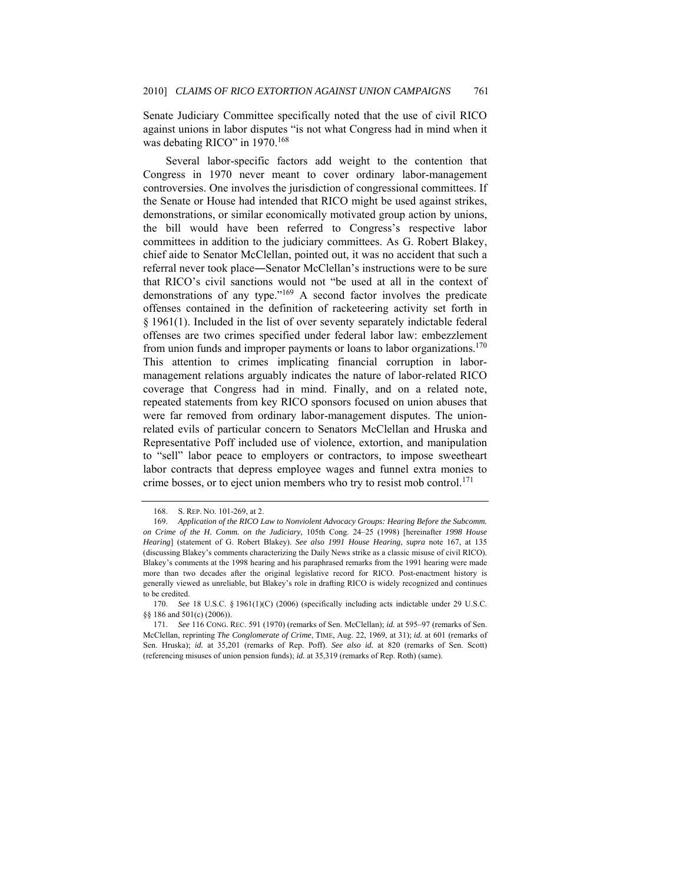Senate Judiciary Committee specifically noted that the use of civil RICO against unions in labor disputes "is not what Congress had in mind when it was debating RICO" in 1970.<sup>168</sup>

Several labor-specific factors add weight to the contention that Congress in 1970 never meant to cover ordinary labor-management controversies. One involves the jurisdiction of congressional committees. If the Senate or House had intended that RICO might be used against strikes, demonstrations, or similar economically motivated group action by unions, the bill would have been referred to Congress's respective labor committees in addition to the judiciary committees. As G. Robert Blakey, chief aide to Senator McClellan, pointed out, it was no accident that such a referral never took place―Senator McClellan's instructions were to be sure that RICO's civil sanctions would not "be used at all in the context of demonstrations of any type."169 A second factor involves the predicate offenses contained in the definition of racketeering activity set forth in § 1961(1). Included in the list of over seventy separately indictable federal offenses are two crimes specified under federal labor law: embezzlement from union funds and improper payments or loans to labor organizations.<sup>170</sup> This attention to crimes implicating financial corruption in labormanagement relations arguably indicates the nature of labor-related RICO coverage that Congress had in mind. Finally, and on a related note, repeated statements from key RICO sponsors focused on union abuses that were far removed from ordinary labor-management disputes. The unionrelated evils of particular concern to Senators McClellan and Hruska and Representative Poff included use of violence, extortion, and manipulation to "sell" labor peace to employers or contractors, to impose sweetheart labor contracts that depress employee wages and funnel extra monies to crime bosses, or to eject union members who try to resist mob control.<sup>171</sup>

 <sup>168.</sup> S. REP. NO. 101-269, at 2.

<sup>169.</sup> *Application of the RICO Law to Nonviolent Advocacy Groups: Hearing Before the Subcomm. on Crime of the H. Comm. on the Judiciary*, 105th Cong. 24–25 (1998) [hereinafter *1998 House Hearing*] (statement of G. Robert Blakey). *See also 1991 House Hearing*, *supra* note 167, at 135 (discussing Blakey's comments characterizing the Daily News strike as a classic misuse of civil RICO). Blakey's comments at the 1998 hearing and his paraphrased remarks from the 1991 hearing were made more than two decades after the original legislative record for RICO. Post-enactment history is generally viewed as unreliable, but Blakey's role in drafting RICO is widely recognized and continues to be credited.

<sup>170.</sup> *See* 18 U.S.C. § 1961(1)(C) (2006) (specifically including acts indictable under 29 U.S.C. §§ 186 and 501(c) (2006)).

<sup>171.</sup> *See* 116 CONG. REC. 591 (1970) (remarks of Sen. McClellan); *id.* at 595–97 (remarks of Sen. McClellan, reprinting *The Conglomerate of Crime*, TIME, Aug. 22, 1969, at 31); *id.* at 601 (remarks of Sen. Hruska); *id.* at 35,201 (remarks of Rep. Poff). *See also id.* at 820 (remarks of Sen. Scott) (referencing misuses of union pension funds); *id.* at 35,319 (remarks of Rep. Roth) (same).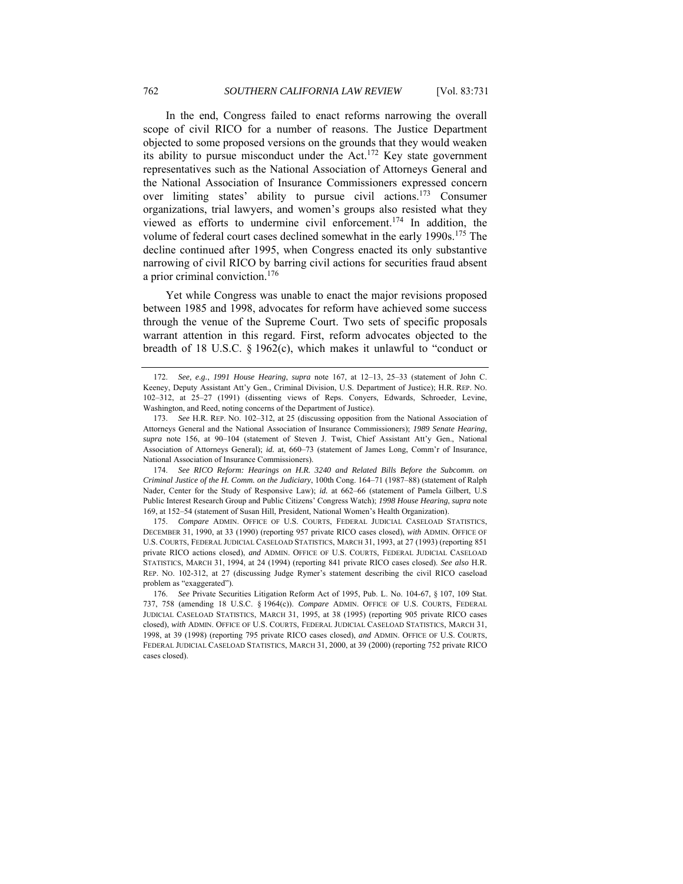In the end, Congress failed to enact reforms narrowing the overall scope of civil RICO for a number of reasons. The Justice Department objected to some proposed versions on the grounds that they would weaken its ability to pursue misconduct under the Act.<sup>172</sup> Key state government representatives such as the National Association of Attorneys General and the National Association of Insurance Commissioners expressed concern over limiting states' ability to pursue civil actions.<sup>173</sup> Consumer organizations, trial lawyers, and women's groups also resisted what they viewed as efforts to undermine civil enforcement.174 In addition, the volume of federal court cases declined somewhat in the early 1990s.<sup>175</sup> The decline continued after 1995, when Congress enacted its only substantive narrowing of civil RICO by barring civil actions for securities fraud absent a prior criminal conviction.<sup>176</sup>

Yet while Congress was unable to enact the major revisions proposed between 1985 and 1998, advocates for reform have achieved some success through the venue of the Supreme Court. Two sets of specific proposals warrant attention in this regard. First, reform advocates objected to the breadth of 18 U.S.C. § 1962(c), which makes it unlawful to "conduct or

<sup>172.</sup> *See, e.g.*, *1991 House Hearing*, *supra* note 167, at 12–13, 25–33 (statement of John C. Keeney, Deputy Assistant Att'y Gen., Criminal Division, U.S. Department of Justice); H.R. REP. NO. 102–312, at 25–27 (1991) (dissenting views of Reps. Conyers, Edwards, Schroeder, Levine, Washington, and Reed, noting concerns of the Department of Justice).

<sup>173.</sup> *See* H.R. REP. NO. 102–312, at 25 (discussing opposition from the National Association of Attorneys General and the National Association of Insurance Commissioners); *1989 Senate Hearing*, *supra* note 156, at 90–104 (statement of Steven J. Twist, Chief Assistant Att'y Gen., National Association of Attorneys General); *id.* at, 660–73 (statement of James Long, Comm'r of Insurance, National Association of Insurance Commissioners).

<sup>174.</sup> *See RICO Reform: Hearings on H.R. 3240 and Related Bills Before the Subcomm. on Criminal Justice of the H. Comm. on the Judiciary*, 100th Cong. 164–71 (1987–88) (statement of Ralph Nader, Center for the Study of Responsive Law); *id.* at 662–66 (statement of Pamela Gilbert, U.S Public Interest Research Group and Public Citizens' Congress Watch); *1998 House Hearing*, *supra* note 169, at 152–54 (statement of Susan Hill, President, National Women's Health Organization).

<sup>175.</sup> *Compare* ADMIN. OFFICE OF U.S. COURTS, FEDERAL JUDICIAL CASELOAD STATISTICS, DECEMBER 31, 1990, at 33 (1990) (reporting 957 private RICO cases closed), *with* ADMIN. OFFICE OF U.S. COURTS, FEDERAL JUDICIAL CASELOAD STATISTICS, MARCH 31, 1993, at 27 (1993) (reporting 851 private RICO actions closed), *and* ADMIN. OFFICE OF U.S. COURTS, FEDERAL JUDICIAL CASELOAD STATISTICS, MARCH 31, 1994, at 24 (1994) (reporting 841 private RICO cases closed). *See also* H.R. REP. NO. 102-312, at 27 (discussing Judge Rymer's statement describing the civil RICO caseload problem as "exaggerated").

<sup>176.</sup> *See* Private Securities Litigation Reform Act of 1995, Pub. L. No. 104-67, § 107, 109 Stat. 737, 758 (amending 18 U.S.C. § 1964(c)). *Compare* ADMIN. OFFICE OF U.S. COURTS, FEDERAL JUDICIAL CASELOAD STATISTICS, MARCH 31, 1995, at 38 (1995) (reporting 905 private RICO cases closed), *with* ADMIN. OFFICE OF U.S. COURTS, FEDERAL JUDICIAL CASELOAD STATISTICS, MARCH 31, 1998, at 39 (1998) (reporting 795 private RICO cases closed), *and* ADMIN. OFFICE OF U.S. COURTS, FEDERAL JUDICIAL CASELOAD STATISTICS, MARCH 31, 2000, at 39 (2000) (reporting 752 private RICO cases closed).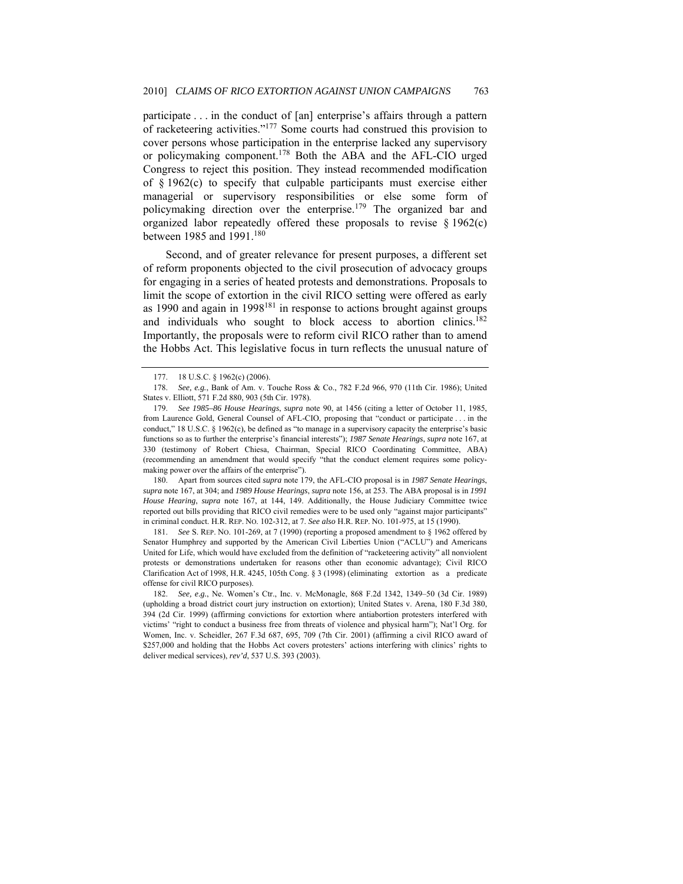participate . . . in the conduct of [an] enterprise's affairs through a pattern of racketeering activities."177 Some courts had construed this provision to cover persons whose participation in the enterprise lacked any supervisory or policymaking component.178 Both the ABA and the AFL-CIO urged Congress to reject this position. They instead recommended modification of § 1962(c) to specify that culpable participants must exercise either managerial or supervisory responsibilities or else some form of policymaking direction over the enterprise.<sup>179</sup> The organized bar and organized labor repeatedly offered these proposals to revise § 1962(c) between 1985 and 1991.<sup>180</sup>

Second, and of greater relevance for present purposes, a different set of reform proponents objected to the civil prosecution of advocacy groups for engaging in a series of heated protests and demonstrations. Proposals to limit the scope of extortion in the civil RICO setting were offered as early as 1990 and again in  $1998^{181}$  in response to actions brought against groups and individuals who sought to block access to abortion clinics.<sup>182</sup> Importantly, the proposals were to reform civil RICO rather than to amend the Hobbs Act. This legislative focus in turn reflects the unusual nature of

 180. Apart from sources cited *supra* note 179, the AFL-CIO proposal is in *1987 Senate Hearings*, *supra* note 167, at 304; and *1989 House Hearings*, *supra* note 156, at 253. The ABA proposal is in *1991 House Hearing*, *supra* note 167, at 144, 149. Additionally, the House Judiciary Committee twice reported out bills providing that RICO civil remedies were to be used only "against major participants" in criminal conduct. H.R. REP. NO. 102-312, at 7. *See also* H.R. REP. NO. 101-975, at 15 (1990).

181. *See* S. REP. NO. 101-269, at 7 (1990) (reporting a proposed amendment to § 1962 offered by Senator Humphrey and supported by the American Civil Liberties Union ("ACLU") and Americans United for Life, which would have excluded from the definition of "racketeering activity" all nonviolent protests or demonstrations undertaken for reasons other than economic advantage); Civil RICO Clarification Act of 1998, H.R. 4245, 105th Cong. § 3 (1998) (eliminating extortion as a predicate offense for civil RICO purposes).

182. *See, e.g.*, Ne. Women's Ctr., Inc. v. McMonagle, 868 F.2d 1342, 1349–50 (3d Cir. 1989) (upholding a broad district court jury instruction on extortion); United States v. Arena, 180 F.3d 380, 394 (2d Cir. 1999) (affirming convictions for extortion where antiabortion protesters interfered with victims' "right to conduct a business free from threats of violence and physical harm"); Nat'l Org. for Women, Inc. v. Scheidler, 267 F.3d 687, 695, 709 (7th Cir. 2001) (affirming a civil RICO award of \$257,000 and holding that the Hobbs Act covers protesters' actions interfering with clinics' rights to deliver medical services), *rev'd*, 537 U.S. 393 (2003).

 <sup>177. 18</sup> U.S.C. § 1962(c) (2006).

<sup>178.</sup> *See, e.g.*, Bank of Am. v. Touche Ross & Co., 782 F.2d 966, 970 (11th Cir. 1986); United States v. Elliott, 571 F.2d 880, 903 (5th Cir. 1978).

<sup>179.</sup> *See 1985–86 House Hearings*, *supra* note 90, at 1456 (citing a letter of October 11, 1985, from Laurence Gold, General Counsel of AFL-CIO, proposing that "conduct or participate . . . in the conduct," 18 U.S.C. § 1962(c), be defined as "to manage in a supervisory capacity the enterprise's basic functions so as to further the enterprise's financial interests"); *1987 Senate Hearings*, *supra* note 167, at 330 (testimony of Robert Chiesa, Chairman, Special RICO Coordinating Committee, ABA) (recommending an amendment that would specify "that the conduct element requires some policymaking power over the affairs of the enterprise").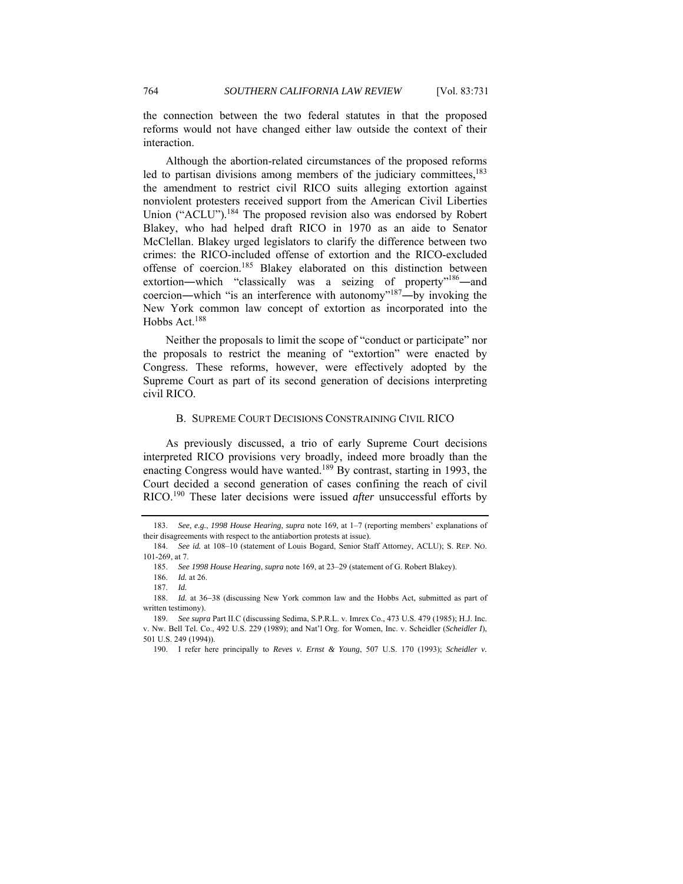the connection between the two federal statutes in that the proposed reforms would not have changed either law outside the context of their interaction.

Although the abortion-related circumstances of the proposed reforms led to partisan divisions among members of the judiciary committees, $^{183}$ the amendment to restrict civil RICO suits alleging extortion against nonviolent protesters received support from the American Civil Liberties Union ("ACLU").<sup>184</sup> The proposed revision also was endorsed by Robert Blakey, who had helped draft RICO in 1970 as an aide to Senator McClellan. Blakey urged legislators to clarify the difference between two crimes: the RICO-included offense of extortion and the RICO-excluded offense of coercion.185 Blakey elaborated on this distinction between extortion—which "classically was a seizing of property"<sup>186</sup>—and coercion—which "is an interference with autonomy"<sup>187</sup>—by invoking the New York common law concept of extortion as incorporated into the Hobbs Act.<sup>188</sup>

Neither the proposals to limit the scope of "conduct or participate" nor the proposals to restrict the meaning of "extortion" were enacted by Congress. These reforms, however, were effectively adopted by the Supreme Court as part of its second generation of decisions interpreting civil RICO.

#### B. SUPREME COURT DECISIONS CONSTRAINING CIVIL RICO

As previously discussed, a trio of early Supreme Court decisions interpreted RICO provisions very broadly, indeed more broadly than the enacting Congress would have wanted.<sup>189</sup> By contrast, starting in 1993, the Court decided a second generation of cases confining the reach of civil RICO.190 These later decisions were issued *after* unsuccessful efforts by

<sup>183.</sup> *See, e.g.*, *1998 House Hearing*, *supra* note 169, at 1–7 (reporting members' explanations of their disagreements with respect to the antiabortion protests at issue).

<sup>184.</sup> *See id.* at 108–10 (statement of Louis Bogard, Senior Staff Attorney, ACLU); S. REP. NO. 101-269, at 7.

<sup>185.</sup> *See 1998 House Hearing*, *supra* note 169, at 23–29 (statement of G. Robert Blakey).

 <sup>186.</sup> *Id.* at 26.

 <sup>187.</sup> *Id.*

 <sup>188.</sup> *Id.* at 36−38 (discussing New York common law and the Hobbs Act, submitted as part of written testimony).

<sup>189.</sup> *See supra* Part II.C (discussing Sedima, S.P.R.L. v. Imrex Co., 473 U.S. 479 (1985); H.J. Inc. v. Nw. Bell Tel. Co., 492 U.S. 229 (1989); and Nat'l Org. for Women, Inc. v. Scheidler (*Scheidler I*), 501 U.S. 249 (1994)).

 <sup>190.</sup> I refer here principally to *Reves v. Ernst & Young*, 507 U.S. 170 (1993); *Scheidler v.*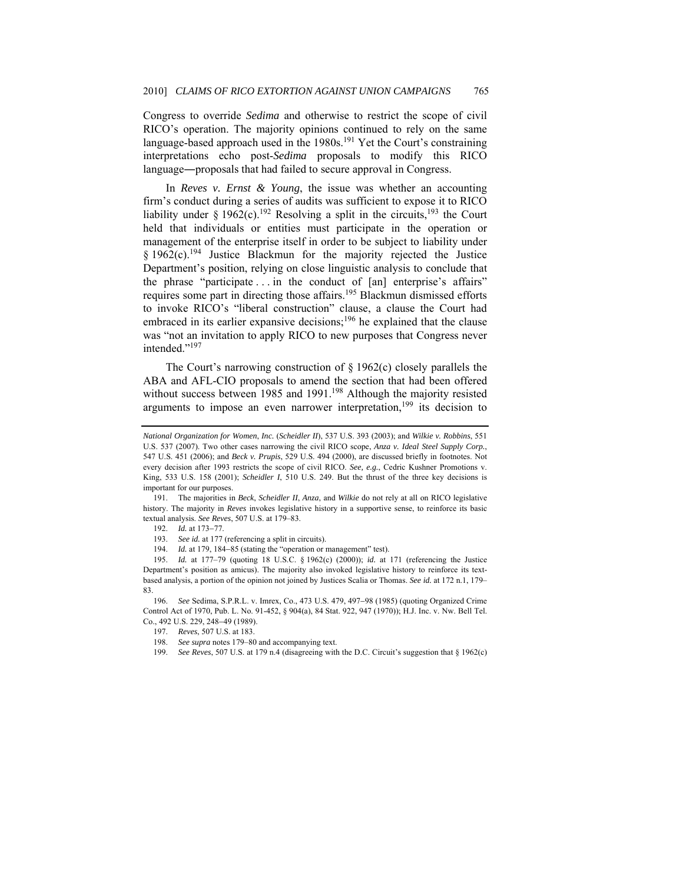Congress to override *Sedima* and otherwise to restrict the scope of civil RICO's operation. The majority opinions continued to rely on the same language-based approach used in the  $1980s$ .<sup>191</sup> Yet the Court's constraining interpretations echo post-*Sedima* proposals to modify this RICO language―proposals that had failed to secure approval in Congress.

In *Reves v. Ernst & Young*, the issue was whether an accounting firm's conduct during a series of audits was sufficient to expose it to RICO liability under § 1962(c).<sup>192</sup> Resolving a split in the circuits,<sup>193</sup> the Court held that individuals or entities must participate in the operation or management of the enterprise itself in order to be subject to liability under  $§$  1962(c).<sup>194</sup> Justice Blackmun for the majority rejected the Justice Department's position, relying on close linguistic analysis to conclude that the phrase "participate . . . in the conduct of [an] enterprise's affairs" requires some part in directing those affairs.<sup>195</sup> Blackmun dismissed efforts to invoke RICO's "liberal construction" clause, a clause the Court had embraced in its earlier expansive decisions;<sup>196</sup> he explained that the clause was "not an invitation to apply RICO to new purposes that Congress never intended."197

The Court's narrowing construction of  $\S 1962(c)$  closely parallels the ABA and AFL-CIO proposals to amend the section that had been offered without success between 1985 and 1991.<sup>198</sup> Although the majority resisted arguments to impose an even narrower interpretation, $199$  its decision to

*National Organization for Women*, *Inc.* (*Scheidler II*), 537 U.S. 393 (2003); and *Wilkie v. Robbins*, 551 U.S. 537 (2007). Two other cases narrowing the civil RICO scope, *Anza v. Ideal Steel Supply Corp.*, 547 U.S. 451 (2006); and *Beck v. Prupis*, 529 U.S. 494 (2000), are discussed briefly in footnotes. Not every decision after 1993 restricts the scope of civil RICO. *See, e.g.*, Cedric Kushner Promotions v. King, 533 U.S. 158 (2001); *Scheidler I*, 510 U.S. 249. But the thrust of the three key decisions is important for our purposes.

 <sup>191.</sup> The majorities in *Beck*, *Scheidler II*, *Anza*, and *Wilkie* do not rely at all on RICO legislative history. The majority in *Reves* invokes legislative history in a supportive sense, to reinforce its basic textual analysis. *See Reves*, 507 U.S. at 179–83.

 <sup>192.</sup> *Id.* at 173−77.

<sup>193.</sup> *See id.* at 177 (referencing a split in circuits).

 <sup>194.</sup> *Id.* at 179, 184−85 (stating the "operation or management" test).

<sup>195.</sup> *Id.* at 177–79 (quoting 18 U.S.C. § 1962(c) (2000)); *id.* at 171 (referencing the Justice Department's position as amicus). The majority also invoked legislative history to reinforce its textbased analysis, a portion of the opinion not joined by Justices Scalia or Thomas. *See id.* at 172 n.1, 179– 83.

<sup>196.</sup> *See* Sedima, S.P.R.L. v. Imrex, Co., 473 U.S. 479, 497−98 (1985) (quoting Organized Crime Control Act of 1970, Pub. L. No. 91-452, § 904(a), 84 Stat. 922, 947 (1970)); H.J. Inc. v. Nw. Bell Tel. Co., 492 U.S. 229, 248−49 (1989).

 <sup>197.</sup> *Reves*, 507 U.S. at 183.

<sup>198.</sup> *See supra* notes 179–80 and accompanying text.

<sup>199.</sup> *See Reves*, 507 U.S. at 179 n.4 (disagreeing with the D.C. Circuit's suggestion that § 1962(c)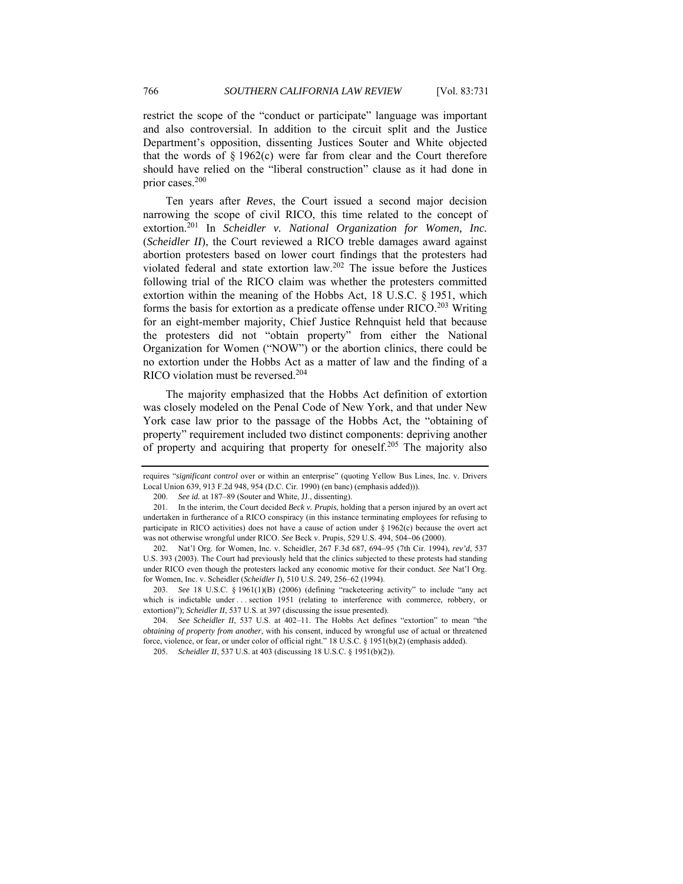restrict the scope of the "conduct or participate" language was important and also controversial. In addition to the circuit split and the Justice Department's opposition, dissenting Justices Souter and White objected that the words of § 1962(c) were far from clear and the Court therefore should have relied on the "liberal construction" clause as it had done in prior cases.200

Ten years after *Reves*, the Court issued a second major decision narrowing the scope of civil RICO, this time related to the concept of extortion.<sup>201</sup> In *Scheidler v. National Organization for Women, Inc.* (*Scheidler II*), the Court reviewed a RICO treble damages award against abortion protesters based on lower court findings that the protesters had violated federal and state extortion law.202 The issue before the Justices following trial of the RICO claim was whether the protesters committed extortion within the meaning of the Hobbs Act, 18 U.S.C. § 1951, which forms the basis for extortion as a predicate offense under  $RICO.<sup>203</sup>$  Writing for an eight-member majority, Chief Justice Rehnquist held that because the protesters did not "obtain property" from either the National Organization for Women ("NOW") or the abortion clinics, there could be no extortion under the Hobbs Act as a matter of law and the finding of a RICO violation must be reversed.<sup>204</sup>

The majority emphasized that the Hobbs Act definition of extortion was closely modeled on the Penal Code of New York, and that under New York case law prior to the passage of the Hobbs Act, the "obtaining of property" requirement included two distinct components: depriving another of property and acquiring that property for oneself.<sup>205</sup> The majority also

requires "*significant control* over or within an enterprise" (quoting Yellow Bus Lines, Inc. v. Drivers Local Union 639, 913 F.2d 948, 954 (D.C. Cir. 1990) (en banc) (emphasis added))).

<sup>200.</sup> *See id.* at 187–89 (Souter and White, JJ., dissenting).

 <sup>201.</sup> In the interim, the Court decided *Beck v. Prupis*, holding that a person injured by an overt act undertaken in furtherance of a RICO conspiracy (in this instance terminating employees for refusing to participate in RICO activities) does not have a cause of action under § 1962(c) because the overt act was not otherwise wrongful under RICO. *See* Beck v. Prupis, 529 U.S. 494, 504−06 (2000).

<sup>202.</sup> Nat'l Org. for Women, Inc. v. Scheidler, 267 F.3d 687, 694−95 (7th Cir. 1994), *rev'd*, 537 U.S. 393 (2003). The Court had previously held that the clinics subjected to these protests had standing under RICO even though the protesters lacked any economic motive for their conduct. *See* Nat'l Org. for Women, Inc. v. Scheidler (*Scheidler I*), 510 U.S. 249, 256–62 (1994).

<sup>203.</sup> *See* 18 U.S.C. § 1961(1)(B) (2006) (defining "racketeering activity" to include "any act which is indictable under ... section 1951 (relating to interference with commerce, robbery, or extortion)"); *Scheidler II*, 537 U.S. at 397 (discussing the issue presented).

<sup>204.</sup> *See Scheidler II*, 537 U.S. at 402–11. The Hobbs Act defines "extortion" to mean "the *obtaining of property from another*, with his consent, induced by wrongful use of actual or threatened force, violence, or fear, or under color of official right." 18 U.S.C. § 1951(b)(2) (emphasis added).

<sup>205.</sup> *Scheidler II*, 537 U.S. at 403 (discussing 18 U.S.C. § 1951(b)(2)).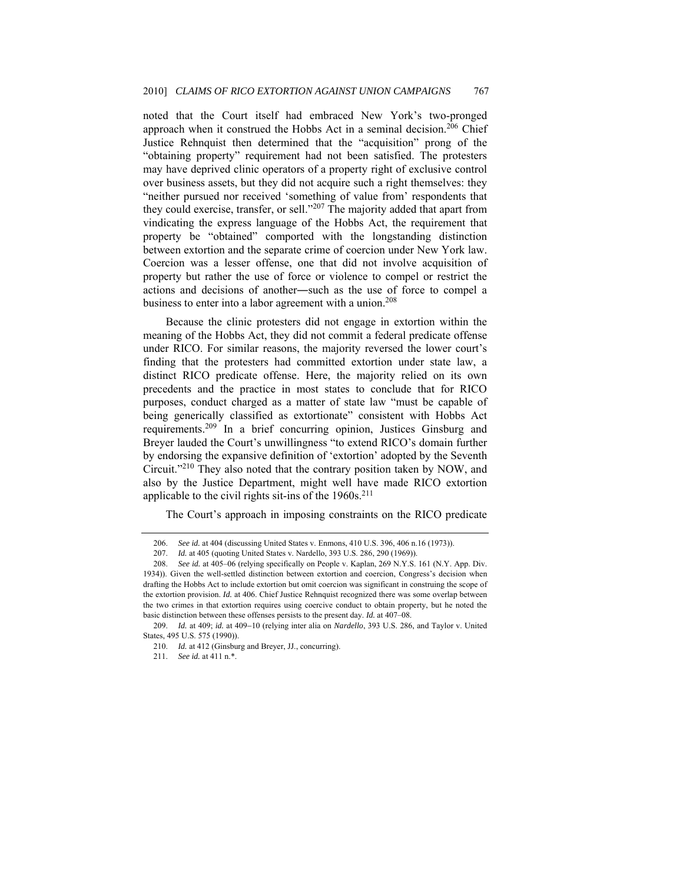noted that the Court itself had embraced New York's two-pronged approach when it construed the Hobbs Act in a seminal decision.<sup>206</sup> Chief Justice Rehnquist then determined that the "acquisition" prong of the "obtaining property" requirement had not been satisfied. The protesters may have deprived clinic operators of a property right of exclusive control over business assets, but they did not acquire such a right themselves: they "neither pursued nor received 'something of value from' respondents that they could exercise, transfer, or sell."207 The majority added that apart from vindicating the express language of the Hobbs Act, the requirement that property be "obtained" comported with the longstanding distinction between extortion and the separate crime of coercion under New York law. Coercion was a lesser offense, one that did not involve acquisition of property but rather the use of force or violence to compel or restrict the actions and decisions of another―such as the use of force to compel a business to enter into a labor agreement with a union.<sup>208</sup>

Because the clinic protesters did not engage in extortion within the meaning of the Hobbs Act, they did not commit a federal predicate offense under RICO. For similar reasons, the majority reversed the lower court's finding that the protesters had committed extortion under state law, a distinct RICO predicate offense. Here, the majority relied on its own precedents and the practice in most states to conclude that for RICO purposes, conduct charged as a matter of state law "must be capable of being generically classified as extortionate" consistent with Hobbs Act requirements.209 In a brief concurring opinion, Justices Ginsburg and Breyer lauded the Court's unwillingness "to extend RICO's domain further by endorsing the expansive definition of 'extortion' adopted by the Seventh Circuit."210 They also noted that the contrary position taken by NOW, and also by the Justice Department, might well have made RICO extortion applicable to the civil rights sit-ins of the  $1960s$ <sup>211</sup>

The Court's approach in imposing constraints on the RICO predicate

<sup>206.</sup> *See id.* at 404 (discussing United States v. Enmons, 410 U.S. 396, 406 n.16 (1973)).

<sup>207.</sup> *Id.* at 405 (quoting United States v. Nardello, 393 U.S. 286, 290 (1969)).

<sup>208.</sup> *See id.* at 405–06 (relying specifically on People v. Kaplan, 269 N.Y.S. 161 (N.Y. App. Div. 1934)). Given the well-settled distinction between extortion and coercion, Congress's decision when drafting the Hobbs Act to include extortion but omit coercion was significant in construing the scope of the extortion provision. *Id.* at 406. Chief Justice Rehnquist recognized there was some overlap between the two crimes in that extortion requires using coercive conduct to obtain property, but he noted the basic distinction between these offenses persists to the present day. *Id.* at 407–08.

<sup>209.</sup> *Id.* at 409; *id.* at 409−10 (relying inter alia on *Nardello*, 393 U.S. 286, and Taylor v. United States, 495 U.S. 575 (1990)).

 <sup>210.</sup> *Id.* at 412 (Ginsburg and Breyer, JJ., concurring).

<sup>211.</sup> *See id.* at 411 n.\*.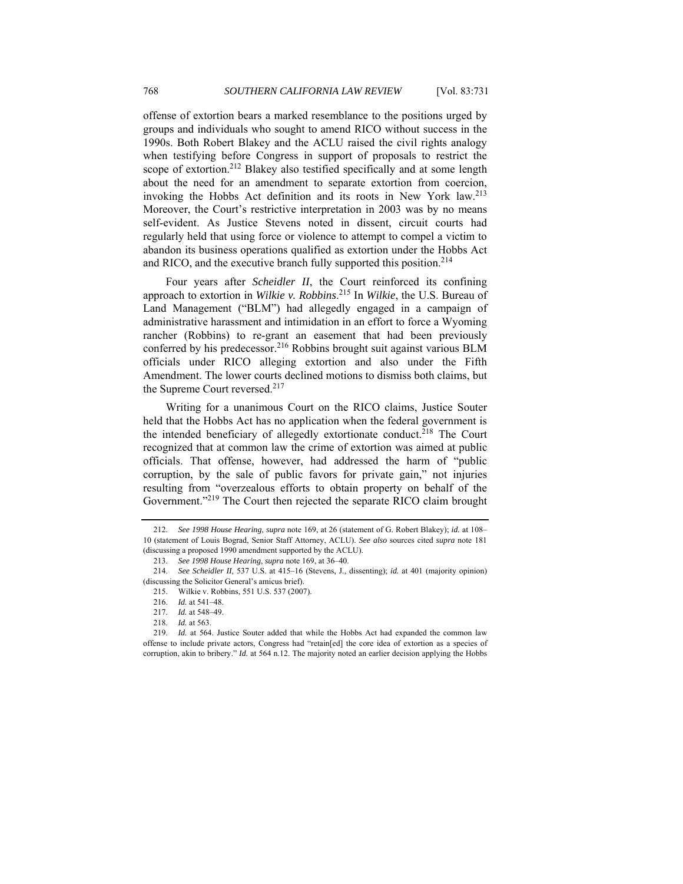offense of extortion bears a marked resemblance to the positions urged by groups and individuals who sought to amend RICO without success in the 1990s. Both Robert Blakey and the ACLU raised the civil rights analogy when testifying before Congress in support of proposals to restrict the scope of extortion.<sup>212</sup> Blakey also testified specifically and at some length about the need for an amendment to separate extortion from coercion, invoking the Hobbs Act definition and its roots in New York law.213 Moreover, the Court's restrictive interpretation in 2003 was by no means self-evident. As Justice Stevens noted in dissent, circuit courts had regularly held that using force or violence to attempt to compel a victim to abandon its business operations qualified as extortion under the Hobbs Act and RICO, and the executive branch fully supported this position.<sup>214</sup>

Four years after *Scheidler II*, the Court reinforced its confining approach to extortion in *Wilkie v. Robbins*. 215 In *Wilkie*, the U.S. Bureau of Land Management ("BLM") had allegedly engaged in a campaign of administrative harassment and intimidation in an effort to force a Wyoming rancher (Robbins) to re-grant an easement that had been previously conferred by his predecessor.<sup>216</sup> Robbins brought suit against various BLM officials under RICO alleging extortion and also under the Fifth Amendment. The lower courts declined motions to dismiss both claims, but the Supreme Court reversed.<sup>217</sup>

Writing for a unanimous Court on the RICO claims, Justice Souter held that the Hobbs Act has no application when the federal government is the intended beneficiary of allegedly extortionate conduct.<sup>218</sup> The Court recognized that at common law the crime of extortion was aimed at public officials. That offense, however, had addressed the harm of "public corruption, by the sale of public favors for private gain," not injuries resulting from "overzealous efforts to obtain property on behalf of the Government."219 The Court then rejected the separate RICO claim brought

<sup>212.</sup> *See 1998 House Hearing*, *supra* note 169, at 26 (statement of G. Robert Blakey); *id.* at 108– 10 (statement of Louis Bograd, Senior Staff Attorney, ACLU). *See also* sources cited *supra* note 181 (discussing a proposed 1990 amendment supported by the ACLU).

<sup>213.</sup> *See 1998 House Hearing*, *supra* note 169, at 36–40.

<sup>214.</sup> *See Scheidler II*, 537 U.S. at 415–16 (Stevens, J., dissenting); *id.* at 401 (majority opinion) (discussing the Solicitor General's amicus brief).

 <sup>215.</sup> Wilkie v. Robbins, 551 U.S. 537 (2007).

<sup>216.</sup> *Id.* at 541–48.

<sup>217.</sup> *Id.* at 548–49.

<sup>218.</sup> *Id.* at 563.

<sup>219.</sup> *Id.* at 564. Justice Souter added that while the Hobbs Act had expanded the common law offense to include private actors, Congress had "retain[ed] the core idea of extortion as a species of corruption, akin to bribery." *Id.* at 564 n.12. The majority noted an earlier decision applying the Hobbs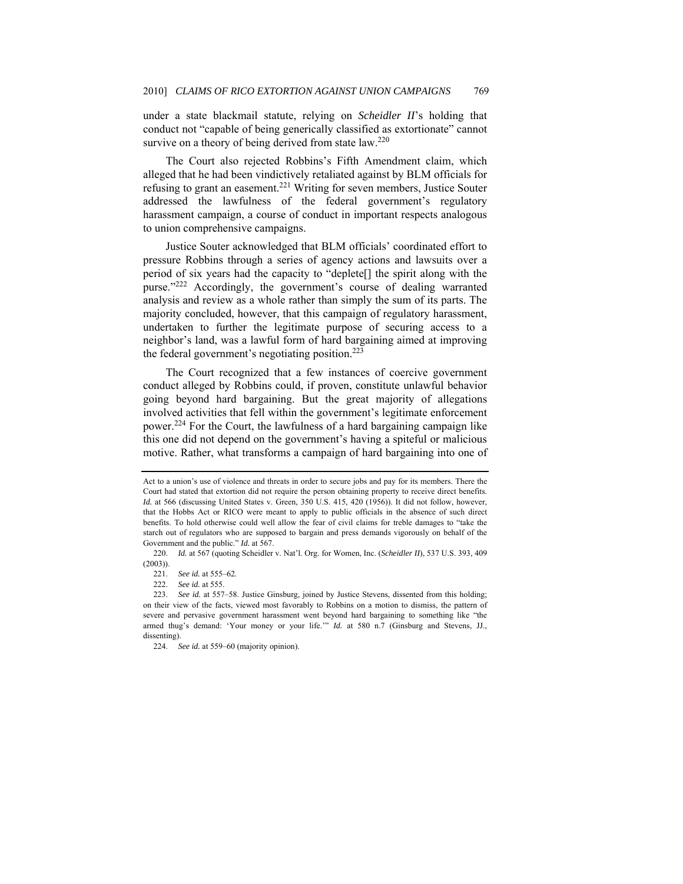under a state blackmail statute, relying on *Scheidler II*'s holding that conduct not "capable of being generically classified as extortionate" cannot survive on a theory of being derived from state law.<sup>220</sup>

The Court also rejected Robbins's Fifth Amendment claim, which alleged that he had been vindictively retaliated against by BLM officials for refusing to grant an easement.<sup>221</sup> Writing for seven members, Justice Souter addressed the lawfulness of the federal government's regulatory harassment campaign, a course of conduct in important respects analogous to union comprehensive campaigns.

Justice Souter acknowledged that BLM officials' coordinated effort to pressure Robbins through a series of agency actions and lawsuits over a period of six years had the capacity to "deplete[] the spirit along with the purse."222 Accordingly, the government's course of dealing warranted analysis and review as a whole rather than simply the sum of its parts. The majority concluded, however, that this campaign of regulatory harassment, undertaken to further the legitimate purpose of securing access to a neighbor's land, was a lawful form of hard bargaining aimed at improving the federal government's negotiating position.<sup>223</sup>

The Court recognized that a few instances of coercive government conduct alleged by Robbins could, if proven, constitute unlawful behavior going beyond hard bargaining. But the great majority of allegations involved activities that fell within the government's legitimate enforcement power.<sup>224</sup> For the Court, the lawfulness of a hard bargaining campaign like this one did not depend on the government's having a spiteful or malicious motive. Rather, what transforms a campaign of hard bargaining into one of

Act to a union's use of violence and threats in order to secure jobs and pay for its members. There the Court had stated that extortion did not require the person obtaining property to receive direct benefits. *Id.* at 566 (discussing United States v. Green, 350 U.S. 415, 420 (1956)). It did not follow, however, that the Hobbs Act or RICO were meant to apply to public officials in the absence of such direct benefits. To hold otherwise could well allow the fear of civil claims for treble damages to "take the starch out of regulators who are supposed to bargain and press demands vigorously on behalf of the Government and the public." *Id.* at 567.

<sup>220.</sup> *Id.* at 567 (quoting Scheidler v. Nat'l. Org. for Women, Inc. (*Scheidler II*), 537 U.S. 393, 409 (2003)).

<sup>221.</sup> *See id.* at 555–62.

See id. at 555.

<sup>223.</sup> *See id.* at 557–58. Justice Ginsburg, joined by Justice Stevens, dissented from this holding; on their view of the facts, viewed most favorably to Robbins on a motion to dismiss, the pattern of severe and pervasive government harassment went beyond hard bargaining to something like "the armed thug's demand: 'Your money or your life.'" *Id.* at 580 n.7 (Ginsburg and Stevens, JJ., dissenting).

<sup>224.</sup> *See id.* at 559–60 (majority opinion).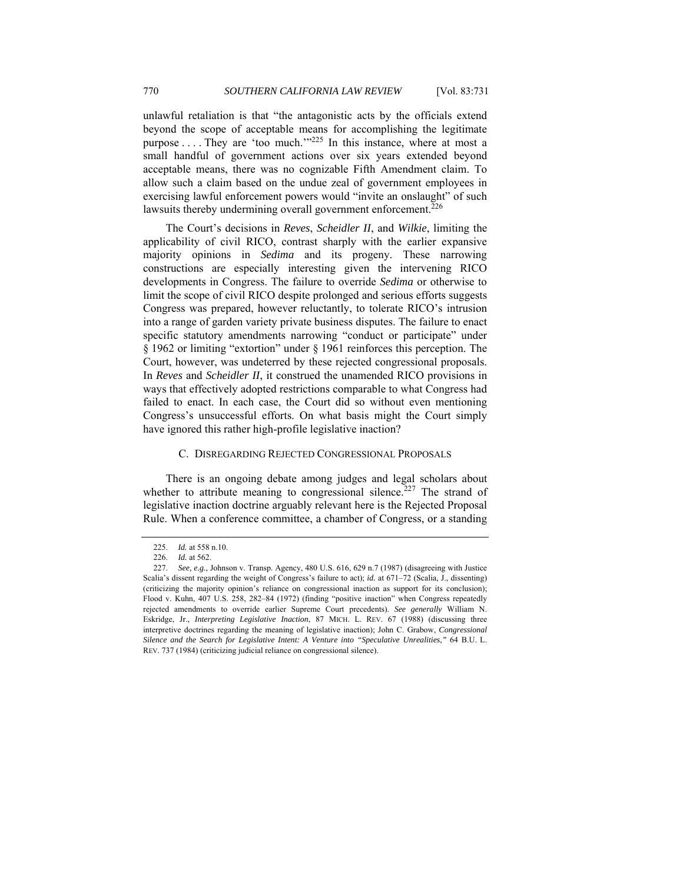unlawful retaliation is that "the antagonistic acts by the officials extend beyond the scope of acceptable means for accomplishing the legitimate purpose . . . . They are 'too much.'"<sup>225</sup> In this instance, where at most a small handful of government actions over six years extended beyond acceptable means, there was no cognizable Fifth Amendment claim. To allow such a claim based on the undue zeal of government employees in exercising lawful enforcement powers would "invite an onslaught" of such lawsuits thereby undermining overall government enforcement.<sup>226</sup>

The Court's decisions in *Reves*, *Scheidler II*, and *Wilkie*, limiting the applicability of civil RICO, contrast sharply with the earlier expansive majority opinions in *Sedima* and its progeny. These narrowing constructions are especially interesting given the intervening RICO developments in Congress. The failure to override *Sedima* or otherwise to limit the scope of civil RICO despite prolonged and serious efforts suggests Congress was prepared, however reluctantly, to tolerate RICO's intrusion into a range of garden variety private business disputes. The failure to enact specific statutory amendments narrowing "conduct or participate" under § 1962 or limiting "extortion" under § 1961 reinforces this perception. The Court, however, was undeterred by these rejected congressional proposals. In *Reves* and *Scheidler II*, it construed the unamended RICO provisions in ways that effectively adopted restrictions comparable to what Congress had failed to enact. In each case, the Court did so without even mentioning Congress's unsuccessful efforts. On what basis might the Court simply have ignored this rather high-profile legislative inaction?

## C. DISREGARDING REJECTED CONGRESSIONAL PROPOSALS

There is an ongoing debate among judges and legal scholars about whether to attribute meaning to congressional silence.<sup>227</sup> The strand of legislative inaction doctrine arguably relevant here is the Rejected Proposal Rule. When a conference committee, a chamber of Congress, or a standing

<sup>225.</sup> *Id.* at 558 n.10.

<sup>226.</sup> *Id.* at 562.

<sup>227.</sup> *See, e.g.*, Johnson v. Transp. Agency, 480 U.S. 616, 629 n.7 (1987) (disagreeing with Justice Scalia's dissent regarding the weight of Congress's failure to act); *id.* at 671–72 (Scalia, J., dissenting) (criticizing the majority opinion's reliance on congressional inaction as support for its conclusion); Flood v. Kuhn, 407 U.S. 258, 282–84 (1972) (finding "positive inaction" when Congress repeatedly rejected amendments to override earlier Supreme Court precedents). *See generally* William N. Eskridge, Jr., *Interpreting Legislative Inaction*, 87 MICH. L. REV. 67 (1988) (discussing three interpretive doctrines regarding the meaning of legislative inaction); John C. Grabow, *Congressional Silence and the Search for Legislative Intent: A Venture into "Speculative Unrealities*,*"* 64 B.U. L. REV. 737 (1984) (criticizing judicial reliance on congressional silence).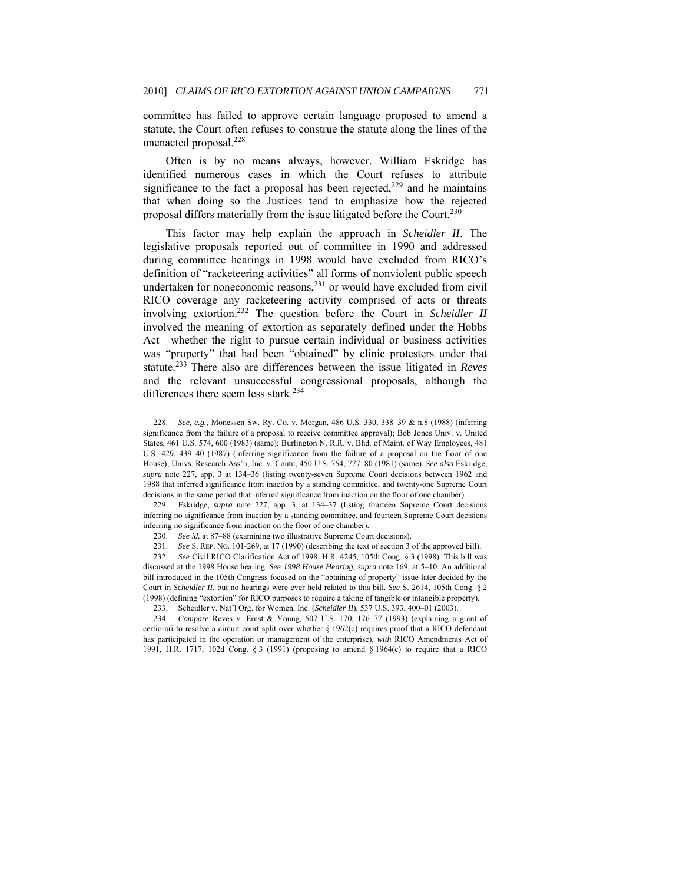committee has failed to approve certain language proposed to amend a statute, the Court often refuses to construe the statute along the lines of the unenacted proposal.<sup>228</sup>

Often is by no means always, however. William Eskridge has identified numerous cases in which the Court refuses to attribute significance to the fact a proposal has been rejected,  $229$  and he maintains that when doing so the Justices tend to emphasize how the rejected proposal differs materially from the issue litigated before the Court.<sup>230</sup>

This factor may help explain the approach in *Scheidler II*. The legislative proposals reported out of committee in 1990 and addressed during committee hearings in 1998 would have excluded from RICO's definition of "racketeering activities" all forms of nonviolent public speech undertaken for noneconomic reasons, $^{231}$  or would have excluded from civil RICO coverage any racketeering activity comprised of acts or threats involving extortion.232 The question before the Court in *Scheidler II* involved the meaning of extortion as separately defined under the Hobbs Act—whether the right to pursue certain individual or business activities was "property" that had been "obtained" by clinic protesters under that statute.233 There also are differences between the issue litigated in *Reves* and the relevant unsuccessful congressional proposals, although the differences there seem less stark.<sup>234</sup>

<sup>228.</sup> *See, e.g.*, Monessen Sw. Ry. Co. v. Morgan, 486 U.S. 330, 338–39 & n.8 (1988) (inferring significance from the failure of a proposal to receive committee approval); Bob Jones Univ. v. United States, 461 U.S. 574, 600 (1983) (same); Burlington N. R.R. v. Bhd. of Maint. of Way Employees, 481 U.S. 429, 439–40 (1987) (inferring significance from the failure of a proposal on the floor of one House); Univs. Research Ass'n, Inc. v. Coutu, 450 U.S. 754, 777–80 (1981) (same). *See also* Eskridge, *supra* note 227, app. 3 at 134–36 (listing twenty-seven Supreme Court decisions between 1962 and 1988 that inferred significance from inaction by a standing committee, and twenty-one Supreme Court decisions in the same period that inferred significance from inaction on the floor of one chamber).

<sup>229.</sup> Eskridge, *supra* note 227, app. 3, at 134–37 (listing fourteen Supreme Court decisions inferring no significance from inaction by a standing committee, and fourteen Supreme Court decisions inferring no significance from inaction on the floor of one chamber).

<sup>230.</sup> *See id.* at 87–88 (examining two illustrative Supreme Court decisions).

<sup>231.</sup> *See* S. REP. NO. 101-269, at 17 (1990) (describing the text of section 3 of the approved bill).

<sup>232.</sup> *See* Civil RICO Clarification Act of 1998, H.R. 4245, 105th Cong. § 3 (1998). This bill was discussed at the 1998 House hearing. *See 1998 House Hearing*, *supra* note 169, at 5–10. An additional bill introduced in the 105th Congress focused on the "obtaining of property" issue later decided by the Court in *Scheidler II*, but no hearings were ever held related to this bill. *See* S. 2614, 105th Cong. § 2 (1998) (defining "extortion" for RICO purposes to require a taking of tangible or intangible property).

 <sup>233.</sup> Scheidler v. Nat'l Org. for Women, Inc. (*Scheidler II*), 537 U.S. 393, 400–01 (2003).

<sup>234.</sup> *Compare* Reves v. Ernst & Young, 507 U.S. 170, 176–77 (1993) (explaining a grant of certiorari to resolve a circuit court split over whether § 1962(c) requires proof that a RICO defendant has participated in the operation or management of the enterprise), *with* RICO Amendments Act of 1991, H.R. 1717, 102d Cong. § 3 (1991) (proposing to amend § 1964(c) to require that a RICO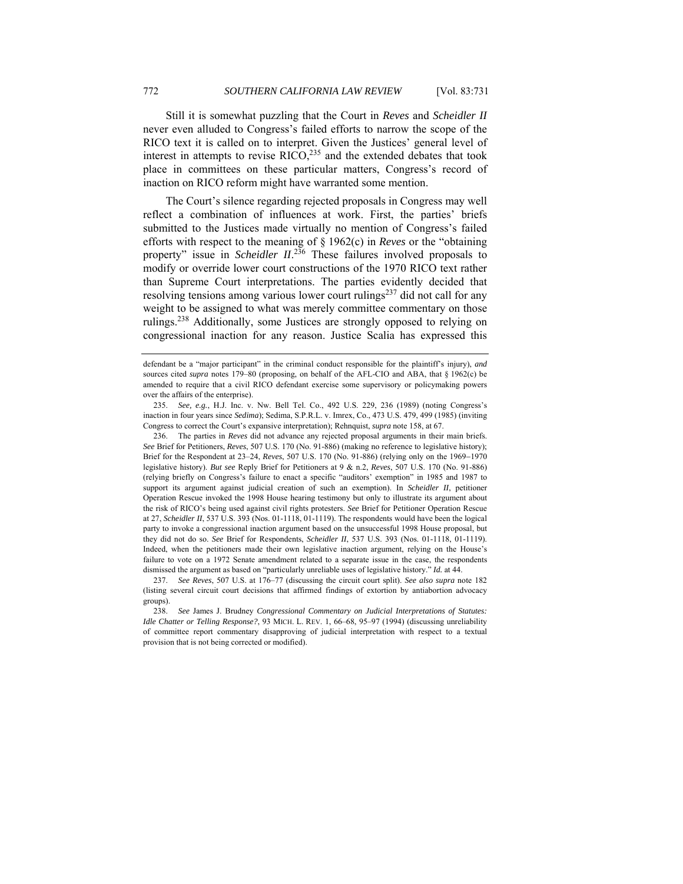Still it is somewhat puzzling that the Court in *Reves* and *Scheidler II* never even alluded to Congress's failed efforts to narrow the scope of the RICO text it is called on to interpret. Given the Justices' general level of interest in attempts to revise  $RICO<sub>235</sub>$  and the extended debates that took place in committees on these particular matters, Congress's record of inaction on RICO reform might have warranted some mention.

The Court's silence regarding rejected proposals in Congress may well reflect a combination of influences at work. First, the parties' briefs submitted to the Justices made virtually no mention of Congress's failed efforts with respect to the meaning of § 1962(c) in *Reves* or the "obtaining property" issue in *Scheidler II*. 236 These failures involved proposals to modify or override lower court constructions of the 1970 RICO text rather than Supreme Court interpretations. The parties evidently decided that resolving tensions among various lower court rulings<sup>237</sup> did not call for any weight to be assigned to what was merely committee commentary on those rulings.<sup>238</sup> Additionally, some Justices are strongly opposed to relying on congressional inaction for any reason. Justice Scalia has expressed this

defendant be a "major participant" in the criminal conduct responsible for the plaintiff's injury), *and* sources cited *supra* notes 179–80 (proposing, on behalf of the AFL-CIO and ABA, that § 1962(c) be amended to require that a civil RICO defendant exercise some supervisory or policymaking powers over the affairs of the enterprise).

<sup>235.</sup> *See, e.g.*, H.J. Inc. v. Nw. Bell Tel. Co., 492 U.S. 229, 236 (1989) (noting Congress's inaction in four years since *Sedima*); Sedima, S.P.R.L. v. Imrex, Co., 473 U.S. 479, 499 (1985) (inviting Congress to correct the Court's expansive interpretation); Rehnquist, *supra* note 158, at 67.

 <sup>236.</sup> The parties in *Reves* did not advance any rejected proposal arguments in their main briefs. *See* Brief for Petitioners, *Reves*, 507 U.S. 170 (No. 91-886) (making no reference to legislative history); Brief for the Respondent at 23–24, *Reves*, 507 U.S. 170 (No. 91-886) (relying only on the 1969−1970 legislative history). *But see* Reply Brief for Petitioners at 9 & n.2, *Reves*, 507 U.S. 170 (No. 91-886) (relying briefly on Congress's failure to enact a specific "auditors' exemption" in 1985 and 1987 to support its argument against judicial creation of such an exemption). In *Scheidler II*, petitioner Operation Rescue invoked the 1998 House hearing testimony but only to illustrate its argument about the risk of RICO's being used against civil rights protesters. *See* Brief for Petitioner Operation Rescue at 27, *Scheidler II*, 537 U.S. 393 (Nos. 01-1118, 01-1119). The respondents would have been the logical party to invoke a congressional inaction argument based on the unsuccessful 1998 House proposal, but they did not do so. *See* Brief for Respondents, *Scheidler II*, 537 U.S. 393 (Nos. 01-1118, 01-1119). Indeed, when the petitioners made their own legislative inaction argument, relying on the House's failure to vote on a 1972 Senate amendment related to a separate issue in the case, the respondents dismissed the argument as based on "particularly unreliable uses of legislative history." *Id.* at 44.

<sup>237.</sup> *See Reves*, 507 U.S. at 176–77 (discussing the circuit court split). *See also supra* note 182 (listing several circuit court decisions that affirmed findings of extortion by antiabortion advocacy groups).

<sup>238.</sup> *See* James J. Brudney *Congressional Commentary on Judicial Interpretations of Statutes: Idle Chatter or Telling Response?*, 93 MICH. L. REV. 1, 66–68, 95–97 (1994) (discussing unreliability of committee report commentary disapproving of judicial interpretation with respect to a textual provision that is not being corrected or modified).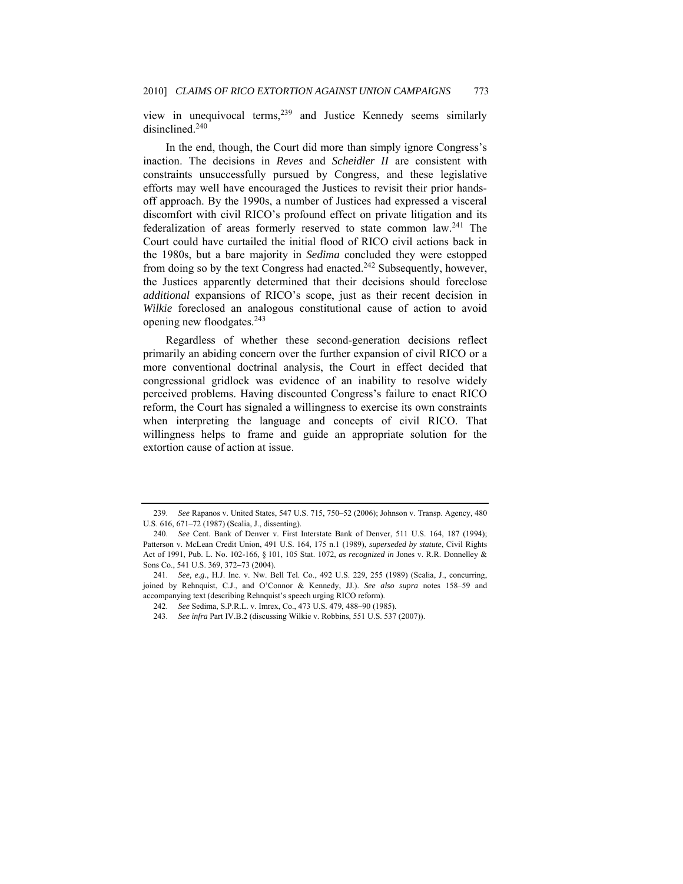view in unequivocal terms,239 and Justice Kennedy seems similarly disinclined.<sup>240</sup>

In the end, though, the Court did more than simply ignore Congress's inaction. The decisions in *Reves* and *Scheidler II* are consistent with constraints unsuccessfully pursued by Congress, and these legislative efforts may well have encouraged the Justices to revisit their prior handsoff approach. By the 1990s, a number of Justices had expressed a visceral discomfort with civil RICO's profound effect on private litigation and its federalization of areas formerly reserved to state common law.241 The Court could have curtailed the initial flood of RICO civil actions back in the 1980s, but a bare majority in *Sedima* concluded they were estopped from doing so by the text Congress had enacted.242 Subsequently, however, the Justices apparently determined that their decisions should foreclose *additional* expansions of RICO's scope, just as their recent decision in *Wilkie* foreclosed an analogous constitutional cause of action to avoid opening new floodgates.243

Regardless of whether these second-generation decisions reflect primarily an abiding concern over the further expansion of civil RICO or a more conventional doctrinal analysis, the Court in effect decided that congressional gridlock was evidence of an inability to resolve widely perceived problems. Having discounted Congress's failure to enact RICO reform, the Court has signaled a willingness to exercise its own constraints when interpreting the language and concepts of civil RICO. That willingness helps to frame and guide an appropriate solution for the extortion cause of action at issue.

<sup>239.</sup> *See* Rapanos v. United States, 547 U.S. 715, 750–52 (2006); Johnson v. Transp. Agency, 480 U.S. 616, 671–72 (1987) (Scalia, J., dissenting).

<sup>240.</sup> *See* Cent. Bank of Denver v. First Interstate Bank of Denver, 511 U.S. 164, 187 (1994); Patterson v. McLean Credit Union, 491 U.S. 164, 175 n.1 (1989), *superseded by statute*, Civil Rights Act of 1991, Pub. L. No. 102-166, § 101, 105 Stat. 1072, *as recognized in* Jones v. R.R. Donnelley & Sons Co., 541 U.S. 369, 372−73 (2004).

<sup>241.</sup> *See, e.g.*, H.J. Inc. v. Nw. Bell Tel. Co., 492 U.S. 229, 255 (1989) (Scalia, J., concurring, joined by Rehnquist, C.J., and O'Connor & Kennedy, JJ.). *See also supra* notes 158–59 and accompanying text (describing Rehnquist's speech urging RICO reform).

 <sup>242.</sup> *See* Sedima, S.P.R.L. v. Imrex, Co., 473 U.S. 479, 488–90 (1985).

<sup>243.</sup> *See infra* Part IV.B.2 (discussing Wilkie v. Robbins, 551 U.S. 537 (2007)).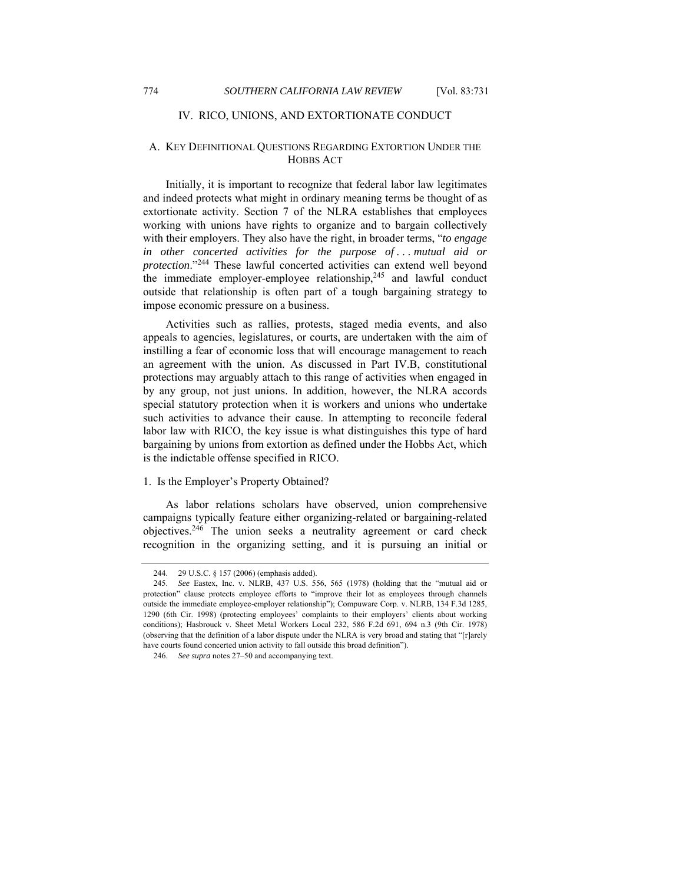## IV. RICO, UNIONS, AND EXTORTIONATE CONDUCT

## A. KEY DEFINITIONAL QUESTIONS REGARDING EXTORTION UNDER THE HOBBS ACT

Initially, it is important to recognize that federal labor law legitimates and indeed protects what might in ordinary meaning terms be thought of as extortionate activity. Section 7 of the NLRA establishes that employees working with unions have rights to organize and to bargain collectively with their employers. They also have the right, in broader terms, "*to engage in other concerted activities for the purpose of . . . mutual aid or protection*."244 These lawful concerted activities can extend well beyond the immediate employer-employee relationship,<sup>245</sup> and lawful conduct outside that relationship is often part of a tough bargaining strategy to impose economic pressure on a business.

Activities such as rallies, protests, staged media events, and also appeals to agencies, legislatures, or courts, are undertaken with the aim of instilling a fear of economic loss that will encourage management to reach an agreement with the union. As discussed in Part IV.B, constitutional protections may arguably attach to this range of activities when engaged in by any group, not just unions. In addition, however, the NLRA accords special statutory protection when it is workers and unions who undertake such activities to advance their cause. In attempting to reconcile federal labor law with RICO, the key issue is what distinguishes this type of hard bargaining by unions from extortion as defined under the Hobbs Act, which is the indictable offense specified in RICO.

## 1. Is the Employer's Property Obtained?

As labor relations scholars have observed, union comprehensive campaigns typically feature either organizing-related or bargaining-related objectives.246 The union seeks a neutrality agreement or card check recognition in the organizing setting, and it is pursuing an initial or

 <sup>244. 29</sup> U.S.C. § 157 (2006) (emphasis added).

<sup>245.</sup> *See* Eastex, Inc. v. NLRB, 437 U.S. 556, 565 (1978) (holding that the "mutual aid or protection" clause protects employee efforts to "improve their lot as employees through channels outside the immediate employee-employer relationship"); Compuware Corp. v. NLRB, 134 F.3d 1285, 1290 (6th Cir. 1998) (protecting employees' complaints to their employers' clients about working conditions); Hasbrouck v. Sheet Metal Workers Local 232, 586 F.2d 691, 694 n.3 (9th Cir. 1978) (observing that the definition of a labor dispute under the NLRA is very broad and stating that "[r]arely have courts found concerted union activity to fall outside this broad definition").

<sup>246.</sup> *See supra* notes 27–50 and accompanying text.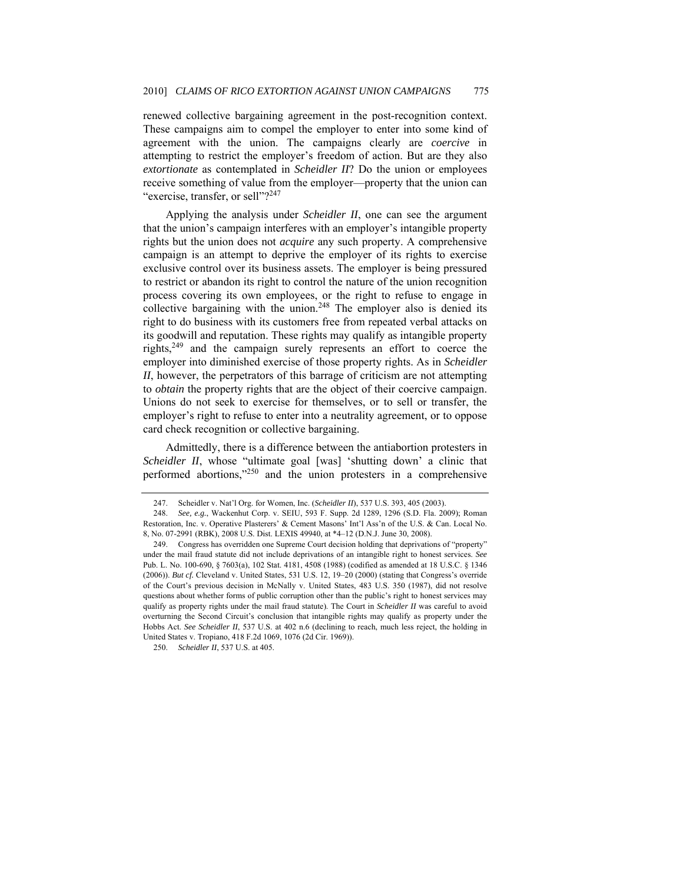renewed collective bargaining agreement in the post-recognition context. These campaigns aim to compel the employer to enter into some kind of agreement with the union. The campaigns clearly are *coercive* in attempting to restrict the employer's freedom of action. But are they also *extortionate* as contemplated in *Scheidler II*? Do the union or employees receive something of value from the employer—property that the union can "exercise, transfer, or sell"?<sup>247</sup>

Applying the analysis under *Scheidler II*, one can see the argument that the union's campaign interferes with an employer's intangible property rights but the union does not *acquire* any such property. A comprehensive campaign is an attempt to deprive the employer of its rights to exercise exclusive control over its business assets. The employer is being pressured to restrict or abandon its right to control the nature of the union recognition process covering its own employees, or the right to refuse to engage in collective bargaining with the union.<sup>248</sup> The employer also is denied its right to do business with its customers free from repeated verbal attacks on its goodwill and reputation. These rights may qualify as intangible property rights,249 and the campaign surely represents an effort to coerce the employer into diminished exercise of those property rights. As in *Scheidler II*, however, the perpetrators of this barrage of criticism are not attempting to *obtain* the property rights that are the object of their coercive campaign. Unions do not seek to exercise for themselves, or to sell or transfer, the employer's right to refuse to enter into a neutrality agreement, or to oppose card check recognition or collective bargaining.

Admittedly, there is a difference between the antiabortion protesters in *Scheidler II*, whose "ultimate goal [was] 'shutting down' a clinic that performed abortions,"250 and the union protesters in a comprehensive

 <sup>247.</sup> Scheidler v. Nat'l Org. for Women, Inc. (*Scheidler II*), 537 U.S. 393, 405 (2003).

<sup>248.</sup> *See, e.g.*, Wackenhut Corp. v. SEIU, 593 F. Supp. 2d 1289, 1296 (S.D. Fla. 2009); Roman Restoration, Inc. v. Operative Plasterers' & Cement Masons' Int'l Ass'n of the U.S. & Can. Local No. 8, No. 07-2991 (RBK), 2008 U.S. Dist. LEXIS 49940, at \*4–12 (D.N.J. June 30, 2008).

 <sup>249.</sup> Congress has overridden one Supreme Court decision holding that deprivations of "property" under the mail fraud statute did not include deprivations of an intangible right to honest services. *See* Pub. L. No. 100-690, § 7603(a), 102 Stat. 4181, 4508 (1988) (codified as amended at 18 U.S.C. § 1346 (2006)). *But cf.* Cleveland v. United States, 531 U.S. 12, 19–20 (2000) (stating that Congress's override of the Court's previous decision in McNally v. United States, 483 U.S. 350 (1987), did not resolve questions about whether forms of public corruption other than the public's right to honest services may qualify as property rights under the mail fraud statute). The Court in *Scheidler II* was careful to avoid overturning the Second Circuit's conclusion that intangible rights may qualify as property under the Hobbs Act. See Scheidler II, 537 U.S. at 402 n.6 (declining to reach, much less reject, the holding in United States v. Tropiano, 418 F.2d 1069, 1076 (2d Cir. 1969)).

 <sup>250.</sup> *Scheidler II*, 537 U.S. at 405.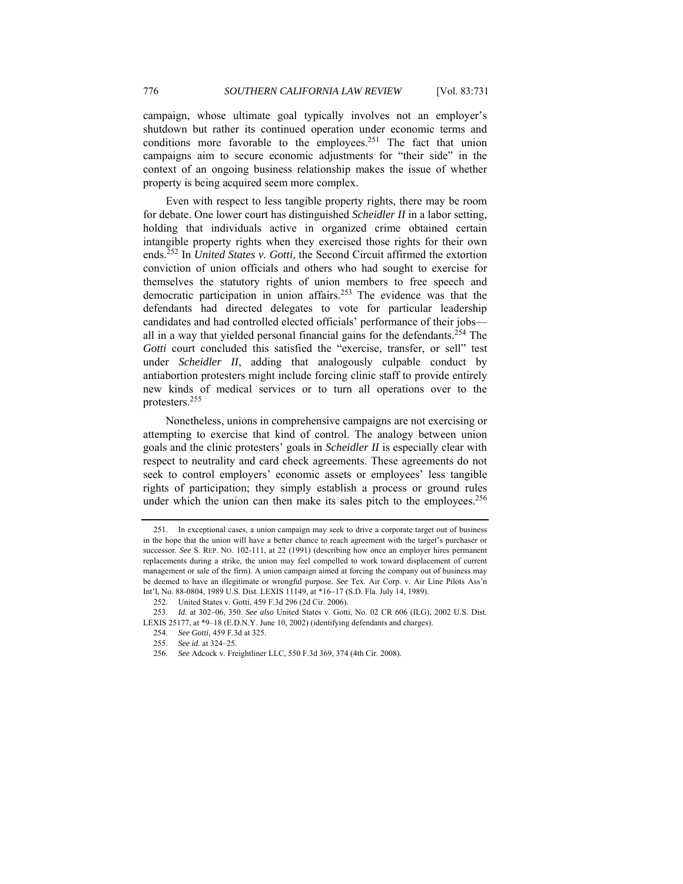campaign, whose ultimate goal typically involves not an employer's shutdown but rather its continued operation under economic terms and conditions more favorable to the employees.<sup>251</sup> The fact that union campaigns aim to secure economic adjustments for "their side" in the context of an ongoing business relationship makes the issue of whether property is being acquired seem more complex.

Even with respect to less tangible property rights, there may be room for debate. One lower court has distinguished *Scheidler II* in a labor setting, holding that individuals active in organized crime obtained certain intangible property rights when they exercised those rights for their own ends.252 In *United States v. Gotti*, the Second Circuit affirmed the extortion conviction of union officials and others who had sought to exercise for themselves the statutory rights of union members to free speech and democratic participation in union affairs.253 The evidence was that the defendants had directed delegates to vote for particular leadership candidates and had controlled elected officials' performance of their jobs all in a way that yielded personal financial gains for the defendants.<sup>254</sup> The *Gotti* court concluded this satisfied the "exercise, transfer, or sell" test under *Scheidler II*, adding that analogously culpable conduct by antiabortion protesters might include forcing clinic staff to provide entirely new kinds of medical services or to turn all operations over to the protesters.255

Nonetheless, unions in comprehensive campaigns are not exercising or attempting to exercise that kind of control. The analogy between union goals and the clinic protesters' goals in *Scheidler II* is especially clear with respect to neutrality and card check agreements. These agreements do not seek to control employers' economic assets or employees' less tangible rights of participation; they simply establish a process or ground rules under which the union can then make its sales pitch to the employees. $256$ 

 <sup>251.</sup> In exceptional cases, a union campaign may seek to drive a corporate target out of business in the hope that the union will have a better chance to reach agreement with the target's purchaser or successor. *See* S. REP. NO. 102-111, at 22 (1991) (describing how once an employer hires permanent replacements during a strike, the union may feel compelled to work toward displacement of current management or sale of the firm). A union campaign aimed at forcing the company out of business may be deemed to have an illegitimate or wrongful purpose. *See* Tex. Air Corp. v. Air Line Pilots Ass'n Int'l, No. 88-0804, 1989 U.S. Dist. LEXIS 11149, at \*16−17 (S.D. Fla. July 14, 1989).

 <sup>252.</sup> United States v. Gotti, 459 F.3d 296 (2d Cir. 2006).

 <sup>253.</sup> *Id.* at 302–06, 350. *See also* United States v. Gotti, No. 02 CR 606 (ILG), 2002 U.S. Dist. LEXIS 25177, at \*9–18 (E.D.N.Y. June 10, 2002) (identifying defendants and charges).

<sup>254.</sup> *See Gotti*, 459 F.3d at 325.

<sup>255.</sup> *See id.* at 324–25.

<sup>256.</sup> *See* Adcock v. Freightliner LLC, 550 F.3d 369, 374 (4th Cir. 2008).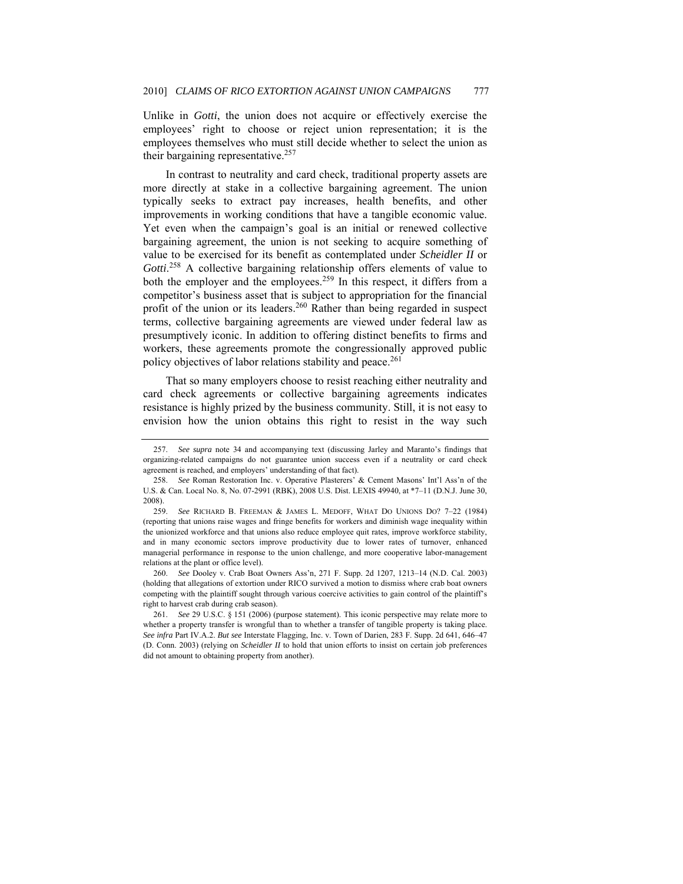Unlike in *Gotti*, the union does not acquire or effectively exercise the employees' right to choose or reject union representation; it is the employees themselves who must still decide whether to select the union as their bargaining representative.<sup>257</sup>

In contrast to neutrality and card check, traditional property assets are more directly at stake in a collective bargaining agreement. The union typically seeks to extract pay increases, health benefits, and other improvements in working conditions that have a tangible economic value. Yet even when the campaign's goal is an initial or renewed collective bargaining agreement, the union is not seeking to acquire something of value to be exercised for its benefit as contemplated under *Scheidler II* or Gotti.<sup>258</sup> A collective bargaining relationship offers elements of value to both the employer and the employees.<sup>259</sup> In this respect, it differs from a competitor's business asset that is subject to appropriation for the financial profit of the union or its leaders.<sup>260</sup> Rather than being regarded in suspect terms, collective bargaining agreements are viewed under federal law as presumptively iconic. In addition to offering distinct benefits to firms and workers, these agreements promote the congressionally approved public policy objectives of labor relations stability and peace.<sup>261</sup>

That so many employers choose to resist reaching either neutrality and card check agreements or collective bargaining agreements indicates resistance is highly prized by the business community. Still, it is not easy to envision how the union obtains this right to resist in the way such

260. *See* Dooley v. Crab Boat Owners Ass'n, 271 F. Supp. 2d 1207, 1213–14 (N.D. Cal. 2003) (holding that allegations of extortion under RICO survived a motion to dismiss where crab boat owners competing with the plaintiff sought through various coercive activities to gain control of the plaintiff's right to harvest crab during crab season).

<sup>257.</sup> *See supra* note 34 and accompanying text (discussing Jarley and Maranto's findings that organizing-related campaigns do not guarantee union success even if a neutrality or card check agreement is reached, and employers' understanding of that fact).

<sup>258.</sup> *See* Roman Restoration Inc. v. Operative Plasterers' & Cement Masons' Int'l Ass'n of the U.S. & Can. Local No. 8, No. 07-2991 (RBK), 2008 U.S. Dist. LEXIS 49940, at \*7–11 (D.N.J. June 30, 2008).

<sup>259.</sup> *See* RICHARD B. FREEMAN & JAMES L. MEDOFF, WHAT DO UNIONS DO? 7–22 (1984) (reporting that unions raise wages and fringe benefits for workers and diminish wage inequality within the unionized workforce and that unions also reduce employee quit rates, improve workforce stability, and in many economic sectors improve productivity due to lower rates of turnover, enhanced managerial performance in response to the union challenge, and more cooperative labor-management relations at the plant or office level).

<sup>261.</sup> *See* 29 U.S.C. § 151 (2006) (purpose statement). This iconic perspective may relate more to whether a property transfer is wrongful than to whether a transfer of tangible property is taking place. *See infra* Part IV.A.2. *But see* Interstate Flagging, Inc. v. Town of Darien, 283 F. Supp. 2d 641, 646–47 (D. Conn. 2003) (relying on *Scheidler II* to hold that union efforts to insist on certain job preferences did not amount to obtaining property from another).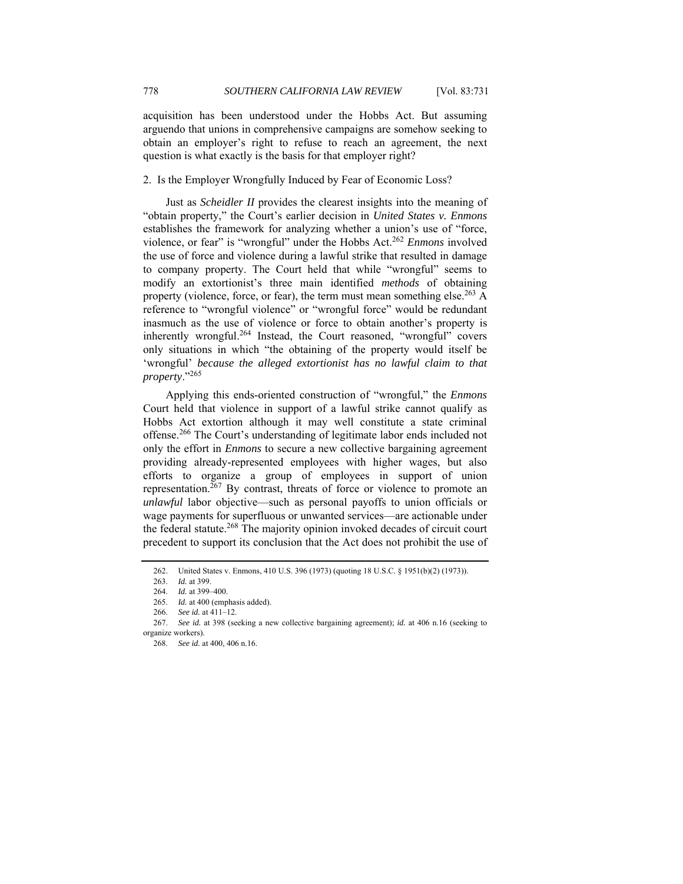acquisition has been understood under the Hobbs Act. But assuming arguendo that unions in comprehensive campaigns are somehow seeking to obtain an employer's right to refuse to reach an agreement, the next question is what exactly is the basis for that employer right?

2. Is the Employer Wrongfully Induced by Fear of Economic Loss?

Just as *Scheidler II* provides the clearest insights into the meaning of "obtain property," the Court's earlier decision in *United States v. Enmons*  establishes the framework for analyzing whether a union's use of "force, violence, or fear" is "wrongful" under the Hobbs Act.<sup>262</sup> *Enmons* involved the use of force and violence during a lawful strike that resulted in damage to company property. The Court held that while "wrongful" seems to modify an extortionist's three main identified *methods* of obtaining property (violence, force, or fear), the term must mean something else.<sup>263</sup> A reference to "wrongful violence" or "wrongful force" would be redundant inasmuch as the use of violence or force to obtain another's property is inherently wrongful.<sup>264</sup> Instead, the Court reasoned, "wrongful" covers only situations in which "the obtaining of the property would itself be 'wrongful' *because the alleged extortionist has no lawful claim to that property*."<sup>265</sup>

Applying this ends-oriented construction of "wrongful," the *Enmons* Court held that violence in support of a lawful strike cannot qualify as Hobbs Act extortion although it may well constitute a state criminal offense.266 The Court's understanding of legitimate labor ends included not only the effort in *Enmons* to secure a new collective bargaining agreement providing already-represented employees with higher wages, but also efforts to organize a group of employees in support of union representation.<sup>267</sup> By contrast, threats of force or violence to promote an *unlawful* labor objective—such as personal payoffs to union officials or wage payments for superfluous or unwanted services—are actionable under the federal statute.<sup>268</sup> The majority opinion invoked decades of circuit court precedent to support its conclusion that the Act does not prohibit the use of

 <sup>262.</sup> United States v. Enmons, 410 U.S. 396 (1973) (quoting 18 U.S.C. § 1951(b)(2) (1973)).

 <sup>263.</sup> *Id.* at 399.

<sup>264.</sup> *Id.* at 399–400.

<sup>265.</sup> *Id.* at 400 (emphasis added).

<sup>266.</sup> *See id.* at 411–12.

<sup>267.</sup> *See id.* at 398 (seeking a new collective bargaining agreement); *id.* at 406 n.16 (seeking to organize workers).

<sup>268.</sup> *See id.* at 400, 406 n.16.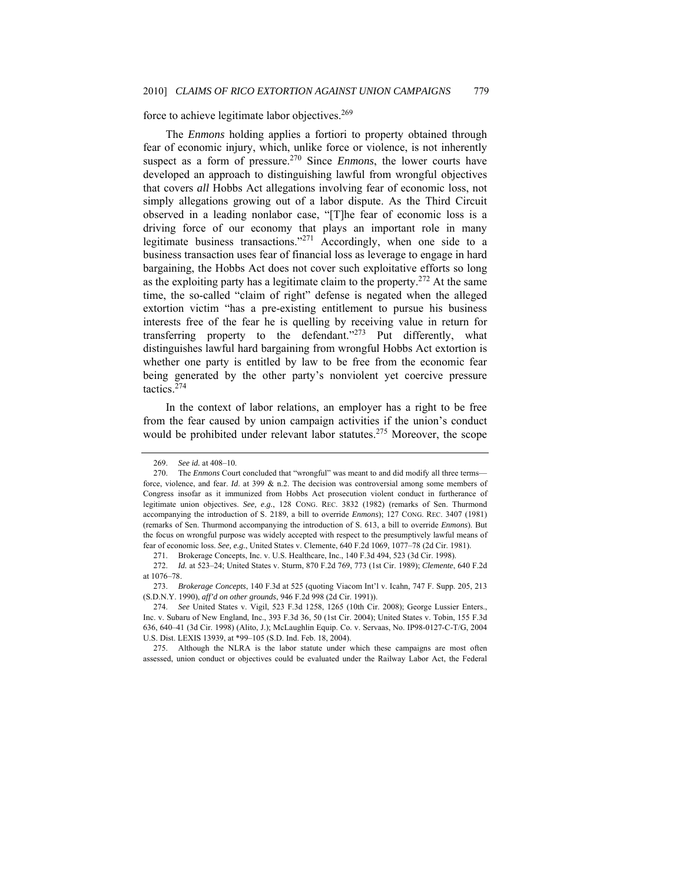# force to achieve legitimate labor objectives.<sup>269</sup>

The *Enmons* holding applies a fortiori to property obtained through fear of economic injury, which, unlike force or violence, is not inherently suspect as a form of pressure.<sup>270</sup> Since *Enmons*, the lower courts have developed an approach to distinguishing lawful from wrongful objectives that covers *all* Hobbs Act allegations involving fear of economic loss, not simply allegations growing out of a labor dispute. As the Third Circuit observed in a leading nonlabor case, "[T]he fear of economic loss is a driving force of our economy that plays an important role in many legitimate business transactions."<sup>271</sup> Accordingly, when one side to a business transaction uses fear of financial loss as leverage to engage in hard bargaining, the Hobbs Act does not cover such exploitative efforts so long as the exploiting party has a legitimate claim to the property.<sup>272</sup> At the same time, the so-called "claim of right" defense is negated when the alleged extortion victim "has a pre-existing entitlement to pursue his business interests free of the fear he is quelling by receiving value in return for transferring property to the defendant."<sup>273</sup> Put differently, what distinguishes lawful hard bargaining from wrongful Hobbs Act extortion is whether one party is entitled by law to be free from the economic fear being generated by the other party's nonviolent yet coercive pressure tactics. $274$ 

In the context of labor relations, an employer has a right to be free from the fear caused by union campaign activities if the union's conduct would be prohibited under relevant labor statutes.<sup>275</sup> Moreover, the scope

<sup>269.</sup> *See id.* at 408–10.

 <sup>270.</sup> The *Enmons* Court concluded that "wrongful" was meant to and did modify all three terms force, violence, and fear. *Id*. at 399 & n.2. The decision was controversial among some members of Congress insofar as it immunized from Hobbs Act prosecution violent conduct in furtherance of legitimate union objectives. *See, e.g.*, 128 CONG. REC. 3832 (1982) (remarks of Sen. Thurmond accompanying the introduction of S. 2189, a bill to override *Enmons*); 127 CONG. REC. 3407 (1981) (remarks of Sen. Thurmond accompanying the introduction of S. 613, a bill to override *Enmons*). But the focus on wrongful purpose was widely accepted with respect to the presumptively lawful means of fear of economic loss. *See, e.g.*, United States v. Clemente, 640 F.2d 1069, 1077–78 (2d Cir. 1981).

 <sup>271.</sup> Brokerage Concepts, Inc. v. U.S. Healthcare, Inc., 140 F.3d 494, 523 (3d Cir. 1998).

<sup>272.</sup> *Id.* at 523–24; United States v. Sturm, 870 F.2d 769, 773 (1st Cir. 1989); *Clemente*, 640 F.2d at 1076–78.

<sup>273.</sup> *Brokerage Concepts*, 140 F.3d at 525 (quoting Viacom Int'l v. Icahn, 747 F. Supp. 205, 213 (S.D.N.Y. 1990), *aff'd on other grounds*, 946 F.2d 998 (2d Cir. 1991)).

<sup>274.</sup> *See* United States v. Vigil, 523 F.3d 1258, 1265 (10th Cir. 2008); George Lussier Enters., Inc. v. Subaru of New England, Inc., 393 F.3d 36, 50 (1st Cir. 2004); United States v. Tobin, 155 F.3d 636, 640–41 (3d Cir. 1998) (Alito, J.); McLaughlin Equip. Co. v. Servaas, No. IP98-0127-C-T/G, 2004 U.S. Dist. LEXIS 13939, at \*99–105 (S.D. Ind. Feb. 18, 2004).

 <sup>275.</sup> Although the NLRA is the labor statute under which these campaigns are most often assessed, union conduct or objectives could be evaluated under the Railway Labor Act, the Federal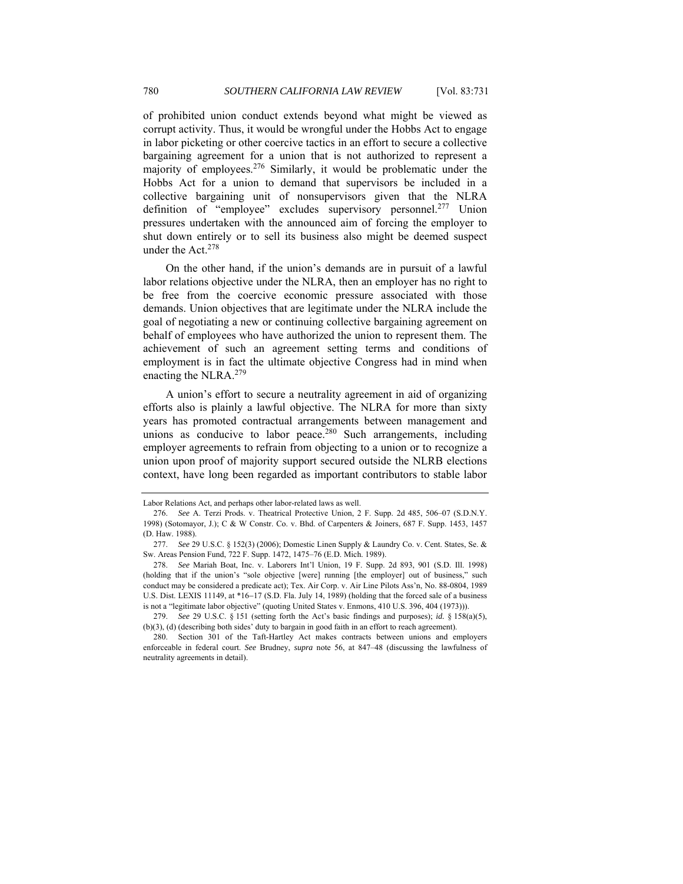of prohibited union conduct extends beyond what might be viewed as corrupt activity. Thus, it would be wrongful under the Hobbs Act to engage in labor picketing or other coercive tactics in an effort to secure a collective bargaining agreement for a union that is not authorized to represent a majority of employees.276 Similarly, it would be problematic under the Hobbs Act for a union to demand that supervisors be included in a collective bargaining unit of nonsupervisors given that the NLRA definition of "employee" excludes supervisory personnel.<sup>277</sup> Union pressures undertaken with the announced aim of forcing the employer to shut down entirely or to sell its business also might be deemed suspect under the Act.278

On the other hand, if the union's demands are in pursuit of a lawful labor relations objective under the NLRA, then an employer has no right to be free from the coercive economic pressure associated with those demands. Union objectives that are legitimate under the NLRA include the goal of negotiating a new or continuing collective bargaining agreement on behalf of employees who have authorized the union to represent them. The achievement of such an agreement setting terms and conditions of employment is in fact the ultimate objective Congress had in mind when enacting the NLRA.<sup>279</sup>

A union's effort to secure a neutrality agreement in aid of organizing efforts also is plainly a lawful objective. The NLRA for more than sixty years has promoted contractual arrangements between management and unions as conducive to labor peace. $280$  Such arrangements, including employer agreements to refrain from objecting to a union or to recognize a union upon proof of majority support secured outside the NLRB elections context, have long been regarded as important contributors to stable labor

Labor Relations Act, and perhaps other labor-related laws as well.

<sup>276.</sup> *See* A. Terzi Prods. v. Theatrical Protective Union, 2 F. Supp. 2d 485, 506–07 (S.D.N.Y. 1998) (Sotomayor, J.); C & W Constr. Co. v. Bhd. of Carpenters & Joiners, 687 F. Supp. 1453, 1457 (D. Haw. 1988).

<sup>277.</sup> *See* 29 U.S.C. § 152(3) (2006); Domestic Linen Supply & Laundry Co. v. Cent. States, Se. & Sw. Areas Pension Fund, 722 F. Supp. 1472, 1475–76 (E.D. Mich. 1989).

<sup>278.</sup> *See* Mariah Boat, Inc. v. Laborers Int'l Union, 19 F. Supp. 2d 893, 901 (S.D. Ill. 1998) (holding that if the union's "sole objective [were] running [the employer] out of business," such conduct may be considered a predicate act); Tex. Air Corp. v. Air Line Pilots Ass'n, No. 88-0804, 1989 U.S. Dist. LEXIS 11149, at \*16−17 (S.D. Fla. July 14, 1989) (holding that the forced sale of a business is not a "legitimate labor objective" (quoting United States v. Enmons, 410 U.S. 396, 404 (1973))).

<sup>279.</sup> *See* 29 U.S.C. § 151 (setting forth the Act's basic findings and purposes); *id.* § 158(a)(5), (b)(3), (d) (describing both sides' duty to bargain in good faith in an effort to reach agreement).

 <sup>280.</sup> Section 301 of the Taft-Hartley Act makes contracts between unions and employers enforceable in federal court. *See* Brudney, *supra* note 56, at 847–48 (discussing the lawfulness of neutrality agreements in detail).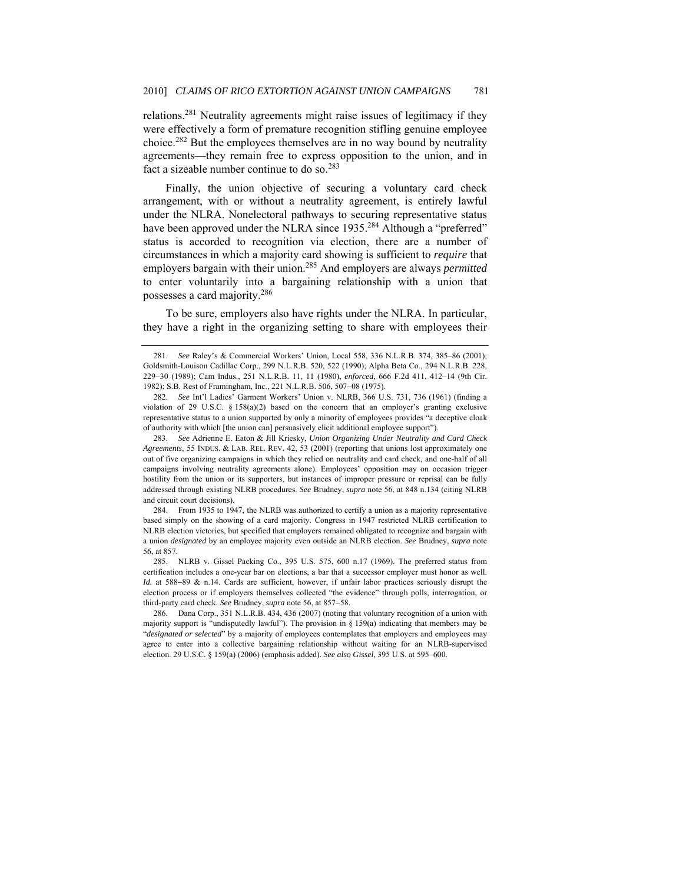relations.281 Neutrality agreements might raise issues of legitimacy if they were effectively a form of premature recognition stifling genuine employee choice.282 But the employees themselves are in no way bound by neutrality agreements—they remain free to express opposition to the union, and in fact a sizeable number continue to do so.<sup>283</sup>

Finally, the union objective of securing a voluntary card check arrangement, with or without a neutrality agreement, is entirely lawful under the NLRA. Nonelectoral pathways to securing representative status have been approved under the NLRA since 1935.<sup>284</sup> Although a "preferred" status is accorded to recognition via election, there are a number of circumstances in which a majority card showing is sufficient to *require* that employers bargain with their union.285 And employers are always *permitted* to enter voluntarily into a bargaining relationship with a union that possesses a card majority.286

To be sure, employers also have rights under the NLRA. In particular, they have a right in the organizing setting to share with employees their

 284. From 1935 to 1947, the NLRB was authorized to certify a union as a majority representative based simply on the showing of a card majority. Congress in 1947 restricted NLRB certification to NLRB election victories, but specified that employers remained obligated to recognize and bargain with a union *designated* by an employee majority even outside an NLRB election. *See* Brudney, *supra* note 56, at 857.

 285. NLRB v. Gissel Packing Co., 395 U.S. 575, 600 n.17 (1969). The preferred status from certification includes a one-year bar on elections, a bar that a successor employer must honor as well. *Id.* at 588–89 & n.14. Cards are sufficient, however, if unfair labor practices seriously disrupt the election process or if employers themselves collected "the evidence" through polls, interrogation, or third-party card check. *See* Brudney, *supra* note 56, at 857−58.

286. Dana Corp., 351 N.L.R.B. 434, 436 (2007) (noting that voluntary recognition of a union with majority support is "undisputedly lawful"). The provision in § 159(a) indicating that members may be "*designated or selected*" by a majority of employees contemplates that employers and employees may agree to enter into a collective bargaining relationship without waiting for an NLRB-supervised election. 29 U.S.C. § 159(a) (2006) (emphasis added). *See also Gissel*, 395 U.S. at 595–600.

<sup>281.</sup> *See* Raley's & Commercial Workers' Union, Local 558, 336 N.L.R.B. 374, 385–86 (2001); Goldsmith-Louison Cadillac Corp., 299 N.L.R.B. 520, 522 (1990); Alpha Beta Co., 294 N.L.R.B. 228, 229−30 (1989); Cam Indus., 251 N.L.R.B. 11, 11 (1980), *enforced*, 666 F.2d 411, 412–14 (9th Cir. 1982); S.B. Rest of Framingham, Inc., 221 N.L.R.B. 506, 507−08 (1975).

<sup>282.</sup> *See* Int'l Ladies' Garment Workers' Union v. NLRB, 366 U.S. 731, 736 (1961) (finding a violation of 29 U.S.C.  $\S 158(a)(2)$  based on the concern that an employer's granting exclusive representative status to a union supported by only a minority of employees provides "a deceptive cloak of authority with which [the union can] persuasively elicit additional employee support").

<sup>283.</sup> *See* Adrienne E. Eaton & Jill Kriesky, *Union Organizing Under Neutrality and Card Check Agreements*, 55 INDUS. & LAB. REL. REV. 42, 53 (2001) (reporting that unions lost approximately one out of five organizing campaigns in which they relied on neutrality and card check, and one-half of all campaigns involving neutrality agreements alone). Employees' opposition may on occasion trigger hostility from the union or its supporters, but instances of improper pressure or reprisal can be fully addressed through existing NLRB procedures. *See* Brudney, *supra* note 56, at 848 n.134 (citing NLRB and circuit court decisions).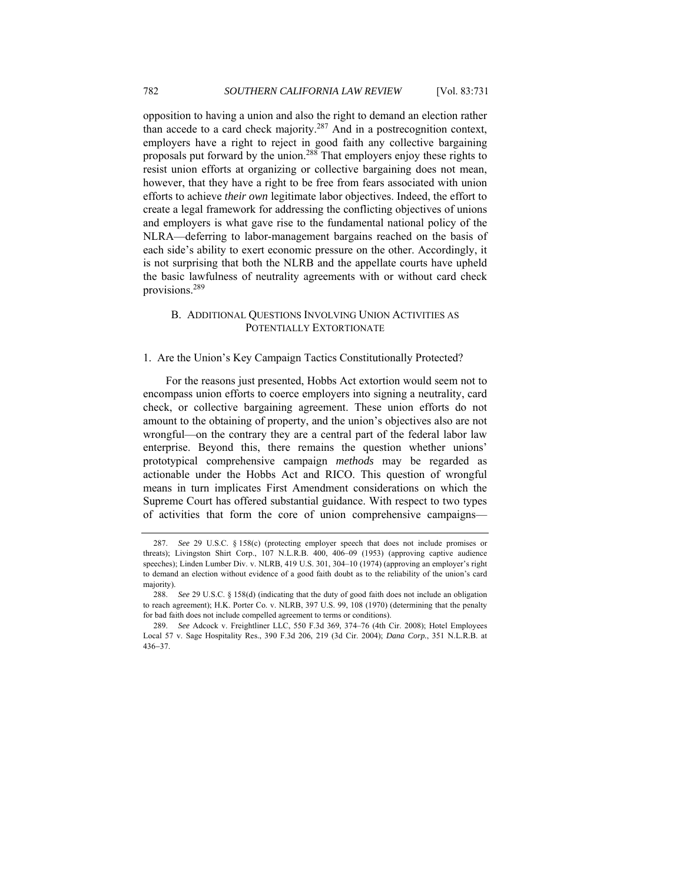opposition to having a union and also the right to demand an election rather than accede to a card check majority.287 And in a postrecognition context, employers have a right to reject in good faith any collective bargaining proposals put forward by the union.288 That employers enjoy these rights to resist union efforts at organizing or collective bargaining does not mean, however, that they have a right to be free from fears associated with union efforts to achieve *their own* legitimate labor objectives. Indeed, the effort to create a legal framework for addressing the conflicting objectives of unions and employers is what gave rise to the fundamental national policy of the NLRA—deferring to labor-management bargains reached on the basis of each side's ability to exert economic pressure on the other. Accordingly, it is not surprising that both the NLRB and the appellate courts have upheld the basic lawfulness of neutrality agreements with or without card check provisions.289

## B. ADDITIONAL QUESTIONS INVOLVING UNION ACTIVITIES AS POTENTIALLY EXTORTIONATE

### 1. Are the Union's Key Campaign Tactics Constitutionally Protected?

For the reasons just presented, Hobbs Act extortion would seem not to encompass union efforts to coerce employers into signing a neutrality, card check, or collective bargaining agreement. These union efforts do not amount to the obtaining of property, and the union's objectives also are not wrongful—on the contrary they are a central part of the federal labor law enterprise. Beyond this, there remains the question whether unions' prototypical comprehensive campaign *methods* may be regarded as actionable under the Hobbs Act and RICO. This question of wrongful means in turn implicates First Amendment considerations on which the Supreme Court has offered substantial guidance. With respect to two types of activities that form the core of union comprehensive campaigns—

<sup>287.</sup> *See* 29 U.S.C. § 158(c) (protecting employer speech that does not include promises or threats); Livingston Shirt Corp., 107 N.L.R.B. 400, 406–09 (1953) (approving captive audience speeches); Linden Lumber Div. v. NLRB, 419 U.S. 301, 304–10 (1974) (approving an employer's right to demand an election without evidence of a good faith doubt as to the reliability of the union's card majority).

<sup>288.</sup> *See* 29 U.S.C. § 158(d) (indicating that the duty of good faith does not include an obligation to reach agreement); H.K. Porter Co. v. NLRB, 397 U.S. 99, 108 (1970) (determining that the penalty for bad faith does not include compelled agreement to terms or conditions).

<sup>289.</sup> *See* Adcock v. Freightliner LLC, 550 F.3d 369, 374–76 (4th Cir. 2008); Hotel Employees Local 57 v. Sage Hospitality Res., 390 F.3d 206, 219 (3d Cir. 2004); *Dana Corp.*, 351 N.L.R.B. at 436−37.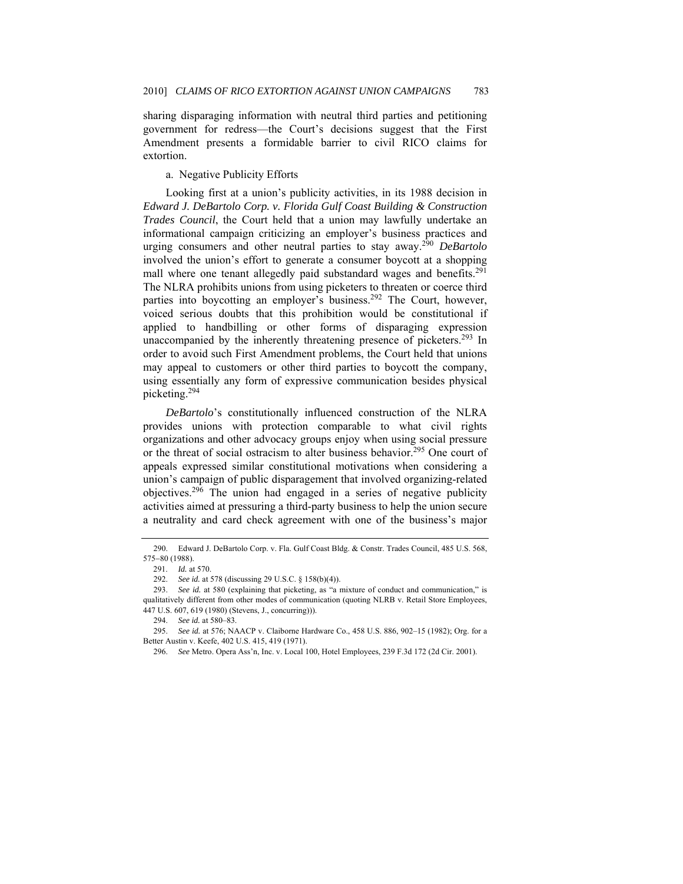sharing disparaging information with neutral third parties and petitioning government for redress—the Court's decisions suggest that the First Amendment presents a formidable barrier to civil RICO claims for extortion.

a. Negative Publicity Efforts

Looking first at a union's publicity activities, in its 1988 decision in *Edward J. DeBartolo Corp. v. Florida Gulf Coast Building & Construction Trades Council*, the Court held that a union may lawfully undertake an informational campaign criticizing an employer's business practices and urging consumers and other neutral parties to stay away.290 *DeBartolo* involved the union's effort to generate a consumer boycott at a shopping mall where one tenant allegedly paid substandard wages and benefits.<sup>291</sup> The NLRA prohibits unions from using picketers to threaten or coerce third parties into boycotting an employer's business.<sup>292</sup> The Court, however, voiced serious doubts that this prohibition would be constitutional if applied to handbilling or other forms of disparaging expression unaccompanied by the inherently threatening presence of picketers.<sup>293</sup> In order to avoid such First Amendment problems, the Court held that unions may appeal to customers or other third parties to boycott the company, using essentially any form of expressive communication besides physical picketing.294

*DeBartolo*'s constitutionally influenced construction of the NLRA provides unions with protection comparable to what civil rights organizations and other advocacy groups enjoy when using social pressure or the threat of social ostracism to alter business behavior.<sup>295</sup> One court of appeals expressed similar constitutional motivations when considering a union's campaign of public disparagement that involved organizing-related objectives.<sup>296</sup> The union had engaged in a series of negative publicity activities aimed at pressuring a third-party business to help the union secure a neutrality and card check agreement with one of the business's major

 <sup>290.</sup> Edward J. DeBartolo Corp. v. Fla. Gulf Coast Bldg. & Constr. Trades Council, 485 U.S. 568, 575−80 (1988).

 <sup>291.</sup> *Id.* at 570.

<sup>292.</sup> *See id.* at 578 (discussing 29 U.S.C. § 158(b)(4)).

<sup>293.</sup> *See id.* at 580 (explaining that picketing, as "a mixture of conduct and communication," is qualitatively different from other modes of communication (quoting NLRB v. Retail Store Employees, 447 U.S. 607, 619 (1980) (Stevens, J., concurring))).

<sup>294.</sup> *See id.* at 580–83.

<sup>295.</sup> *See id.* at 576; NAACP v. Claiborne Hardware Co., 458 U.S. 886, 902–15 (1982); Org. for a Better Austin v. Keefe, 402 U.S. 415, 419 (1971).

 <sup>296.</sup> *See* Metro. Opera Ass'n, Inc. v. Local 100, Hotel Employees, 239 F.3d 172 (2d Cir. 2001).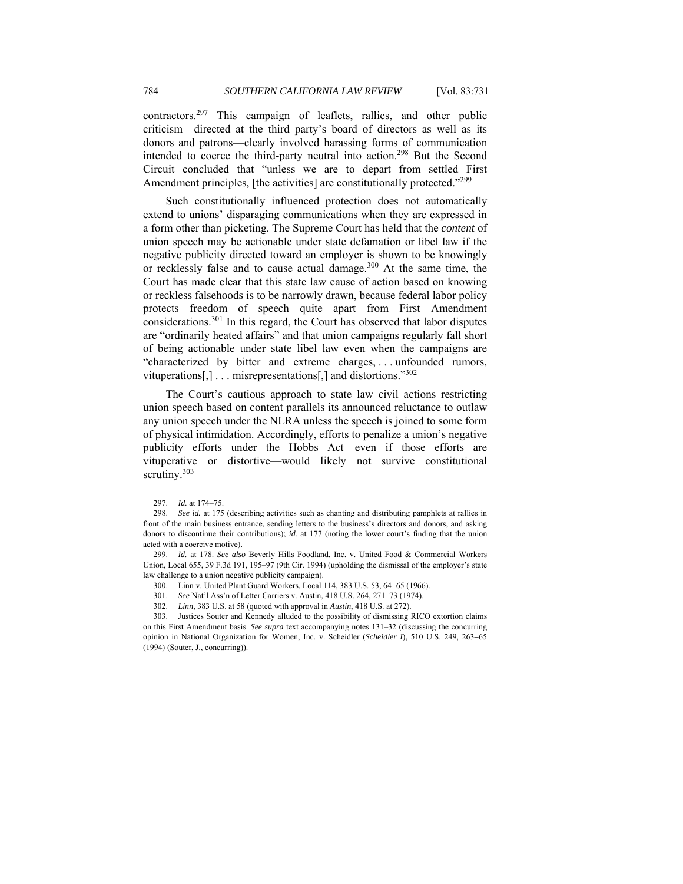contractors.297 This campaign of leaflets, rallies, and other public criticism—directed at the third party's board of directors as well as its donors and patrons—clearly involved harassing forms of communication intended to coerce the third-party neutral into action.298 But the Second Circuit concluded that "unless we are to depart from settled First Amendment principles, [the activities] are constitutionally protected."<sup>299</sup>

Such constitutionally influenced protection does not automatically extend to unions' disparaging communications when they are expressed in a form other than picketing. The Supreme Court has held that the *content* of union speech may be actionable under state defamation or libel law if the negative publicity directed toward an employer is shown to be knowingly or recklessly false and to cause actual damage.300 At the same time, the Court has made clear that this state law cause of action based on knowing or reckless falsehoods is to be narrowly drawn, because federal labor policy protects freedom of speech quite apart from First Amendment considerations.301 In this regard, the Court has observed that labor disputes are "ordinarily heated affairs" and that union campaigns regularly fall short of being actionable under state libel law even when the campaigns are "characterized by bitter and extreme charges, . . . unfounded rumors, vituperations[,] . . . misrepresentations[,] and distortions."302

The Court's cautious approach to state law civil actions restricting union speech based on content parallels its announced reluctance to outlaw any union speech under the NLRA unless the speech is joined to some form of physical intimidation. Accordingly, efforts to penalize a union's negative publicity efforts under the Hobbs Act—even if those efforts are vituperative or distortive—would likely not survive constitutional scrutiny.<sup>303</sup>

<sup>297.</sup> *Id*. at 174–75.

<sup>298.</sup> *See id.* at 175 (describing activities such as chanting and distributing pamphlets at rallies in front of the main business entrance, sending letters to the business's directors and donors, and asking donors to discontinue their contributions); *id.* at 177 (noting the lower court's finding that the union acted with a coercive motive).

<sup>299.</sup> *Id.* at 178. *See also* Beverly Hills Foodland, Inc. v. United Food & Commercial Workers Union, Local 655, 39 F.3d 191, 195–97 (9th Cir. 1994) (upholding the dismissal of the employer's state law challenge to a union negative publicity campaign).

<sup>300.</sup> Linn v. United Plant Guard Workers, Local 114, 383 U.S. 53, 64−65 (1966).

<sup>301.</sup> *See* Nat'l Ass'n of Letter Carriers v. Austin, 418 U.S. 264, 271–73 (1974).

<sup>302.</sup> *Linn*, 383 U.S. at 58 (quoted with approval in *Austin*, 418 U.S. at 272).

 <sup>303.</sup> Justices Souter and Kennedy alluded to the possibility of dismissing RICO extortion claims on this First Amendment basis. *See supra* text accompanying notes 131–32 (discussing the concurring opinion in National Organization for Women, Inc. v. Scheidler (*Scheidler I*), 510 U.S. 249, 263−65 (1994) (Souter, J., concurring)).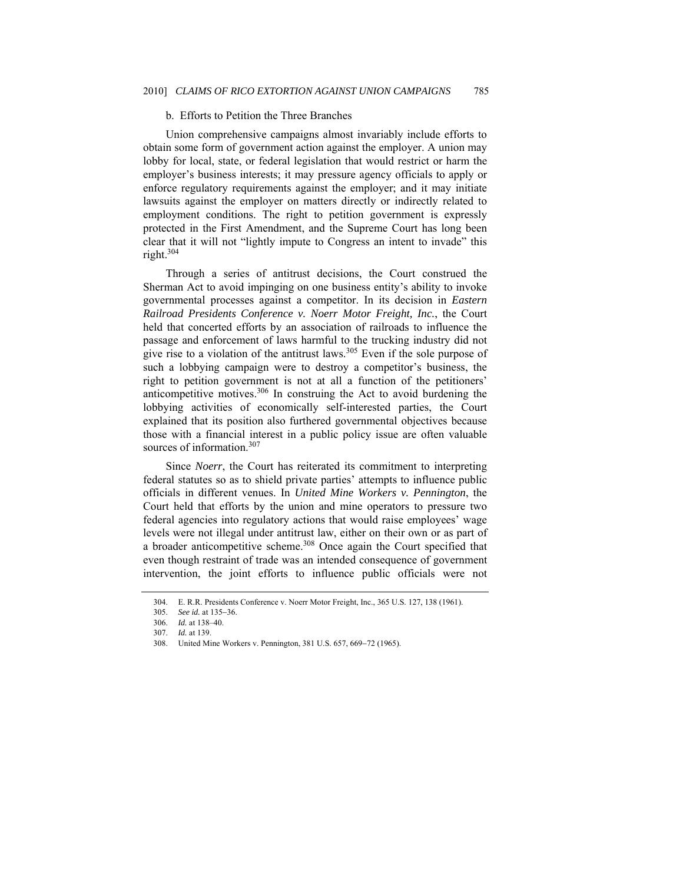## b. Efforts to Petition the Three Branches

Union comprehensive campaigns almost invariably include efforts to obtain some form of government action against the employer. A union may lobby for local, state, or federal legislation that would restrict or harm the employer's business interests; it may pressure agency officials to apply or enforce regulatory requirements against the employer; and it may initiate lawsuits against the employer on matters directly or indirectly related to employment conditions. The right to petition government is expressly protected in the First Amendment, and the Supreme Court has long been clear that it will not "lightly impute to Congress an intent to invade" this right.304

Through a series of antitrust decisions, the Court construed the Sherman Act to avoid impinging on one business entity's ability to invoke governmental processes against a competitor. In its decision in *Eastern Railroad Presidents Conference v. Noerr Motor Freight, Inc.*, the Court held that concerted efforts by an association of railroads to influence the passage and enforcement of laws harmful to the trucking industry did not give rise to a violation of the antitrust laws.<sup>305</sup> Even if the sole purpose of such a lobbying campaign were to destroy a competitor's business, the right to petition government is not at all a function of the petitioners' anticompetitive motives.306 In construing the Act to avoid burdening the lobbying activities of economically self-interested parties, the Court explained that its position also furthered governmental objectives because those with a financial interest in a public policy issue are often valuable sources of information.<sup>307</sup>

Since *Noerr*, the Court has reiterated its commitment to interpreting federal statutes so as to shield private parties' attempts to influence public officials in different venues. In *United Mine Workers v. Pennington*, the Court held that efforts by the union and mine operators to pressure two federal agencies into regulatory actions that would raise employees' wage levels were not illegal under antitrust law, either on their own or as part of a broader anticompetitive scheme.<sup>308</sup> Once again the Court specified that even though restraint of trade was an intended consequence of government intervention, the joint efforts to influence public officials were not

 <sup>304.</sup> E. R.R. Presidents Conference v. Noerr Motor Freight, Inc., 365 U.S. 127, 138 (1961).

<sup>305.</sup> *See id.* at 135−36.

<sup>306.</sup> *Id.* at 138–40.

<sup>307.</sup> *Id.* at 139.

 <sup>308.</sup> United Mine Workers v. Pennington, 381 U.S. 657, 669−72 (1965).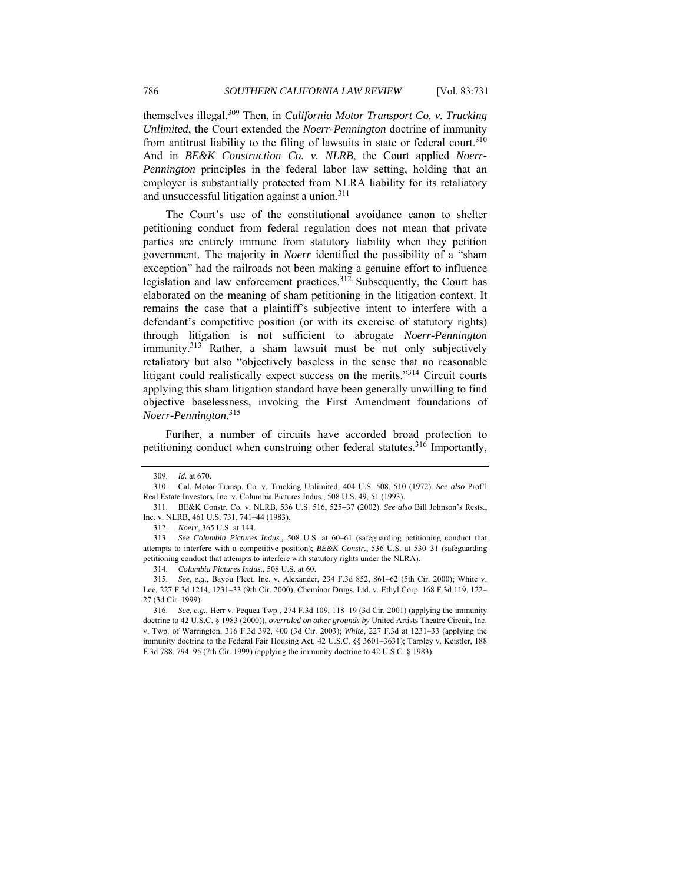themselves illegal.309 Then, in *California Motor Transport Co. v. Trucking Unlimited*, the Court extended the *Noerr-Pennington* doctrine of immunity from antitrust liability to the filing of lawsuits in state or federal court.<sup>310</sup> And in *BE&K Construction Co. v. NLRB*, the Court applied *Noerr-Pennington* principles in the federal labor law setting, holding that an employer is substantially protected from NLRA liability for its retaliatory and unsuccessful litigation against a union.<sup>311</sup>

The Court's use of the constitutional avoidance canon to shelter petitioning conduct from federal regulation does not mean that private parties are entirely immune from statutory liability when they petition government. The majority in *Noerr* identified the possibility of a "sham exception" had the railroads not been making a genuine effort to influence legislation and law enforcement practices.<sup>312</sup> Subsequently, the Court has elaborated on the meaning of sham petitioning in the litigation context. It remains the case that a plaintiff's subjective intent to interfere with a defendant's competitive position (or with its exercise of statutory rights) through litigation is not sufficient to abrogate *Noerr-Pennington* immunity.<sup>313</sup> Rather, a sham lawsuit must be not only subjectively retaliatory but also "objectively baseless in the sense that no reasonable litigant could realistically expect success on the merits."314 Circuit courts applying this sham litigation standard have been generally unwilling to find objective baselessness, invoking the First Amendment foundations of *Noerr-Pennington*. 315

Further, a number of circuits have accorded broad protection to petitioning conduct when construing other federal statutes.<sup>316</sup> Importantly,

<sup>309.</sup> *Id.* at 670.

 <sup>310.</sup> Cal. Motor Transp. Co. v. Trucking Unlimited, 404 U.S. 508, 510 (1972). *See also* Prof'l Real Estate Investors, Inc. v. Columbia Pictures Indus., 508 U.S. 49, 51 (1993).

 <sup>311.</sup> BE&K Constr. Co. v. NLRB, 536 U.S. 516, 525−37 (2002). *See also* Bill Johnson's Rests., Inc. v. NLRB, 461 U.S. 731, 741–44 (1983).

<sup>312.</sup> *Noerr*, 365 U.S. at 144.

<sup>313.</sup> *See Columbia Pictures Indus.,* 508 U.S. at 60–61 (safeguarding petitioning conduct that attempts to interfere with a competitive position); *BE&K Constr*., 536 U.S. at 530–31 (safeguarding petitioning conduct that attempts to interfere with statutory rights under the NLRA).

<sup>314.</sup> *Columbia Pictures Indus.*, 508 U.S. at 60.

<sup>315.</sup> *See, e.g.*, Bayou Fleet, Inc. v. Alexander, 234 F.3d 852, 861–62 (5th Cir. 2000); White v. Lee, 227 F.3d 1214, 1231–33 (9th Cir. 2000); Cheminor Drugs, Ltd. v. Ethyl Corp. 168 F.3d 119, 122– 27 (3d Cir. 1999).

<sup>316.</sup> *See, e.g.*, Herr v. Pequea Twp., 274 F.3d 109, 118–19 (3d Cir. 2001) (applying the immunity doctrine to 42 U.S.C. § 1983 (2000)), *overruled on other grounds by* United Artists Theatre Circuit, Inc. v. Twp. of Warrington, 316 F.3d 392, 400 (3d Cir. 2003); *White*, 227 F.3d at 1231–33 (applying the immunity doctrine to the Federal Fair Housing Act, 42 U.S.C. §§ 3601–3631); Tarpley v. Keistler, 188 F.3d 788, 794–95 (7th Cir. 1999) (applying the immunity doctrine to 42 U.S.C. § 1983).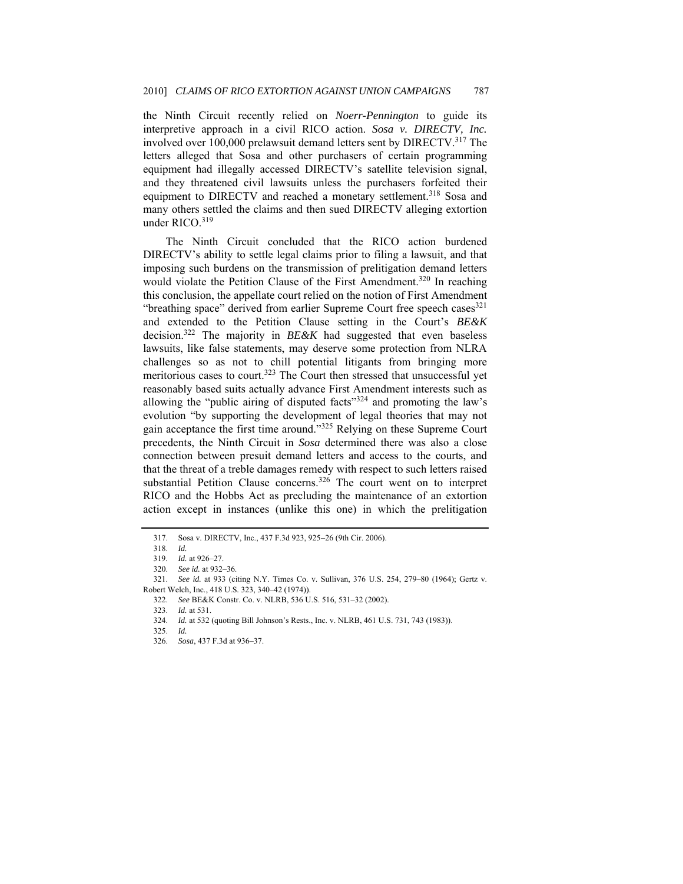the Ninth Circuit recently relied on *Noerr-Pennington* to guide its interpretive approach in a civil RICO action. *Sosa v. DIRECTV, Inc.* involved over 100,000 prelawsuit demand letters sent by DIRECTV.317 The letters alleged that Sosa and other purchasers of certain programming equipment had illegally accessed DIRECTV's satellite television signal, and they threatened civil lawsuits unless the purchasers forfeited their equipment to DIRECTV and reached a monetary settlement.<sup>318</sup> Sosa and many others settled the claims and then sued DIRECTV alleging extortion under RICO.<sup>319</sup>

The Ninth Circuit concluded that the RICO action burdened DIRECTV's ability to settle legal claims prior to filing a lawsuit, and that imposing such burdens on the transmission of prelitigation demand letters would violate the Petition Clause of the First Amendment.<sup>320</sup> In reaching this conclusion, the appellate court relied on the notion of First Amendment "breathing space" derived from earlier Supreme Court free speech cases  $321$ and extended to the Petition Clause setting in the Court's *BE&K* decision.322 The majority in *BE&K* had suggested that even baseless lawsuits, like false statements, may deserve some protection from NLRA challenges so as not to chill potential litigants from bringing more meritorious cases to court.<sup>323</sup> The Court then stressed that unsuccessful yet reasonably based suits actually advance First Amendment interests such as allowing the "public airing of disputed facts"<sup>324</sup> and promoting the law's evolution "by supporting the development of legal theories that may not gain acceptance the first time around."<sup>325</sup> Relying on these Supreme Court precedents, the Ninth Circuit in *Sosa* determined there was also a close connection between presuit demand letters and access to the courts, and that the threat of a treble damages remedy with respect to such letters raised substantial Petition Clause concerns.<sup>326</sup> The court went on to interpret RICO and the Hobbs Act as precluding the maintenance of an extortion action except in instances (unlike this one) in which the prelitigation

 <sup>317.</sup> Sosa v. DIRECTV, Inc., 437 F.3d 923, 925−26 (9th Cir. 2006).

<sup>318.</sup> *Id.*

 <sup>319.</sup> *Id.* at 926–27.

<sup>320.</sup> *See id.* at 932–36.

<sup>321.</sup> *See id.* at 933 (citing N.Y. Times Co. v. Sullivan, 376 U.S. 254, 279–80 (1964); Gertz v.

Robert Welch, Inc., 418 U.S. 323, 340–42 (1974)).

<sup>322.</sup> *See* BE&K Constr. Co. v. NLRB, 536 U.S. 516, 531–32 (2002).

<sup>323.</sup> *Id.* at 531.

 <sup>324.</sup> *Id.* at 532 (quoting Bill Johnson's Rests., Inc. v. NLRB, 461 U.S. 731, 743 (1983)).

<sup>325.</sup> *Id.*

<sup>326.</sup> *Sosa*, 437 F.3d at 936–37.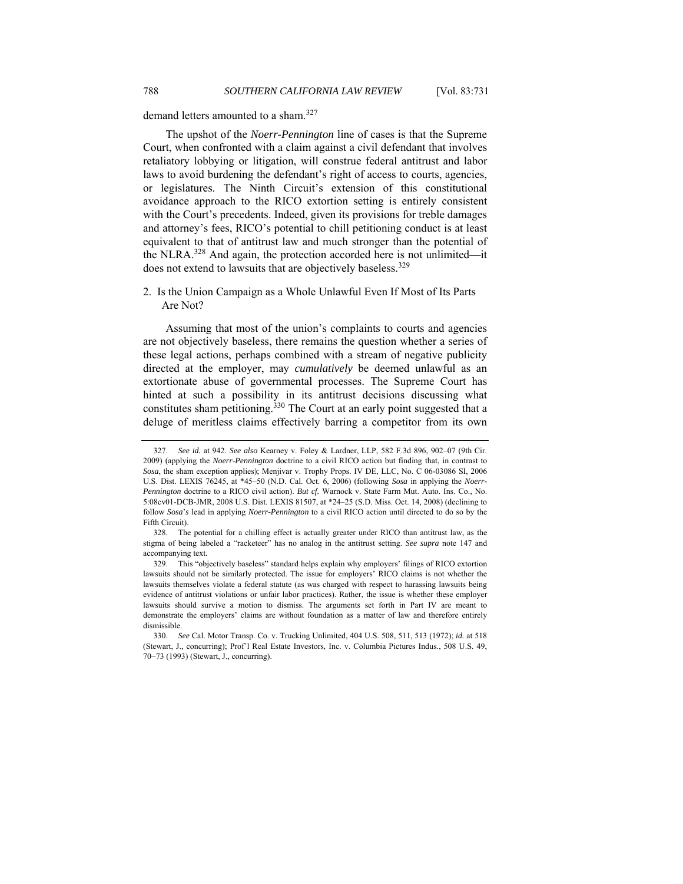The upshot of the *Noerr-Pennington* line of cases is that the Supreme Court, when confronted with a claim against a civil defendant that involves retaliatory lobbying or litigation, will construe federal antitrust and labor laws to avoid burdening the defendant's right of access to courts, agencies, or legislatures. The Ninth Circuit's extension of this constitutional avoidance approach to the RICO extortion setting is entirely consistent with the Court's precedents. Indeed, given its provisions for treble damages and attorney's fees, RICO's potential to chill petitioning conduct is at least equivalent to that of antitrust law and much stronger than the potential of the NLRA.328 And again, the protection accorded here is not unlimited—it does not extend to lawsuits that are objectively baseless.<sup>329</sup>

2. Is the Union Campaign as a Whole Unlawful Even If Most of Its Parts Are Not?

Assuming that most of the union's complaints to courts and agencies are not objectively baseless, there remains the question whether a series of these legal actions, perhaps combined with a stream of negative publicity directed at the employer, may *cumulatively* be deemed unlawful as an extortionate abuse of governmental processes. The Supreme Court has hinted at such a possibility in its antitrust decisions discussing what constitutes sham petitioning.<sup>330</sup> The Court at an early point suggested that a deluge of meritless claims effectively barring a competitor from its own

<sup>327.</sup> *See id.* at 942. *See also* Kearney v. Foley & Lardner, LLP, 582 F.3d 896, 902–07 (9th Cir. 2009) (applying the *Noerr-Pennington* doctrine to a civil RICO action but finding that, in contrast to *Sosa*, the sham exception applies); Menjivar v. Trophy Props. IV DE, LLC, No. C 06-03086 SI, 2006 U.S. Dist. LEXIS 76245, at \*45–50 (N.D. Cal. Oct. 6, 2006) (following *Sosa* in applying the *Noerr-Pennington* doctrine to a RICO civil action). *But cf.* Warnock v. State Farm Mut. Auto. Ins. Co., No. 5:08cv01-DCB-JMR, 2008 U.S. Dist. LEXIS 81507, at \*24–25 (S.D. Miss. Oct. 14, 2008) (declining to follow *Sosa*'*s* lead in applying *Noerr-Pennington* to a civil RICO action until directed to do so by the Fifth Circuit).

 <sup>328.</sup> The potential for a chilling effect is actually greater under RICO than antitrust law, as the stigma of being labeled a "racketeer" has no analog in the antitrust setting. *See supra* note 147 and accompanying text.

 <sup>329.</sup> This "objectively baseless" standard helps explain why employers' filings of RICO extortion lawsuits should not be similarly protected. The issue for employers' RICO claims is not whether the lawsuits themselves violate a federal statute (as was charged with respect to harassing lawsuits being evidence of antitrust violations or unfair labor practices). Rather, the issue is whether these employer lawsuits should survive a motion to dismiss. The arguments set forth in Part IV are meant to demonstrate the employers' claims are without foundation as a matter of law and therefore entirely dismissible.

<sup>330.</sup> *See* Cal. Motor Transp. Co. v. Trucking Unlimited, 404 U.S. 508, 511, 513 (1972); *id.* at 518 (Stewart, J., concurring); Prof'l Real Estate Investors, Inc. v. Columbia Pictures Indus., 508 U.S. 49, 70−73 (1993) (Stewart, J., concurring).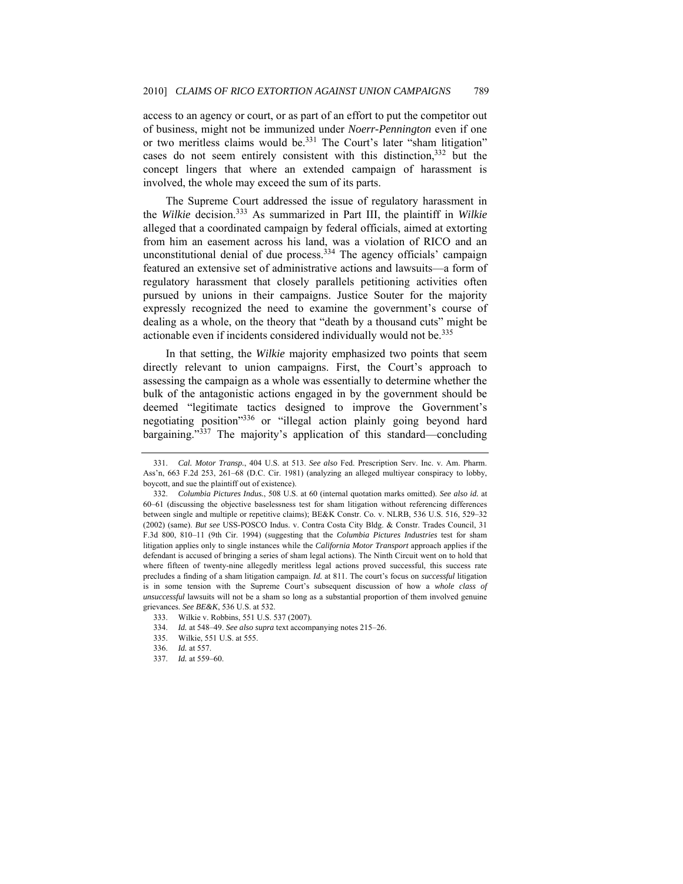access to an agency or court, or as part of an effort to put the competitor out of business, might not be immunized under *Noerr-Pennington* even if one or two meritless claims would be.<sup>331</sup> The Court's later "sham litigation" cases do not seem entirely consistent with this distinction, 332 but the concept lingers that where an extended campaign of harassment is involved, the whole may exceed the sum of its parts.

The Supreme Court addressed the issue of regulatory harassment in the *Wilkie* decision.333 As summarized in Part III, the plaintiff in *Wilkie* alleged that a coordinated campaign by federal officials, aimed at extorting from him an easement across his land, was a violation of RICO and an unconstitutional denial of due process.<sup>334</sup> The agency officials' campaign featured an extensive set of administrative actions and lawsuits—a form of regulatory harassment that closely parallels petitioning activities often pursued by unions in their campaigns. Justice Souter for the majority expressly recognized the need to examine the government's course of dealing as a whole, on the theory that "death by a thousand cuts" might be actionable even if incidents considered individually would not be.<sup>335</sup>

In that setting, the *Wilkie* majority emphasized two points that seem directly relevant to union campaigns. First, the Court's approach to assessing the campaign as a whole was essentially to determine whether the bulk of the antagonistic actions engaged in by the government should be deemed "legitimate tactics designed to improve the Government's negotiating position"336 or "illegal action plainly going beyond hard bargaining."337 The majority's application of this standard—concluding

335. Wilkie, 551 U.S. at 555.

<sup>331.</sup> *Cal. Motor Transp.*, 404 U.S. at 513. *See also* Fed. Prescription Serv. Inc. v. Am. Pharm. Ass'n, 663 F.2d 253, 261–68 (D.C. Cir. 1981) (analyzing an alleged multiyear conspiracy to lobby, boycott, and sue the plaintiff out of existence).

<sup>332.</sup> *Columbia Pictures Indus.*, 508 U.S. at 60 (internal quotation marks omitted). *See also id.* at 60–61 (discussing the objective baselessness test for sham litigation without referencing differences between single and multiple or repetitive claims); BE&K Constr. Co. v. NLRB, 536 U.S. 516, 529–32 (2002) (same). *But see* USS-POSCO Indus. v. Contra Costa City Bldg. & Constr. Trades Council, 31 F.3d 800, 810–11 (9th Cir. 1994) (suggesting that the *Columbia Pictures Industries* test for sham litigation applies only to single instances while the *California Motor Transport* approach applies if the defendant is accused of bringing a series of sham legal actions). The Ninth Circuit went on to hold that where fifteen of twenty-nine allegedly meritless legal actions proved successful, this success rate precludes a finding of a sham litigation campaign. *Id.* at 811. The court's focus on *successful* litigation is in some tension with the Supreme Court's subsequent discussion of how a *whole class of unsuccessful* lawsuits will not be a sham so long as a substantial proportion of them involved genuine grievances. *See BE&K*, 536 U.S. at 532.

 <sup>333.</sup> Wilkie v. Robbins, 551 U.S. 537 (2007).

<sup>334.</sup> *Id.* at 548–49. *See also supra* text accompanying notes 215–26.

 <sup>336.</sup> *Id.* at 557.

<sup>337.</sup> *Id.* at 559–60.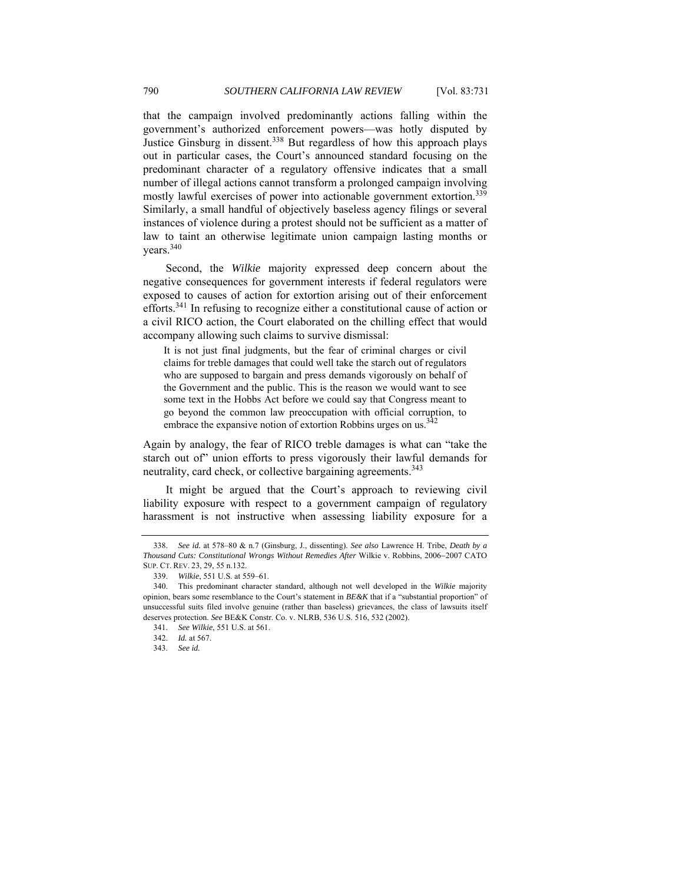that the campaign involved predominantly actions falling within the government's authorized enforcement powers—was hotly disputed by Justice Ginsburg in dissent.<sup>338</sup> But regardless of how this approach plays out in particular cases, the Court's announced standard focusing on the predominant character of a regulatory offensive indicates that a small number of illegal actions cannot transform a prolonged campaign involving mostly lawful exercises of power into actionable government extortion.<sup>339</sup> Similarly, a small handful of objectively baseless agency filings or several instances of violence during a protest should not be sufficient as a matter of law to taint an otherwise legitimate union campaign lasting months or years.340

Second, the *Wilkie* majority expressed deep concern about the negative consequences for government interests if federal regulators were exposed to causes of action for extortion arising out of their enforcement efforts.<sup>341</sup> In refusing to recognize either a constitutional cause of action or a civil RICO action, the Court elaborated on the chilling effect that would accompany allowing such claims to survive dismissal:

It is not just final judgments, but the fear of criminal charges or civil claims for treble damages that could well take the starch out of regulators who are supposed to bargain and press demands vigorously on behalf of the Government and the public. This is the reason we would want to see some text in the Hobbs Act before we could say that Congress meant to go beyond the common law preoccupation with official corruption, to embrace the expansive notion of extortion Robbins urges on us. $3<sup>342</sup>$ 

Again by analogy, the fear of RICO treble damages is what can "take the starch out of" union efforts to press vigorously their lawful demands for neutrality, card check, or collective bargaining agreements.<sup>343</sup>

It might be argued that the Court's approach to reviewing civil liability exposure with respect to a government campaign of regulatory harassment is not instructive when assessing liability exposure for a

<sup>338.</sup> *See id.* at 578–80 & n.7 (Ginsburg, J., dissenting). *See also* Lawrence H. Tribe, *Death by a Thousand Cuts: Constitutional Wrongs Without Remedies After* Wilkie v. Robbins, 2006−2007 CATO SUP. CT. REV. 23, 29, 55 n.132.

<sup>339.</sup> *Wilkie*, 551 U.S. at 559–61.

 <sup>340.</sup> This predominant character standard, although not well developed in the *Wilkie* majority opinion, bears some resemblance to the Court's statement in *BE&K* that if a "substantial proportion" of unsuccessful suits filed involve genuine (rather than baseless) grievances, the class of lawsuits itself deserves protection. *See* BE&K Constr. Co. v. NLRB, 536 U.S. 516, 532 (2002).

<sup>341.</sup> *See Wilkie*, 551 U.S. at 561.

<sup>342.</sup> *Id.* at 567.

 <sup>343.</sup> *See id.*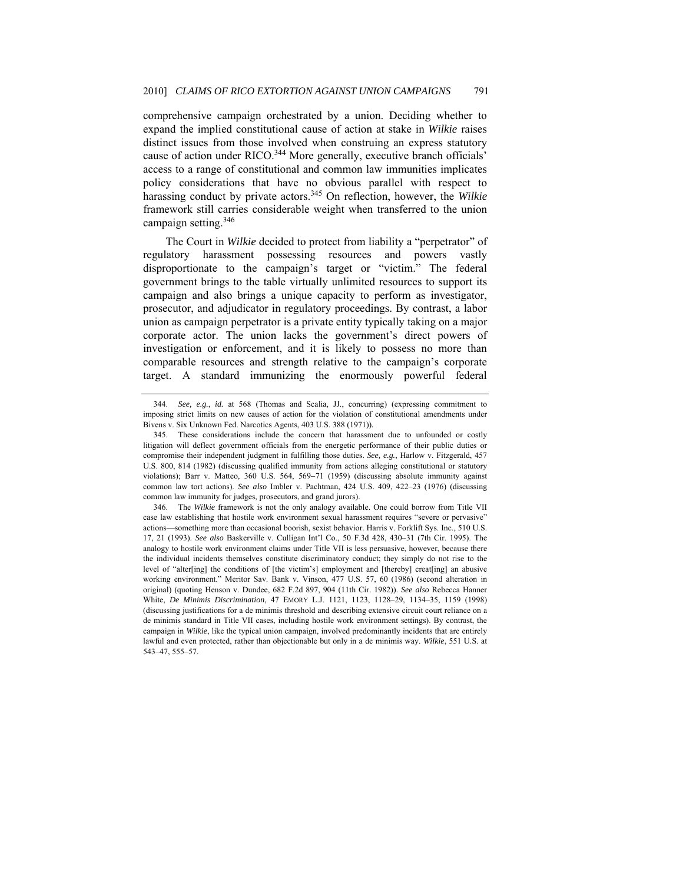comprehensive campaign orchestrated by a union. Deciding whether to expand the implied constitutional cause of action at stake in *Wilkie* raises distinct issues from those involved when construing an express statutory cause of action under RICO.<sup>344</sup> More generally, executive branch officials' access to a range of constitutional and common law immunities implicates policy considerations that have no obvious parallel with respect to harassing conduct by private actors.345 On reflection, however, the *Wilkie* framework still carries considerable weight when transferred to the union campaign setting.346

The Court in *Wilkie* decided to protect from liability a "perpetrator" of regulatory harassment possessing resources and powers vastly disproportionate to the campaign's target or "victim." The federal government brings to the table virtually unlimited resources to support its campaign and also brings a unique capacity to perform as investigator, prosecutor, and adjudicator in regulatory proceedings. By contrast, a labor union as campaign perpetrator is a private entity typically taking on a major corporate actor. The union lacks the government's direct powers of investigation or enforcement, and it is likely to possess no more than comparable resources and strength relative to the campaign's corporate target. A standard immunizing the enormously powerful federal

<sup>344.</sup> *See, e.g.*, *id.* at 568 (Thomas and Scalia, JJ., concurring) (expressing commitment to imposing strict limits on new causes of action for the violation of constitutional amendments under Bivens v. Six Unknown Fed. Narcotics Agents, 403 U.S. 388 (1971))*.*

 <sup>345.</sup> These considerations include the concern that harassment due to unfounded or costly litigation will deflect government officials from the energetic performance of their public duties or compromise their independent judgment in fulfilling those duties. *See, e.g.*, Harlow v. Fitzgerald, 457 U.S. 800, 814 (1982) (discussing qualified immunity from actions alleging constitutional or statutory violations); Barr v. Matteo, 360 U.S. 564, 569-71 (1959) (discussing absolute immunity against common law tort actions). *See also* Imbler v. Pachtman, 424 U.S. 409, 422–23 (1976) (discussing common law immunity for judges, prosecutors, and grand jurors).

 <sup>346.</sup> The *Wilkie* framework is not the only analogy available. One could borrow from Title VII case law establishing that hostile work environment sexual harassment requires "severe or pervasive" actions—something more than occasional boorish, sexist behavior. Harris v. Forklift Sys. Inc., 510 U.S. 17, 21 (1993). *See also* Baskerville v. Culligan Int'l Co., 50 F.3d 428, 430–31 (7th Cir. 1995). The analogy to hostile work environment claims under Title VII is less persuasive, however, because there the individual incidents themselves constitute discriminatory conduct; they simply do not rise to the level of "alter[ing] the conditions of [the victim's] employment and [thereby] creat[ing] an abusive working environment." Meritor Sav. Bank v. Vinson, 477 U.S. 57, 60 (1986) (second alteration in original) (quoting Henson v. Dundee, 682 F.2d 897, 904 (11th Cir. 1982)). *See also* Rebecca Hanner White, *De Minimis Discrimination*, 47 EMORY L.J. 1121, 1123, 1128–29, 1134–35, 1159 (1998) (discussing justifications for a de minimis threshold and describing extensive circuit court reliance on a de minimis standard in Title VII cases, including hostile work environment settings). By contrast, the campaign in *Wilkie*, like the typical union campaign, involved predominantly incidents that are entirely lawful and even protected, rather than objectionable but only in a de minimis way. *Wilkie*, 551 U.S. at 543–47, 555–57.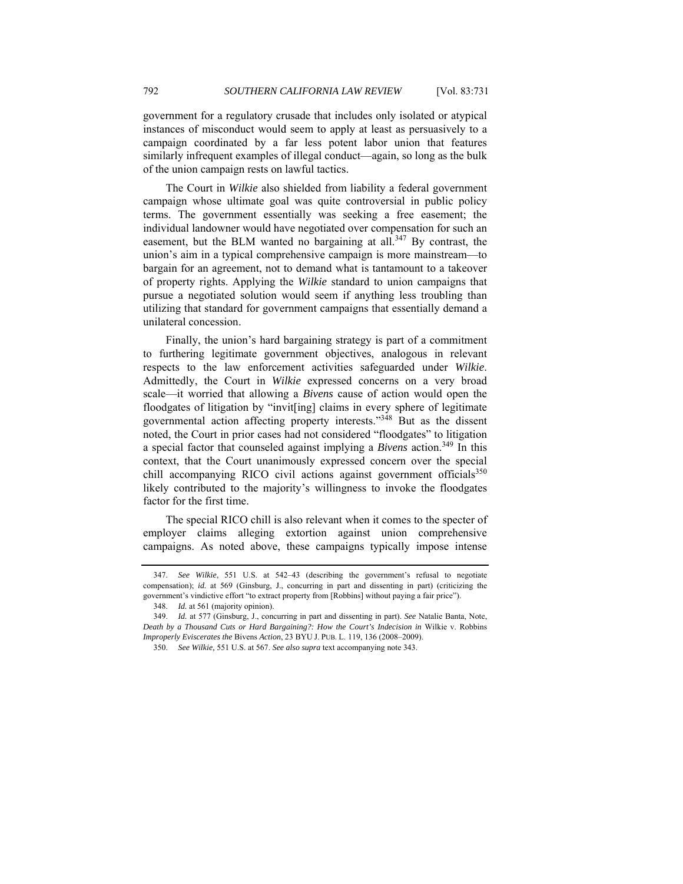government for a regulatory crusade that includes only isolated or atypical instances of misconduct would seem to apply at least as persuasively to a campaign coordinated by a far less potent labor union that features similarly infrequent examples of illegal conduct—again, so long as the bulk of the union campaign rests on lawful tactics.

The Court in *Wilkie* also shielded from liability a federal government campaign whose ultimate goal was quite controversial in public policy terms. The government essentially was seeking a free easement; the individual landowner would have negotiated over compensation for such an easement, but the BLM wanted no bargaining at all.<sup>347</sup> By contrast, the union's aim in a typical comprehensive campaign is more mainstream—to bargain for an agreement, not to demand what is tantamount to a takeover of property rights. Applying the *Wilkie* standard to union campaigns that pursue a negotiated solution would seem if anything less troubling than utilizing that standard for government campaigns that essentially demand a unilateral concession.

Finally, the union's hard bargaining strategy is part of a commitment to furthering legitimate government objectives, analogous in relevant respects to the law enforcement activities safeguarded under *Wilkie*. Admittedly, the Court in *Wilkie* expressed concerns on a very broad scale—it worried that allowing a *Bivens* cause of action would open the floodgates of litigation by "invit[ing] claims in every sphere of legitimate governmental action affecting property interests."348 But as the dissent noted, the Court in prior cases had not considered "floodgates" to litigation a special factor that counseled against implying a *Bivens* action.<sup>349</sup> In this context, that the Court unanimously expressed concern over the special chill accompanying RICO civil actions against government officials<sup>350</sup> likely contributed to the majority's willingness to invoke the floodgates factor for the first time.

The special RICO chill is also relevant when it comes to the specter of employer claims alleging extortion against union comprehensive campaigns. As noted above, these campaigns typically impose intense

<sup>347.</sup> *See Wilkie*, 551 U.S. at 542–43 (describing the government's refusal to negotiate compensation); *id.* at 569 (Ginsburg, J., concurring in part and dissenting in part) (criticizing the government's vindictive effort "to extract property from [Robbins] without paying a fair price").

 <sup>348.</sup> *Id.* at 561 (majority opinion).

<sup>349.</sup> *Id.* at 577 (Ginsburg, J., concurring in part and dissenting in part). *See* Natalie Banta, Note, *Death by a Thousand Cuts or Hard Bargaining?: How the Court's Indecision in* Wilkie v. Robbins *Improperly Eviscerates the* Bivens *Action*, 23 BYU J. PUB. L. 119, 136 (2008–2009).

<sup>350.</sup> *See Wilkie,* 551 U.S. at 567. *See also supra* text accompanying note 343.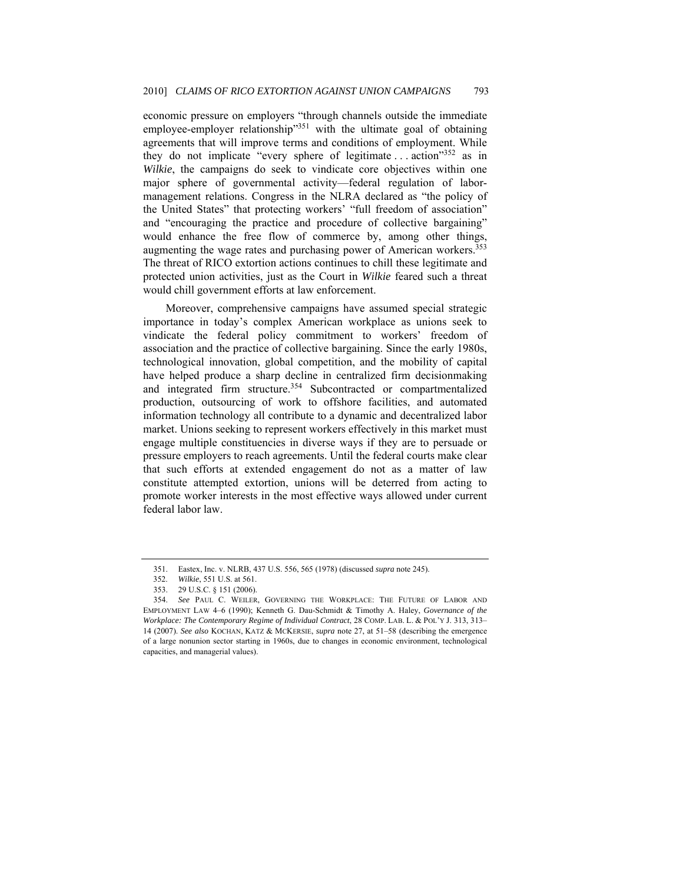economic pressure on employers "through channels outside the immediate employee-employer relationship"351 with the ultimate goal of obtaining agreements that will improve terms and conditions of employment. While they do not implicate "every sphere of legitimate ... action"352 as in *Wilkie*, the campaigns do seek to vindicate core objectives within one major sphere of governmental activity—federal regulation of labormanagement relations. Congress in the NLRA declared as "the policy of the United States" that protecting workers' "full freedom of association" and "encouraging the practice and procedure of collective bargaining" would enhance the free flow of commerce by, among other things, augmenting the wage rates and purchasing power of American workers.<sup>353</sup> The threat of RICO extortion actions continues to chill these legitimate and protected union activities, just as the Court in *Wilkie* feared such a threat would chill government efforts at law enforcement.

Moreover, comprehensive campaigns have assumed special strategic importance in today's complex American workplace as unions seek to vindicate the federal policy commitment to workers' freedom of association and the practice of collective bargaining. Since the early 1980s, technological innovation, global competition, and the mobility of capital have helped produce a sharp decline in centralized firm decisionmaking and integrated firm structure.<sup>354</sup> Subcontracted or compartmentalized production, outsourcing of work to offshore facilities, and automated information technology all contribute to a dynamic and decentralized labor market. Unions seeking to represent workers effectively in this market must engage multiple constituencies in diverse ways if they are to persuade or pressure employers to reach agreements. Until the federal courts make clear that such efforts at extended engagement do not as a matter of law constitute attempted extortion, unions will be deterred from acting to promote worker interests in the most effective ways allowed under current federal labor law.

 <sup>351.</sup> Eastex, Inc. v. NLRB, 437 U.S. 556, 565 (1978) (discussed *supra* note 245).

 <sup>352.</sup> *Wilkie*, 551 U.S. at 561.

 <sup>353. 29</sup> U.S.C. § 151 (2006).

<sup>354.</sup> *See* PAUL C. WEILER, GOVERNING THE WORKPLACE: THE FUTURE OF LABOR AND EMPLOYMENT LAW 4–6 (1990); Kenneth G. Dau-Schmidt & Timothy A. Haley, *Governance of the Workplace: The Contemporary Regime of Individual Contract*, 28 COMP. LAB. L. & POL'Y J. 313, 313– 14 (2007). *See also* KOCHAN, KATZ & MCKERSIE, *supra* note 27, at 51–58 (describing the emergence of a large nonunion sector starting in 1960s, due to changes in economic environment, technological capacities, and managerial values).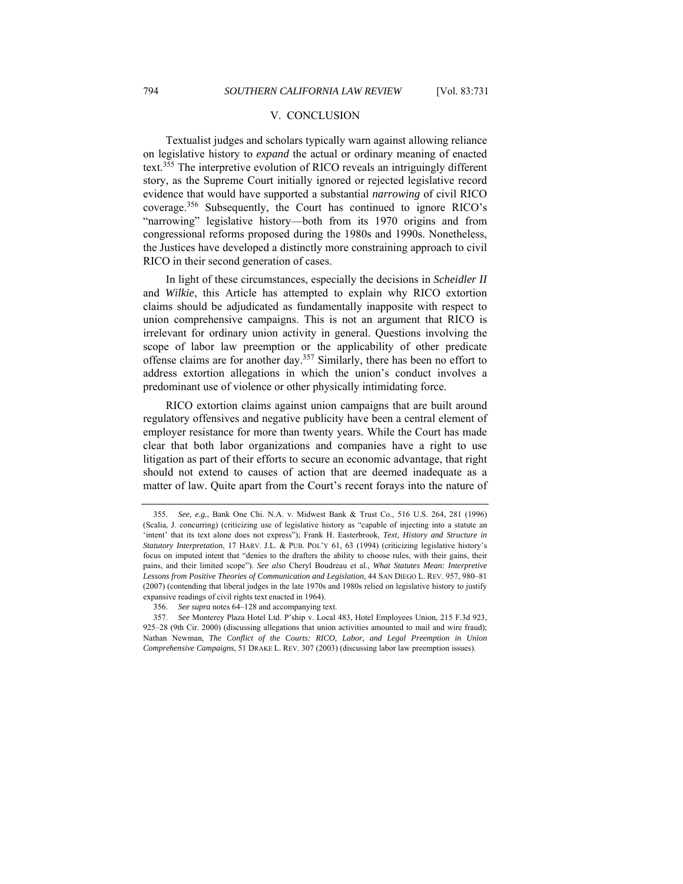## V. CONCLUSION

Textualist judges and scholars typically warn against allowing reliance on legislative history to *expand* the actual or ordinary meaning of enacted text.<sup>355</sup> The interpretive evolution of RICO reveals an intriguingly different story, as the Supreme Court initially ignored or rejected legislative record evidence that would have supported a substantial *narrowing* of civil RICO coverage.356 Subsequently, the Court has continued to ignore RICO's "narrowing" legislative history—both from its 1970 origins and from congressional reforms proposed during the 1980s and 1990s. Nonetheless, the Justices have developed a distinctly more constraining approach to civil RICO in their second generation of cases.

In light of these circumstances, especially the decisions in *Scheidler II* and *Wilkie*, this Article has attempted to explain why RICO extortion claims should be adjudicated as fundamentally inapposite with respect to union comprehensive campaigns. This is not an argument that RICO is irrelevant for ordinary union activity in general. Questions involving the scope of labor law preemption or the applicability of other predicate offense claims are for another day.<sup>357</sup> Similarly, there has been no effort to address extortion allegations in which the union's conduct involves a predominant use of violence or other physically intimidating force.

RICO extortion claims against union campaigns that are built around regulatory offensives and negative publicity have been a central element of employer resistance for more than twenty years. While the Court has made clear that both labor organizations and companies have a right to use litigation as part of their efforts to secure an economic advantage, that right should not extend to causes of action that are deemed inadequate as a matter of law. Quite apart from the Court's recent forays into the nature of

<sup>355.</sup> *See, e.g.*, Bank One Chi. N.A. v. Midwest Bank & Trust Co., 516 U.S. 264, 281 (1996) (Scalia, J. concurring) (criticizing use of legislative history as "capable of injecting into a statute an 'intent' that its text alone does not express"); Frank H. Easterbrook, *Text, History and Structure in Statutory Interpretation*, 17 HARV. J.L. & PUB. POL'Y 61, 63 (1994) (criticizing legislative history's focus on imputed intent that "denies to the drafters the ability to choose rules, with their gains, their pains, and their limited scope"). *See also* Cheryl Boudreau et al., *What Statutes Mean: Interpretive Lessons from Positive Theories of Communication and Legislation*, 44 SAN DIEGO L. REV. 957, 980–81 (2007) (contending that liberal judges in the late 1970s and 1980s relied on legislative history to justify expansive readings of civil rights text enacted in 1964).

<sup>356.</sup> *See supra* notes 64–128 and accompanying text.

<sup>357.</sup> *See* Monterey Plaza Hotel Ltd. P'ship v. Local 483, Hotel Employees Union, 215 F.3d 923, 925–28 (9th Cir. 2000) (discussing allegations that union activities amounted to mail and wire fraud); Nathan Newman, *The Conflict of the Courts: RICO, Labor, and Legal Preemption in Union Comprehensive Campaigns*, 51 DRAKE L. REV. 307 (2003) (discussing labor law preemption issues).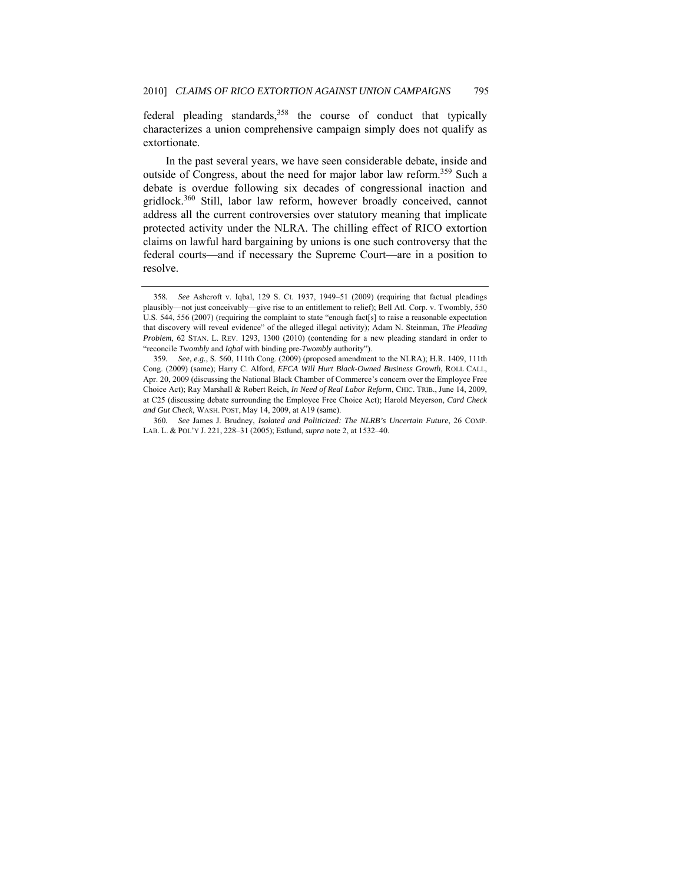federal pleading standards,<sup>358</sup> the course of conduct that typically characterizes a union comprehensive campaign simply does not qualify as extortionate.

In the past several years, we have seen considerable debate, inside and outside of Congress, about the need for major labor law reform.<sup>359</sup> Such a debate is overdue following six decades of congressional inaction and gridlock.<sup>360</sup> Still, labor law reform, however broadly conceived, cannot address all the current controversies over statutory meaning that implicate protected activity under the NLRA. The chilling effect of RICO extortion claims on lawful hard bargaining by unions is one such controversy that the federal courts—and if necessary the Supreme Court—are in a position to resolve.

<sup>358</sup>*. See* Ashcroft v. Iqbal, 129 S. Ct. 1937, 1949–51 (2009) (requiring that factual pleadings plausibly—not just conceivably—give rise to an entitlement to relief); Bell Atl. Corp. v. Twombly, 550 U.S. 544, 556 (2007) (requiring the complaint to state "enough fact[s] to raise a reasonable expectation that discovery will reveal evidence" of the alleged illegal activity); Adam N. Steinman, *The Pleading Problem*, 62 STAN. L. REV. 1293, 1300 (2010) (contending for a new pleading standard in order to "reconcile *Twombly* and *Iqbal* with binding pre-*Twombly* authority").

<sup>359</sup>*. See, e.g.*, S. 560, 111th Cong. (2009) (proposed amendment to the NLRA); H.R. 1409, 111th Cong. (2009) (same); Harry C. Alford, *EFCA Will Hurt Black-Owned Business Growth*, ROLL CALL, Apr. 20, 2009 (discussing the National Black Chamber of Commerce's concern over the Employee Free Choice Act); Ray Marshall & Robert Reich, *In Need of Real Labor Reform*, CHIC. TRIB., June 14, 2009, at C25 (discussing debate surrounding the Employee Free Choice Act); Harold Meyerson, *Card Check and Gut Check*, WASH. POST, May 14, 2009, at A19 (same).

<sup>360</sup>*. See* James J. Brudney, *Isolated and Politicized: The NLRB's Uncertain Future*, 26 COMP. LAB. L. & POL'Y J. 221, 228–31 (2005); Estlund, *supra* note 2, at 1532–40.